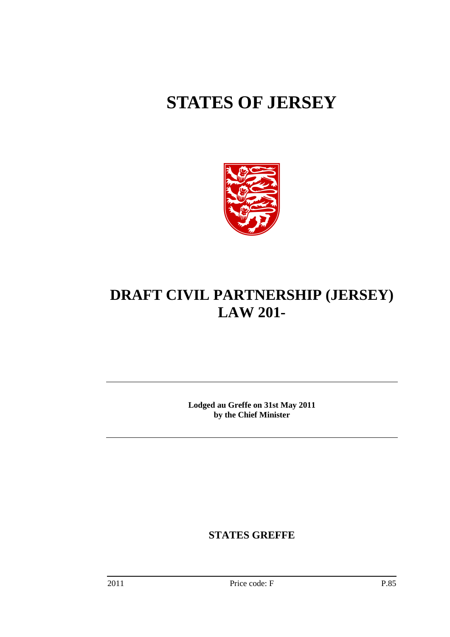# **STATES OF JERSEY**



## **DRAFT CIVIL PARTNERSHIP (JERSEY) LAW 201-**

**Lodged au Greffe on 31st May 2011 by the Chief Minister** 

**STATES GREFFE**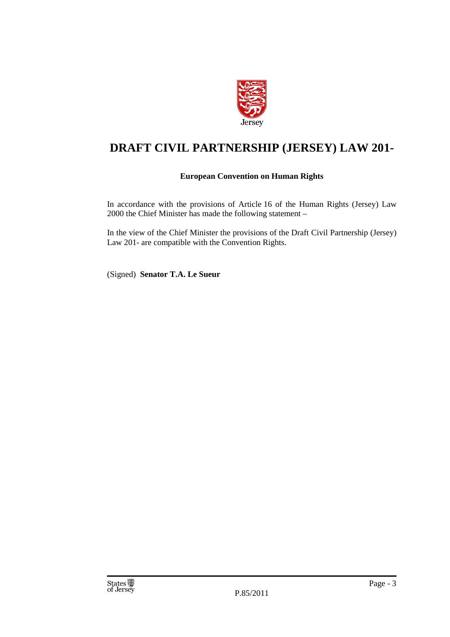

### **DRAFT CIVIL PARTNERSHIP (JERSEY) LAW 201-**

#### **European Convention on Human Rights**

In accordance with the provisions of Article 16 of the Human Rights (Jersey) Law 2000 the Chief Minister has made the following statement –

In the view of the Chief Minister the provisions of the Draft Civil Partnership (Jersey) Law 201- are compatible with the Convention Rights.

(Signed) **Senator T.A. Le Sueur**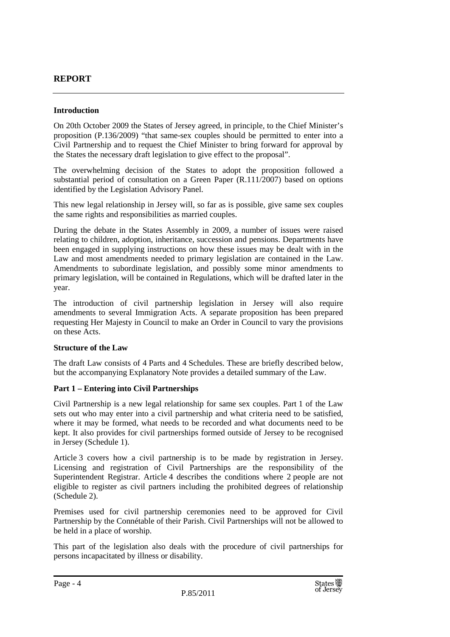#### **REPORT**

#### **Introduction**

On 20th October 2009 the States of Jersey agreed, in principle, to the Chief Minister's proposition (P.136/2009) "that same-sex couples should be permitted to enter into a Civil Partnership and to request the Chief Minister to bring forward for approval by the States the necessary draft legislation to give effect to the proposal".

The overwhelming decision of the States to adopt the proposition followed a substantial period of consultation on a Green Paper (R.111/2007) based on options identified by the Legislation Advisory Panel.

This new legal relationship in Jersey will, so far as is possible, give same sex couples the same rights and responsibilities as married couples.

During the debate in the States Assembly in 2009, a number of issues were raised relating to children, adoption, inheritance, succession and pensions. Departments have been engaged in supplying instructions on how these issues may be dealt with in the Law and most amendments needed to primary legislation are contained in the Law. Amendments to subordinate legislation, and possibly some minor amendments to primary legislation, will be contained in Regulations, which will be drafted later in the year.

The introduction of civil partnership legislation in Jersey will also require amendments to several Immigration Acts. A separate proposition has been prepared requesting Her Majesty in Council to make an Order in Council to vary the provisions on these Acts.

#### **Structure of the Law**

The draft Law consists of 4 Parts and 4 Schedules. These are briefly described below, but the accompanying Explanatory Note provides a detailed summary of the Law.

#### **Part 1 – Entering into Civil Partnerships**

Civil Partnership is a new legal relationship for same sex couples. Part 1 of the Law sets out who may enter into a civil partnership and what criteria need to be satisfied, where it may be formed, what needs to be recorded and what documents need to be kept. It also provides for civil partnerships formed outside of Jersey to be recognised in Jersey (Schedule 1).

Article 3 covers how a civil partnership is to be made by registration in Jersey. Licensing and registration of Civil Partnerships are the responsibility of the Superintendent Registrar. Article 4 describes the conditions where 2 people are not eligible to register as civil partners including the prohibited degrees of relationship (Schedule 2).

Premises used for civil partnership ceremonies need to be approved for Civil Partnership by the Connétable of their Parish. Civil Partnerships will not be allowed to be held in a place of worship.

This part of the legislation also deals with the procedure of civil partnerships for persons incapacitated by illness or disability.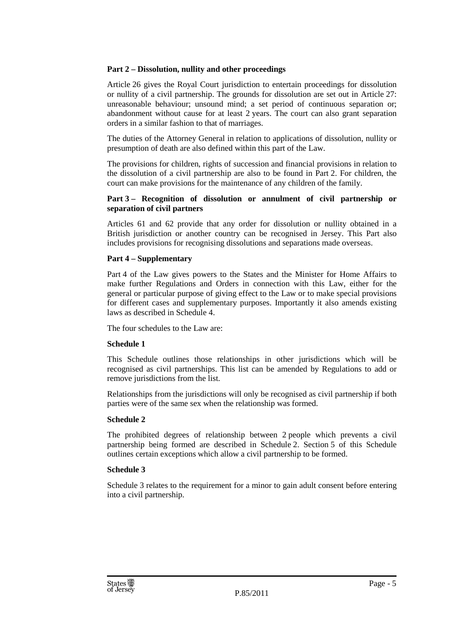#### **Part 2 – Dissolution, nullity and other proceedings**

Article 26 gives the Royal Court jurisdiction to entertain proceedings for dissolution or nullity of a civil partnership. The grounds for dissolution are set out in Article 27: unreasonable behaviour; unsound mind; a set period of continuous separation or; abandonment without cause for at least 2 years. The court can also grant separation orders in a similar fashion to that of marriages.

The duties of the Attorney General in relation to applications of dissolution, nullity or presumption of death are also defined within this part of the Law.

The provisions for children, rights of succession and financial provisions in relation to the dissolution of a civil partnership are also to be found in Part 2. For children, the court can make provisions for the maintenance of any children of the family.

#### **Part 3 – Recognition of dissolution or annulment of civil partnership or separation of civil partners**

Articles 61 and 62 provide that any order for dissolution or nullity obtained in a British jurisdiction or another country can be recognised in Jersey. This Part also includes provisions for recognising dissolutions and separations made overseas.

#### **Part 4 – Supplementary**

Part 4 of the Law gives powers to the States and the Minister for Home Affairs to make further Regulations and Orders in connection with this Law, either for the general or particular purpose of giving effect to the Law or to make special provisions for different cases and supplementary purposes. Importantly it also amends existing laws as described in Schedule 4.

The four schedules to the Law are:

#### **Schedule 1**

This Schedule outlines those relationships in other jurisdictions which will be recognised as civil partnerships. This list can be amended by Regulations to add or remove jurisdictions from the list.

Relationships from the jurisdictions will only be recognised as civil partnership if both parties were of the same sex when the relationship was formed.

#### **Schedule 2**

The prohibited degrees of relationship between 2 people which prevents a civil partnership being formed are described in Schedule 2. Section 5 of this Schedule outlines certain exceptions which allow a civil partnership to be formed.

#### **Schedule 3**

Schedule 3 relates to the requirement for a minor to gain adult consent before entering into a civil partnership.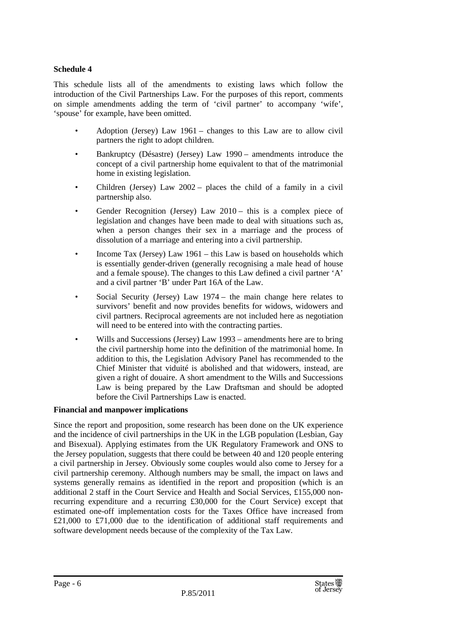#### **Schedule 4**

This schedule lists all of the amendments to existing laws which follow the introduction of the Civil Partnerships Law. For the purposes of this report, comments on simple amendments adding the term of 'civil partner' to accompany 'wife', 'spouse' for example, have been omitted.

- Adoption (Jersey) Law 1961 changes to this Law are to allow civil partners the right to adopt children.
- Bankruptcy (Désastre) (Jersey) Law 1990 amendments introduce the concept of a civil partnership home equivalent to that of the matrimonial home in existing legislation.
- Children (Jersey) Law 2002 places the child of a family in a civil partnership also.
- Gender Recognition (Jersey) Law 2010 this is a complex piece of legislation and changes have been made to deal with situations such as, when a person changes their sex in a marriage and the process of dissolution of a marriage and entering into a civil partnership.
- Income Tax (Jersey) Law 1961 this Law is based on households which is essentially gender-driven (generally recognising a male head of house and a female spouse). The changes to this Law defined a civil partner 'A' and a civil partner 'B' under Part 16A of the Law.
- Social Security (Jersey) Law 1974 the main change here relates to survivors' benefit and now provides benefits for widows, widowers and civil partners. Reciprocal agreements are not included here as negotiation will need to be entered into with the contracting parties.
- Wills and Successions (Jersey) Law 1993 amendments here are to bring the civil partnership home into the definition of the matrimonial home. In addition to this, the Legislation Advisory Panel has recommended to the Chief Minister that viduité is abolished and that widowers, instead, are given a right of douaire. A short amendment to the Wills and Successions Law is being prepared by the Law Draftsman and should be adopted before the Civil Partnerships Law is enacted.

#### **Financial and manpower implications**

Since the report and proposition, some research has been done on the UK experience and the incidence of civil partnerships in the UK in the LGB population (Lesbian, Gay and Bisexual). Applying estimates from the UK Regulatory Framework and ONS to the Jersey population, suggests that there could be between 40 and 120 people entering a civil partnership in Jersey. Obviously some couples would also come to Jersey for a civil partnership ceremony. Although numbers may be small, the impact on laws and systems generally remains as identified in the report and proposition (which is an additional 2 staff in the Court Service and Health and Social Services, £155,000 nonrecurring expenditure and a recurring £30,000 for the Court Service) except that estimated one-off implementation costs for the Taxes Office have increased from £21,000 to £71,000 due to the identification of additional staff requirements and software development needs because of the complexity of the Tax Law.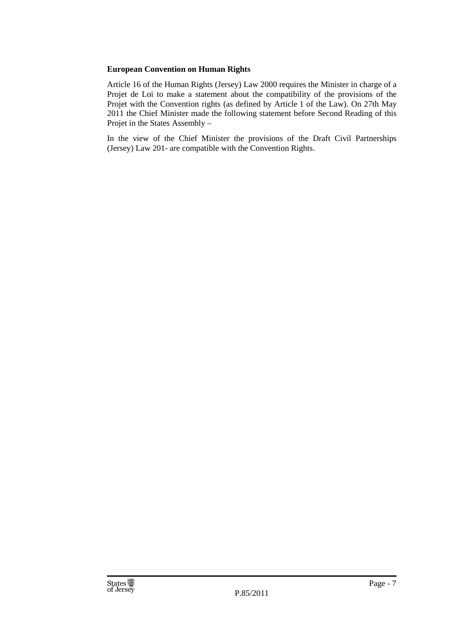#### **European Convention on Human Rights**

Article 16 of the Human Rights (Jersey) Law 2000 requires the Minister in charge of a Projet de Loi to make a statement about the compatibility of the provisions of the Projet with the Convention rights (as defined by Article 1 of the Law). On 27th May 2011 the Chief Minister made the following statement before Second Reading of this Projet in the States Assembly –

In the view of the Chief Minister the provisions of the Draft Civil Partnerships (Jersey) Law 201- are compatible with the Convention Rights.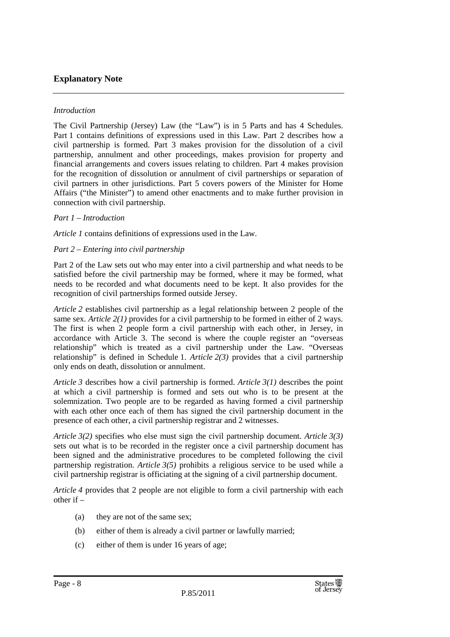#### **Explanatory Note**

#### *Introduction*

The Civil Partnership (Jersey) Law (the "Law") is in 5 Parts and has 4 Schedules. Part 1 contains definitions of expressions used in this Law. Part 2 describes how a civil partnership is formed. Part 3 makes provision for the dissolution of a civil partnership, annulment and other proceedings, makes provision for property and financial arrangements and covers issues relating to children. Part 4 makes provision for the recognition of dissolution or annulment of civil partnerships or separation of civil partners in other jurisdictions. Part 5 covers powers of the Minister for Home Affairs ("the Minister") to amend other enactments and to make further provision in connection with civil partnership.

#### *Part 1 – Introduction*

*Article 1* contains definitions of expressions used in the Law.

#### *Part 2 – Entering into civil partnership*

Part 2 of the Law sets out who may enter into a civil partnership and what needs to be satisfied before the civil partnership may be formed, where it may be formed, what needs to be recorded and what documents need to be kept. It also provides for the recognition of civil partnerships formed outside Jersey.

*Article 2* establishes civil partnership as a legal relationship between 2 people of the same sex. *Article 2(1)* provides for a civil partnership to be formed in either of 2 ways. The first is when 2 people form a civil partnership with each other, in Jersey, in accordance with Article 3. The second is where the couple register an "overseas relationship" which is treated as a civil partnership under the Law. "Overseas relationship" is defined in Schedule 1. *Article 2(3)* provides that a civil partnership only ends on death, dissolution or annulment.

*Article 3* describes how a civil partnership is formed. *Article 3(1)* describes the point at which a civil partnership is formed and sets out who is to be present at the solemnization. Two people are to be regarded as having formed a civil partnership with each other once each of them has signed the civil partnership document in the presence of each other, a civil partnership registrar and 2 witnesses.

*Article 3(2)* specifies who else must sign the civil partnership document. *Article 3(3)*  sets out what is to be recorded in the register once a civil partnership document has been signed and the administrative procedures to be completed following the civil partnership registration. *Article 3(5)* prohibits a religious service to be used while a civil partnership registrar is officiating at the signing of a civil partnership document.

*Article 4* provides that 2 people are not eligible to form a civil partnership with each other if –

- (a) they are not of the same sex;
- (b) either of them is already a civil partner or lawfully married;
- (c) either of them is under 16 years of age;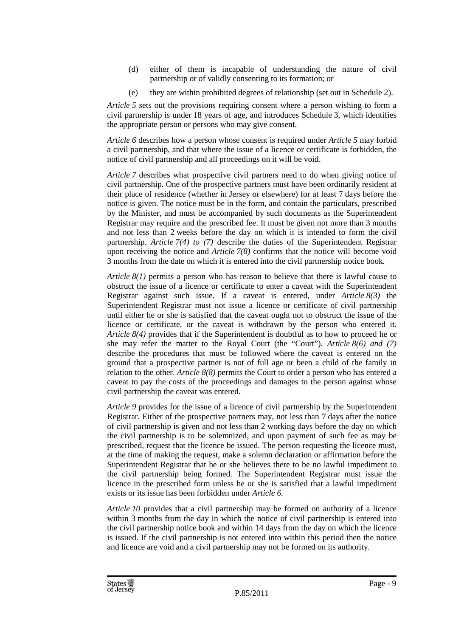- (d) either of them is incapable of understanding the nature of civil partnership or of validly consenting to its formation; or
- (e) they are within prohibited degrees of relationship (set out in Schedule 2).

*Article 5* sets out the provisions requiring consent where a person wishing to form a civil partnership is under 18 years of age, and introduces Schedule 3, which identifies the appropriate person or persons who may give consent.

*Article 6* describes how a person whose consent is required under *Article 5* may forbid a civil partnership, and that where the issue of a licence or certificate is forbidden, the notice of civil partnership and all proceedings on it will be void.

*Article 7* describes what prospective civil partners need to do when giving notice of civil partnership. One of the prospective partners must have been ordinarily resident at their place of residence (whether in Jersey or elsewhere) for at least 7 days before the notice is given. The notice must be in the form, and contain the particulars, prescribed by the Minister, and must be accompanied by such documents as the Superintendent Registrar may require and the prescribed fee. It must be given not more than 3 months and not less than 2 weeks before the day on which it is intended to form the civil partnership. *Article 7(4) to (7)* describe the duties of the Superintendent Registrar upon receiving the notice and *Article 7(8)* confirms that the notice will become void 3 months from the date on which it is entered into the civil partnership notice book.

*Article 8(1)* permits a person who has reason to believe that there is lawful cause to obstruct the issue of a licence or certificate to enter a caveat with the Superintendent Registrar against such issue. If a caveat is entered, under *Article 8(3)* the Superintendent Registrar must not issue a licence or certificate of civil partnership until either he or she is satisfied that the caveat ought not to obstruct the issue of the licence or certificate, or the caveat is withdrawn by the person who entered it. *Article 8(4)* provides that if the Superintendent is doubtful as to how to proceed he or she may refer the matter to the Royal Court (the "Court"). *Article 8(6) and (7)*  describe the procedures that must be followed where the caveat is entered on the ground that a prospective partner is not of full age or been a child of the family in relation to the other. *Article 8(8)* permits the Court to order a person who has entered a caveat to pay the costs of the proceedings and damages to the person against whose civil partnership the caveat was entered.

*Article 9* provides for the issue of a licence of civil partnership by the Superintendent Registrar. Either of the prospective partners may, not less than 7 days after the notice of civil partnership is given and not less than 2 working days before the day on which the civil partnership is to be solemnized, and upon payment of such fee as may be prescribed, request that the licence be issued. The person requesting the licence must, at the time of making the request, make a solemn declaration or affirmation before the Superintendent Registrar that he or she believes there to be no lawful impediment to the civil partnership being formed. The Superintendent Registrar must issue the licence in the prescribed form unless he or she is satisfied that a lawful impediment exists or its issue has been forbidden under *Article 6.*

*Article 10* provides that a civil partnership may be formed on authority of a licence within 3 months from the day in which the notice of civil partnership is entered into the civil partnership notice book and within 14 days from the day on which the licence is issued. If the civil partnership is not entered into within this period then the notice and licence are void and a civil partnership may not be formed on its authority.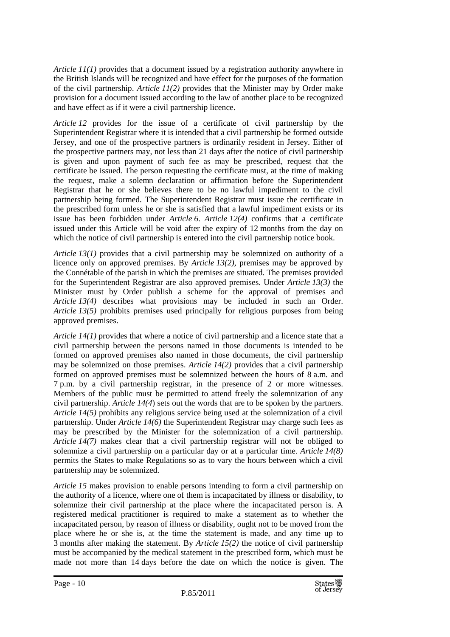*Article 11(1)* provides that a document issued by a registration authority anywhere in the British Islands will be recognized and have effect for the purposes of the formation of the civil partnership. *Article 11(2)* provides that the Minister may by Order make provision for a document issued according to the law of another place to be recognized and have effect as if it were a civil partnership licence.

*Article 12* provides for the issue of a certificate of civil partnership by the Superintendent Registrar where it is intended that a civil partnership be formed outside Jersey, and one of the prospective partners is ordinarily resident in Jersey. Either of the prospective partners may, not less than 21 days after the notice of civil partnership is given and upon payment of such fee as may be prescribed, request that the certificate be issued. The person requesting the certificate must, at the time of making the request, make a solemn declaration or affirmation before the Superintendent Registrar that he or she believes there to be no lawful impediment to the civil partnership being formed. The Superintendent Registrar must issue the certificate in the prescribed form unless he or she is satisfied that a lawful impediment exists or its issue has been forbidden under *Article 6*. *Article 12(4)* confirms that a certificate issued under this Article will be void after the expiry of 12 months from the day on which the notice of civil partnership is entered into the civil partnership notice book.

*Article 13(1)* provides that a civil partnership may be solemnized on authority of a licence only on approved premises. By *Article 13(2)*, premises may be approved by the Connétable of the parish in which the premises are situated. The premises provided for the Superintendent Registrar are also approved premises. Under *Article 13(3)* the Minister must by Order publish a scheme for the approval of premises and *Article 13(4)* describes what provisions may be included in such an Order. *Article 13(5)* prohibits premises used principally for religious purposes from being approved premises.

*Article 14(1)* provides that where a notice of civil partnership and a licence state that a civil partnership between the persons named in those documents is intended to be formed on approved premises also named in those documents, the civil partnership may be solemnized on those premises. *Article 14(2)* provides that a civil partnership formed on approved premises must be solemnized between the hours of 8 a.m. and 7 p.m. by a civil partnership registrar, in the presence of 2 or more witnesses. Members of the public must be permitted to attend freely the solemnization of any civil partnership. *Article 14(4*) sets out the words that are to be spoken by the partners. *Article 14(5)* prohibits any religious service being used at the solemnization of a civil partnership. Under *Article 14(6)* the Superintendent Registrar may charge such fees as may be prescribed by the Minister for the solemnization of a civil partnership. *Article 14(7)* makes clear that a civil partnership registrar will not be obliged to solemnize a civil partnership on a particular day or at a particular time. *Article 14(8)* permits the States to make Regulations so as to vary the hours between which a civil partnership may be solemnized.

*Article 15* makes provision to enable persons intending to form a civil partnership on the authority of a licence, where one of them is incapacitated by illness or disability, to solemnize their civil partnership at the place where the incapacitated person is. A registered medical practitioner is required to make a statement as to whether the incapacitated person, by reason of illness or disability, ought not to be moved from the place where he or she is, at the time the statement is made, and any time up to 3 months after making the statement. By *Article 15(2)* the notice of civil partnership must be accompanied by the medical statement in the prescribed form, which must be made not more than 14 days before the date on which the notice is given. The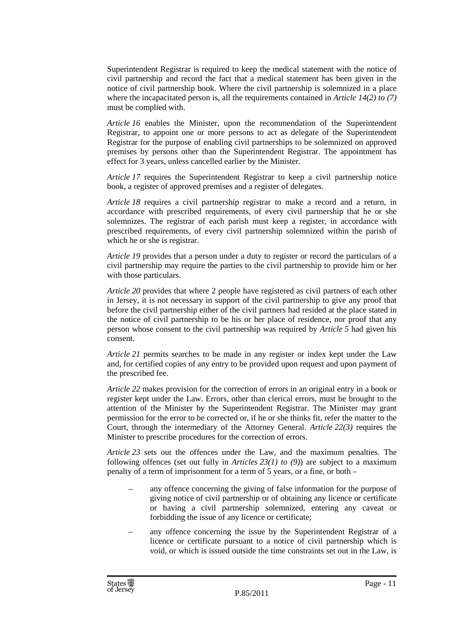Superintendent Registrar is required to keep the medical statement with the notice of civil partnership and record the fact that a medical statement has been given in the notice of civil partnership book. Where the civil partnership is solemnized in a place where the incapacitated person is, all the requirements contained in *Article 14(2) to (7)* must be complied with.

*Article 16* enables the Minister, upon the recommendation of the Superintendent Registrar, to appoint one or more persons to act as delegate of the Superintendent Registrar for the purpose of enabling civil partnerships to be solemnized on approved premises by persons other than the Superintendent Registrar. The appointment has effect for 3 years, unless cancelled earlier by the Minister.

*Article 17* requires the Superintendent Registrar to keep a civil partnership notice book, a register of approved premises and a register of delegates.

*Article 18* requires a civil partnership registrar to make a record and a return, in accordance with prescribed requirements, of every civil partnership that he or she solemnizes. The registrar of each parish must keep a register, in accordance with prescribed requirements, of every civil partnership solemnized within the parish of which he or she is registrar.

*Article 19* provides that a person under a duty to register or record the particulars of a civil partnership may require the parties to the civil partnership to provide him or her with those particulars.

*Article 20* provides that where 2 people have registered as civil partners of each other in Jersey, it is not necessary in support of the civil partnership to give any proof that before the civil partnership either of the civil partners had resided at the place stated in the notice of civil partnership to be his or her place of residence, nor proof that any person whose consent to the civil partnership was required by *Article 5* had given his consent.

*Article 21* permits searches to be made in any register or index kept under the Law and, for certified copies of any entry to be provided upon request and upon payment of the prescribed fee.

*Article 22* makes provision for the correction of errors in an original entry in a book or register kept under the Law. Errors, other than clerical errors, must be brought to the attention of the Minister by the Superintendent Registrar. The Minister may grant permission for the error to be corrected or, if he or she thinks fit, refer the matter to the Court, through the intermediary of the Attorney General. *Article 22(3)* requires the Minister to prescribe procedures for the correction of errors.

*Article 23* sets out the offences under the Law, and the maximum penalties. The following offences (set out fully in *Articles 23(1) to (9)*) are subject to a maximum penalty of a term of imprisonment for a term of 5 years, or a fine, or both –

- any offence concerning the giving of false information for the purpose of giving notice of civil partnership or of obtaining any licence or certificate or having a civil partnership solemnized, entering any caveat or forbidding the issue of any licence or certificate;
- any offence concerning the issue by the Superintendent Registrar of a licence or certificate pursuant to a notice of civil partnership which is void, or which is issued outside the time constraints set out in the Law, is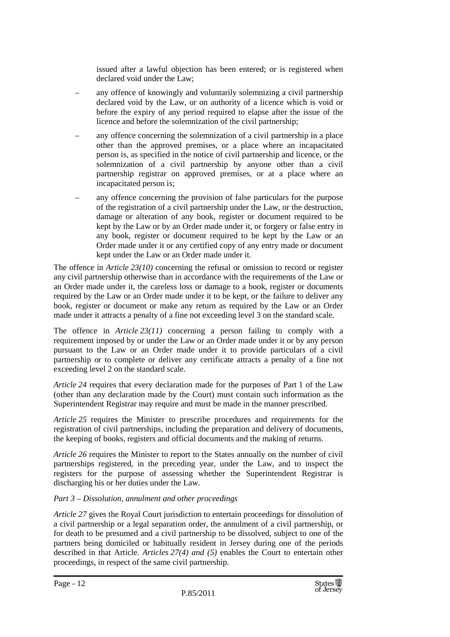issued after a lawful objection has been entered; or is registered when declared void under the Law;

- any offence of knowingly and voluntarily solemnizing a civil partnership declared void by the Law, or on authority of a licence which is void or before the expiry of any period required to elapse after the issue of the licence and before the solemnization of the civil partnership;
- any offence concerning the solemnization of a civil partnership in a place other than the approved premises, or a place where an incapacitated person is, as specified in the notice of civil partnership and licence, or the solemnization of a civil partnership by anyone other than a civil partnership registrar on approved premises, or at a place where an incapacitated person is;
- any offence concerning the provision of false particulars for the purpose of the registration of a civil partnership under the Law, or the destruction, damage or alteration of any book, register or document required to be kept by the Law or by an Order made under it, or forgery or false entry in any book, register or document required to be kept by the Law or an Order made under it or any certified copy of any entry made or document kept under the Law or an Order made under it.

The offence in *Article 23(10)* concerning the refusal or omission to record or register any civil partnership otherwise than in accordance with the requirements of the Law or an Order made under it, the careless loss or damage to a book, register or documents required by the Law or an Order made under it to be kept, or the failure to deliver any book, register or document or make any return as required by the Law or an Order made under it attracts a penalty of a fine not exceeding level 3 on the standard scale.

The offence in *Article 23(11)* concerning a person failing to comply with a requirement imposed by or under the Law or an Order made under it or by any person pursuant to the Law or an Order made under it to provide particulars of a civil partnership or to complete or deliver any certificate attracts a penalty of a fine not exceeding level 2 on the standard scale.

*Article 24* requires that every declaration made for the purposes of Part 1 of the Law (other than any declaration made by the Court) must contain such information as the Superintendent Registrar may require and must be made in the manner prescribed.

*Article 25* requires the Minister to prescribe procedures and requirements for the registration of civil partnerships, including the preparation and delivery of documents, the keeping of books, registers and official documents and the making of returns.

*Article 26* requires the Minister to report to the States annually on the number of civil partnerships registered, in the preceding year, under the Law, and to inspect the registers for the purpose of assessing whether the Superintendent Registrar is discharging his or her duties under the Law.

#### *Part 3 – Dissolution, annulment and other proceedings*

*Article 27* gives the Royal Court jurisdiction to entertain proceedings for dissolution of a civil partnership or a legal separation order, the annulment of a civil partnership, or for death to be presumed and a civil partnership to be dissolved, subject to one of the partners being domiciled or habitually resident in Jersey during one of the periods described in that Article. *Articles 27(4) and (5)* enables the Court to entertain other proceedings, in respect of the same civil partnership.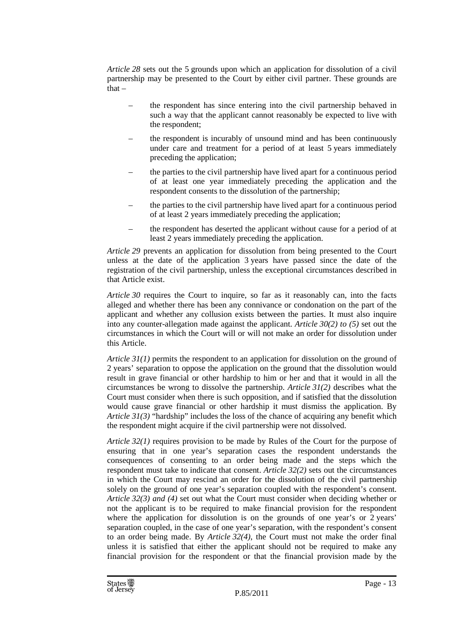*Article 28* sets out the 5 grounds upon which an application for dissolution of a civil partnership may be presented to the Court by either civil partner. These grounds are that –

- the respondent has since entering into the civil partnership behaved in such a way that the applicant cannot reasonably be expected to live with the respondent;
- the respondent is incurably of unsound mind and has been continuously under care and treatment for a period of at least 5 years immediately preceding the application;
- the parties to the civil partnership have lived apart for a continuous period of at least one year immediately preceding the application and the respondent consents to the dissolution of the partnership;
- the parties to the civil partnership have lived apart for a continuous period of at least 2 years immediately preceding the application;
- the respondent has deserted the applicant without cause for a period of at least 2 years immediately preceding the application.

*Article 29* prevents an application for dissolution from being presented to the Court unless at the date of the application 3 years have passed since the date of the registration of the civil partnership, unless the exceptional circumstances described in that Article exist.

*Article 30* requires the Court to inquire, so far as it reasonably can, into the facts alleged and whether there has been any connivance or condonation on the part of the applicant and whether any collusion exists between the parties. It must also inquire into any counter-allegation made against the applicant. *Article 30(2) to (5)* set out the circumstances in which the Court will or will not make an order for dissolution under this Article.

*Article 31(1)* permits the respondent to an application for dissolution on the ground of 2 years' separation to oppose the application on the ground that the dissolution would result in grave financial or other hardship to him or her and that it would in all the circumstances be wrong to dissolve the partnership. *Article 31(2)* describes what the Court must consider when there is such opposition, and if satisfied that the dissolution would cause grave financial or other hardship it must dismiss the application. By *Article 31(3)* "hardship" includes the loss of the chance of acquiring any benefit which the respondent might acquire if the civil partnership were not dissolved.

*Article 32(1)* requires provision to be made by Rules of the Court for the purpose of ensuring that in one year's separation cases the respondent understands the consequences of consenting to an order being made and the steps which the respondent must take to indicate that consent. *Article 32(2)* sets out the circumstances in which the Court may rescind an order for the dissolution of the civil partnership solely on the ground of one year's separation coupled with the respondent's consent. *Article 32(3) and (4)* set out what the Court must consider when deciding whether or not the applicant is to be required to make financial provision for the respondent where the application for dissolution is on the grounds of one year's or 2 years' separation coupled, in the case of one year's separation, with the respondent's consent to an order being made. By *Article 32(4)*, the Court must not make the order final unless it is satisfied that either the applicant should not be required to make any financial provision for the respondent or that the financial provision made by the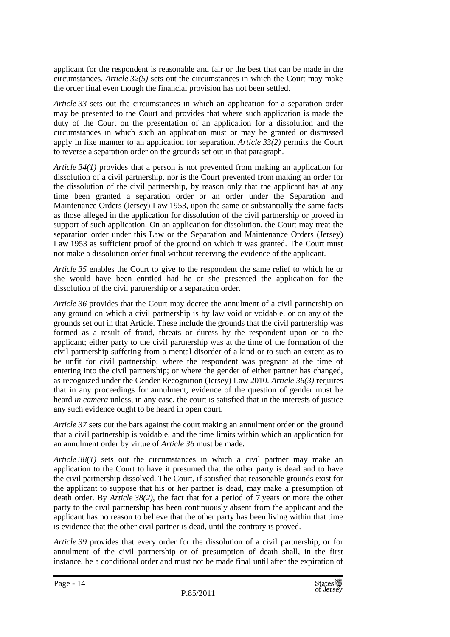applicant for the respondent is reasonable and fair or the best that can be made in the circumstances. *Article 32(5)* sets out the circumstances in which the Court may make the order final even though the financial provision has not been settled.

*Article 33* sets out the circumstances in which an application for a separation order may be presented to the Court and provides that where such application is made the duty of the Court on the presentation of an application for a dissolution and the circumstances in which such an application must or may be granted or dismissed apply in like manner to an application for separation. *Article 33(2)* permits the Court to reverse a separation order on the grounds set out in that paragraph.

*Article 34(1)* provides that a person is not prevented from making an application for dissolution of a civil partnership, nor is the Court prevented from making an order for the dissolution of the civil partnership, by reason only that the applicant has at any time been granted a separation order or an order under the Separation and Maintenance Orders (Jersey) Law 1953, upon the same or substantially the same facts as those alleged in the application for dissolution of the civil partnership or proved in support of such application. On an application for dissolution, the Court may treat the separation order under this Law or the Separation and Maintenance Orders (Jersey) Law 1953 as sufficient proof of the ground on which it was granted. The Court must not make a dissolution order final without receiving the evidence of the applicant.

*Article 35* enables the Court to give to the respondent the same relief to which he or she would have been entitled had he or she presented the application for the dissolution of the civil partnership or a separation order.

*Article 36* provides that the Court may decree the annulment of a civil partnership on any ground on which a civil partnership is by law void or voidable, or on any of the grounds set out in that Article. These include the grounds that the civil partnership was formed as a result of fraud, threats or duress by the respondent upon or to the applicant; either party to the civil partnership was at the time of the formation of the civil partnership suffering from a mental disorder of a kind or to such an extent as to be unfit for civil partnership; where the respondent was pregnant at the time of entering into the civil partnership; or where the gender of either partner has changed, as recognized under the Gender Recognition (Jersey) Law 2010. *Article 36(3)* requires that in any proceedings for annulment, evidence of the question of gender must be heard *in camera* unless, in any case, the court is satisfied that in the interests of justice any such evidence ought to be heard in open court.

*Article 37* sets out the bars against the court making an annulment order on the ground that a civil partnership is voidable, and the time limits within which an application for an annulment order by virtue of *Article 36* must be made.

*Article 38(1)* sets out the circumstances in which a civil partner may make an application to the Court to have it presumed that the other party is dead and to have the civil partnership dissolved. The Court, if satisfied that reasonable grounds exist for the applicant to suppose that his or her partner is dead, may make a presumption of death order. By *Article 38(2)*, the fact that for a period of 7 years or more the other party to the civil partnership has been continuously absent from the applicant and the applicant has no reason to believe that the other party has been living within that time is evidence that the other civil partner is dead, until the contrary is proved.

*Article 39* provides that every order for the dissolution of a civil partnership, or for annulment of the civil partnership or of presumption of death shall, in the first instance, be a conditional order and must not be made final until after the expiration of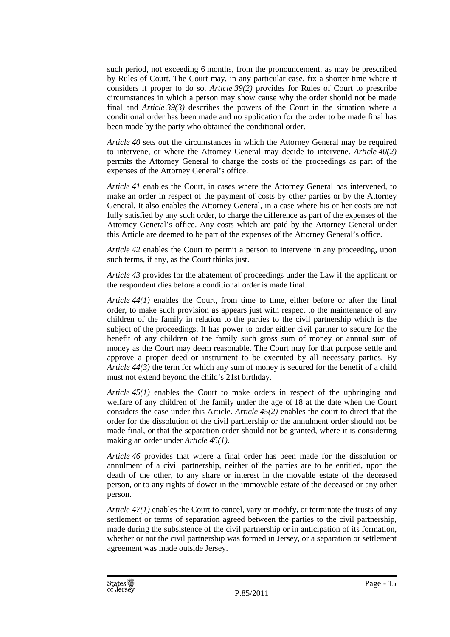such period, not exceeding 6 months, from the pronouncement, as may be prescribed by Rules of Court. The Court may, in any particular case, fix a shorter time where it considers it proper to do so. *Article 39(2)* provides for Rules of Court to prescribe circumstances in which a person may show cause why the order should not be made final and *Article 39(3)* describes the powers of the Court in the situation where a conditional order has been made and no application for the order to be made final has been made by the party who obtained the conditional order.

*Article 40* sets out the circumstances in which the Attorney General may be required to intervene, or where the Attorney General may decide to intervene. *Article 40(2)* permits the Attorney General to charge the costs of the proceedings as part of the expenses of the Attorney General's office.

*Article 41* enables the Court, in cases where the Attorney General has intervened, to make an order in respect of the payment of costs by other parties or by the Attorney General. It also enables the Attorney General, in a case where his or her costs are not fully satisfied by any such order, to charge the difference as part of the expenses of the Attorney General's office. Any costs which are paid by the Attorney General under this Article are deemed to be part of the expenses of the Attorney General's office.

*Article 42* enables the Court to permit a person to intervene in any proceeding, upon such terms, if any, as the Court thinks just.

*Article 43* provides for the abatement of proceedings under the Law if the applicant or the respondent dies before a conditional order is made final.

*Article 44(1)* enables the Court, from time to time, either before or after the final order, to make such provision as appears just with respect to the maintenance of any children of the family in relation to the parties to the civil partnership which is the subject of the proceedings. It has power to order either civil partner to secure for the benefit of any children of the family such gross sum of money or annual sum of money as the Court may deem reasonable. The Court may for that purpose settle and approve a proper deed or instrument to be executed by all necessary parties. By *Article 44(3)* the term for which any sum of money is secured for the benefit of a child must not extend beyond the child's 21st birthday.

*Article 45(1)* enables the Court to make orders in respect of the upbringing and welfare of any children of the family under the age of 18 at the date when the Court considers the case under this Article. *Article 45(2)* enables the court to direct that the order for the dissolution of the civil partnership or the annulment order should not be made final, or that the separation order should not be granted, where it is considering making an order under *Article 45(1)*.

*Article 46* provides that where a final order has been made for the dissolution or annulment of a civil partnership, neither of the parties are to be entitled, upon the death of the other, to any share or interest in the movable estate of the deceased person, or to any rights of dower in the immovable estate of the deceased or any other person.

*Article 47(1)* enables the Court to cancel, vary or modify, or terminate the trusts of any settlement or terms of separation agreed between the parties to the civil partnership, made during the subsistence of the civil partnership or in anticipation of its formation, whether or not the civil partnership was formed in Jersey, or a separation or settlement agreement was made outside Jersey.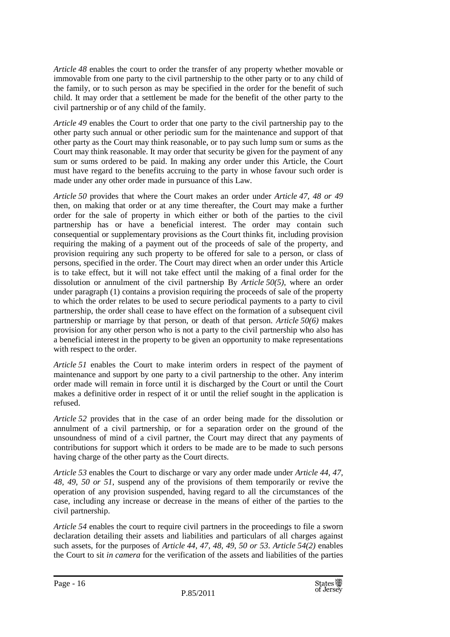*Article 48* enables the court to order the transfer of any property whether movable or immovable from one party to the civil partnership to the other party or to any child of the family, or to such person as may be specified in the order for the benefit of such child. It may order that a settlement be made for the benefit of the other party to the civil partnership or of any child of the family.

*Article 49* enables the Court to order that one party to the civil partnership pay to the other party such annual or other periodic sum for the maintenance and support of that other party as the Court may think reasonable, or to pay such lump sum or sums as the Court may think reasonable. It may order that security be given for the payment of any sum or sums ordered to be paid. In making any order under this Article, the Court must have regard to the benefits accruing to the party in whose favour such order is made under any other order made in pursuance of this Law.

*Article 50* provides that where the Court makes an order under *Article 47, 48 or 49*  then, on making that order or at any time thereafter, the Court may make a further order for the sale of property in which either or both of the parties to the civil partnership has or have a beneficial interest. The order may contain such consequential or supplementary provisions as the Court thinks fit, including provision requiring the making of a payment out of the proceeds of sale of the property, and provision requiring any such property to be offered for sale to a person, or class of persons, specified in the order. The Court may direct when an order under this Article is to take effect, but it will not take effect until the making of a final order for the dissolution or annulment of the civil partnership By *Article 50(5)*, where an order under paragraph (1) contains a provision requiring the proceeds of sale of the property to which the order relates to be used to secure periodical payments to a party to civil partnership, the order shall cease to have effect on the formation of a subsequent civil partnership or marriage by that person, or death of that person. *Article 50(6)* makes provision for any other person who is not a party to the civil partnership who also has a beneficial interest in the property to be given an opportunity to make representations with respect to the order.

*Article 51* enables the Court to make interim orders in respect of the payment of maintenance and support by one party to a civil partnership to the other. Any interim order made will remain in force until it is discharged by the Court or until the Court makes a definitive order in respect of it or until the relief sought in the application is refused.

*Article 52* provides that in the case of an order being made for the dissolution or annulment of a civil partnership, or for a separation order on the ground of the unsoundness of mind of a civil partner, the Court may direct that any payments of contributions for support which it orders to be made are to be made to such persons having charge of the other party as the Court directs.

*Article 53* enables the Court to discharge or vary any order made under *Article 44, 47, 48, 49, 50 or 51*, suspend any of the provisions of them temporarily or revive the operation of any provision suspended, having regard to all the circumstances of the case, including any increase or decrease in the means of either of the parties to the civil partnership.

*Article 54* enables the court to require civil partners in the proceedings to file a sworn declaration detailing their assets and liabilities and particulars of all charges against such assets, for the purposes of *Article 44, 47, 48, 49, 50 or 53*. *Article 54(2)* enables the Court to sit *in camera* for the verification of the assets and liabilities of the parties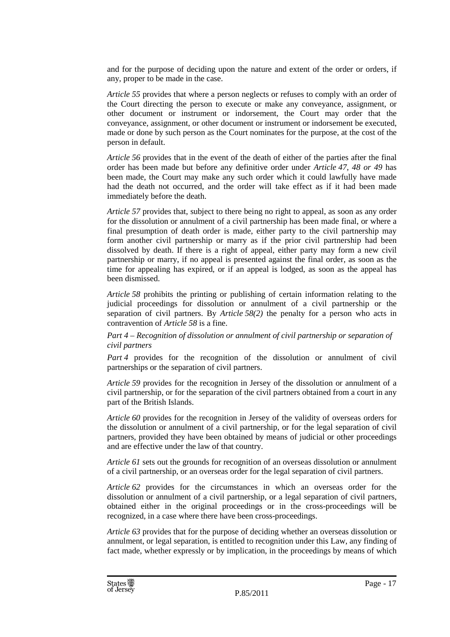and for the purpose of deciding upon the nature and extent of the order or orders, if any, proper to be made in the case.

*Article 55* provides that where a person neglects or refuses to comply with an order of the Court directing the person to execute or make any conveyance, assignment, or other document or instrument or indorsement, the Court may order that the conveyance, assignment, or other document or instrument or indorsement be executed, made or done by such person as the Court nominates for the purpose, at the cost of the person in default.

*Article 56* provides that in the event of the death of either of the parties after the final order has been made but before any definitive order under *Article 47, 48 or 49* has been made, the Court may make any such order which it could lawfully have made had the death not occurred, and the order will take effect as if it had been made immediately before the death.

*Article 57* provides that, subject to there being no right to appeal, as soon as any order for the dissolution or annulment of a civil partnership has been made final, or where a final presumption of death order is made, either party to the civil partnership may form another civil partnership or marry as if the prior civil partnership had been dissolved by death. If there is a right of appeal, either party may form a new civil partnership or marry, if no appeal is presented against the final order, as soon as the time for appealing has expired, or if an appeal is lodged, as soon as the appeal has been dismissed.

*Article 58* prohibits the printing or publishing of certain information relating to the judicial proceedings for dissolution or annulment of a civil partnership or the separation of civil partners. By *Article 58(2)* the penalty for a person who acts in contravention of *Article 58* is a fine.

*Part 4 – Recognition of dissolution or annulment of civil partnership or separation of civil partners* 

*Part 4* provides for the recognition of the dissolution or annulment of civil partnerships or the separation of civil partners.

*Article 59* provides for the recognition in Jersey of the dissolution or annulment of a civil partnership, or for the separation of the civil partners obtained from a court in any part of the British Islands.

*Article 60* provides for the recognition in Jersey of the validity of overseas orders for the dissolution or annulment of a civil partnership, or for the legal separation of civil partners, provided they have been obtained by means of judicial or other proceedings and are effective under the law of that country.

*Article 61* sets out the grounds for recognition of an overseas dissolution or annulment of a civil partnership, or an overseas order for the legal separation of civil partners.

*Article 62* provides for the circumstances in which an overseas order for the dissolution or annulment of a civil partnership, or a legal separation of civil partners, obtained either in the original proceedings or in the cross-proceedings will be recognized, in a case where there have been cross-proceedings.

*Article 63* provides that for the purpose of deciding whether an overseas dissolution or annulment, or legal separation, is entitled to recognition under this Law, any finding of fact made, whether expressly or by implication, in the proceedings by means of which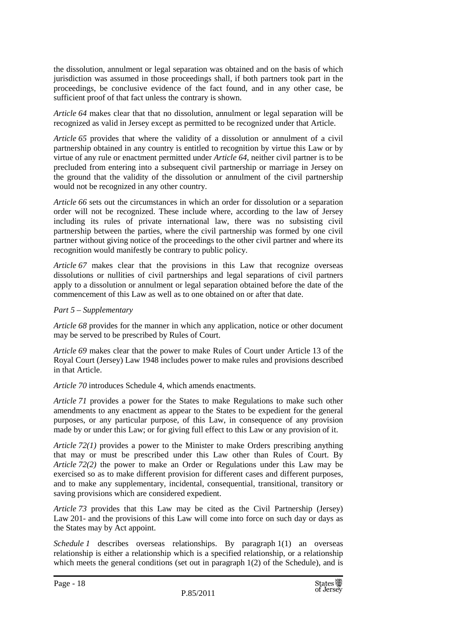the dissolution, annulment or legal separation was obtained and on the basis of which jurisdiction was assumed in those proceedings shall, if both partners took part in the proceedings, be conclusive evidence of the fact found, and in any other case, be sufficient proof of that fact unless the contrary is shown.

*Article 64* makes clear that that no dissolution, annulment or legal separation will be recognized as valid in Jersey except as permitted to be recognized under that Article.

*Article 65* provides that where the validity of a dissolution or annulment of a civil partnership obtained in any country is entitled to recognition by virtue this Law or by virtue of any rule or enactment permitted under *Article 64*, neither civil partner is to be precluded from entering into a subsequent civil partnership or marriage in Jersey on the ground that the validity of the dissolution or annulment of the civil partnership would not be recognized in any other country.

*Article 66* sets out the circumstances in which an order for dissolution or a separation order will not be recognized. These include where, according to the law of Jersey including its rules of private international law, there was no subsisting civil partnership between the parties, where the civil partnership was formed by one civil partner without giving notice of the proceedings to the other civil partner and where its recognition would manifestly be contrary to public policy.

*Article 67* makes clear that the provisions in this Law that recognize overseas dissolutions or nullities of civil partnerships and legal separations of civil partners apply to a dissolution or annulment or legal separation obtained before the date of the commencement of this Law as well as to one obtained on or after that date.

#### *Part 5 – Supplementary*

*Article 68* provides for the manner in which any application, notice or other document may be served to be prescribed by Rules of Court.

*Article 69* makes clear that the power to make Rules of Court under Article 13 of the Royal Court (Jersey) Law 1948 includes power to make rules and provisions described in that Article.

*Article 70* introduces Schedule 4, which amends enactments.

*Article 71* provides a power for the States to make Regulations to make such other amendments to any enactment as appear to the States to be expedient for the general purposes, or any particular purpose, of this Law, in consequence of any provision made by or under this Law; or for giving full effect to this Law or any provision of it.

*Article 72(1)* provides a power to the Minister to make Orders prescribing anything that may or must be prescribed under this Law other than Rules of Court. By *Article 72(2)* the power to make an Order or Regulations under this Law may be exercised so as to make different provision for different cases and different purposes, and to make any supplementary, incidental, consequential, transitional, transitory or saving provisions which are considered expedient.

*Article 73* provides that this Law may be cited as the Civil Partnership (Jersey) Law 201- and the provisions of this Law will come into force on such day or days as the States may by Act appoint.

*Schedule 1* describes overseas relationships. By paragraph 1(1) an overseas relationship is either a relationship which is a specified relationship, or a relationship which meets the general conditions (set out in paragraph  $1(2)$  of the Schedule), and is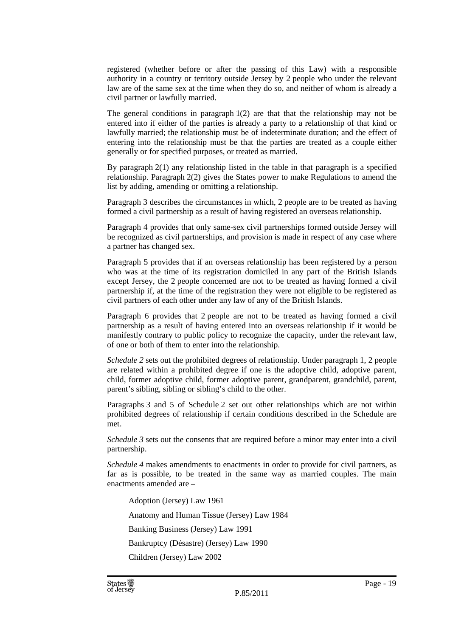registered (whether before or after the passing of this Law) with a responsible authority in a country or territory outside Jersey by 2 people who under the relevant law are of the same sex at the time when they do so, and neither of whom is already a civil partner or lawfully married.

The general conditions in paragraph  $1(2)$  are that that the relationship may not be entered into if either of the parties is already a party to a relationship of that kind or lawfully married; the relationship must be of indeterminate duration; and the effect of entering into the relationship must be that the parties are treated as a couple either generally or for specified purposes, or treated as married.

By paragraph 2(1) any relationship listed in the table in that paragraph is a specified relationship. Paragraph 2(2) gives the States power to make Regulations to amend the list by adding, amending or omitting a relationship.

Paragraph 3 describes the circumstances in which, 2 people are to be treated as having formed a civil partnership as a result of having registered an overseas relationship.

Paragraph 4 provides that only same-sex civil partnerships formed outside Jersey will be recognized as civil partnerships, and provision is made in respect of any case where a partner has changed sex.

Paragraph 5 provides that if an overseas relationship has been registered by a person who was at the time of its registration domiciled in any part of the British Islands except Jersey, the 2 people concerned are not to be treated as having formed a civil partnership if, at the time of the registration they were not eligible to be registered as civil partners of each other under any law of any of the British Islands.

Paragraph 6 provides that 2 people are not to be treated as having formed a civil partnership as a result of having entered into an overseas relationship if it would be manifestly contrary to public policy to recognize the capacity, under the relevant law, of one or both of them to enter into the relationship.

*Schedule 2* sets out the prohibited degrees of relationship. Under paragraph 1, 2 people are related within a prohibited degree if one is the adoptive child, adoptive parent, child, former adoptive child, former adoptive parent, grandparent, grandchild, parent, parent's sibling, sibling or sibling's child to the other.

Paragraphs 3 and 5 of Schedule 2 set out other relationships which are not within prohibited degrees of relationship if certain conditions described in the Schedule are met.

*Schedule 3* sets out the consents that are required before a minor may enter into a civil partnership.

*Schedule 4* makes amendments to enactments in order to provide for civil partners, as far as is possible, to be treated in the same way as married couples. The main enactments amended are –

Adoption (Jersey) Law 1961 Anatomy and Human Tissue (Jersey) Law 1984 Banking Business (Jersey) Law 1991 Bankruptcy (Désastre) (Jersey) Law 1990 Children (Jersey) Law 2002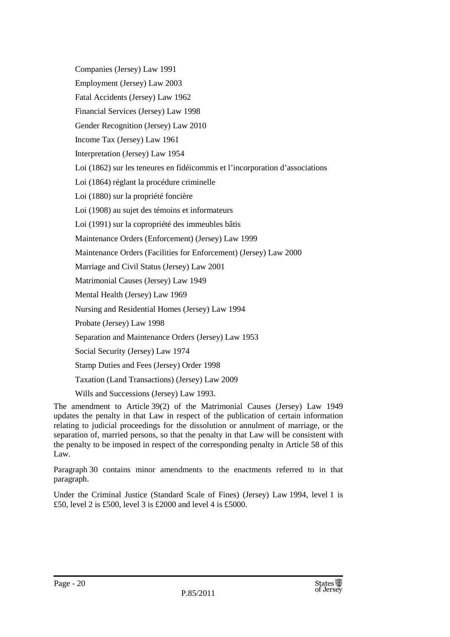Companies (Jersey) Law 1991

Employment (Jersey) Law 2003

Fatal Accidents (Jersey) Law 1962

Financial Services (Jersey) Law 1998

Gender Recognition (Jersey) Law 2010

Income Tax (Jersey) Law 1961

Interpretation (Jersey) Law 1954

Loi (1862) sur les teneures en fidéicommis et l'incorporation d'associations

Loi (1864) réglant la procédure criminelle

Loi (1880) sur la propriété foncière

Loi (1908) au sujet des témoins et informateurs

Loi (1991) sur la copropriété des immeubles bâtis

Maintenance Orders (Enforcement) (Jersey) Law 1999

Maintenance Orders (Facilities for Enforcement) (Jersey) Law 2000

Marriage and Civil Status (Jersey) Law 2001

Matrimonial Causes (Jersey) Law 1949

Mental Health (Jersey) Law 1969

Nursing and Residential Homes (Jersey) Law 1994

Probate (Jersey) Law 1998

Separation and Maintenance Orders (Jersey) Law 1953

Social Security (Jersey) Law 1974

Stamp Duties and Fees (Jersey) Order 1998

Taxation (Land Transactions) (Jersey) Law 2009

Wills and Successions (Jersey) Law 1993.

The amendment to Article 39(2) of the Matrimonial Causes (Jersey) Law 1949 updates the penalty in that Law in respect of the publication of certain information relating to judicial proceedings for the dissolution or annulment of marriage, or the separation of, married persons, so that the penalty in that Law will be consistent with the penalty to be imposed in respect of the corresponding penalty in Article 58 of this Law.

Paragraph 30 contains minor amendments to the enactments referred to in that paragraph.

Under the Criminal Justice (Standard Scale of Fines) (Jersey) Law 1994, level 1 is £50, level 2 is £500, level 3 is £2000 and level 4 is £5000.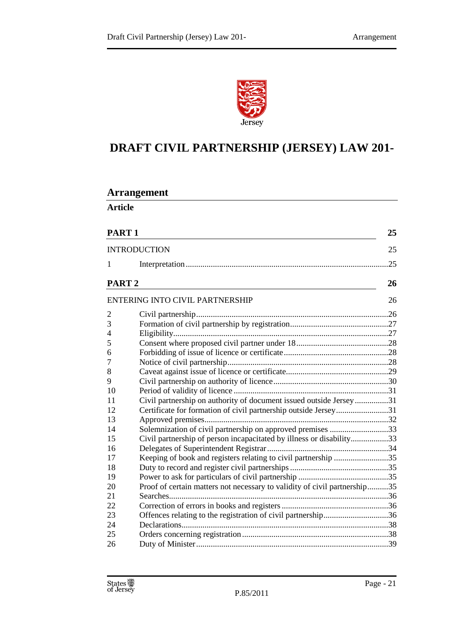

### **DRAFT CIVIL PARTNERSHIP (JERSEY) LAW 201-**

### **Arrangement**

**Article** 

| PART <sub>1</sub><br><b>INTRODUCTION</b> |                                                                           | 25  |  |
|------------------------------------------|---------------------------------------------------------------------------|-----|--|
|                                          |                                                                           | 25  |  |
| 1                                        |                                                                           | .25 |  |
| PART <sub>2</sub>                        |                                                                           | 26  |  |
|                                          | <b>ENTERING INTO CIVIL PARTNERSHIP</b>                                    | 26  |  |
| $\overline{2}$                           |                                                                           |     |  |
| 3                                        |                                                                           |     |  |
| 4                                        |                                                                           |     |  |
| 5                                        |                                                                           |     |  |
| 6                                        |                                                                           |     |  |
| $\overline{7}$                           |                                                                           |     |  |
| 8                                        |                                                                           |     |  |
| 9                                        |                                                                           |     |  |
| 10                                       |                                                                           |     |  |
| 11                                       | Civil partnership on authority of document issued outside Jersey31        |     |  |
| 12                                       | Certificate for formation of civil partnership outside Jersey31           |     |  |
| 13                                       |                                                                           |     |  |
| 14                                       | Solemnization of civil partnership on approved premises 33                |     |  |
| 15                                       | Civil partnership of person incapacitated by illness or disability33      |     |  |
| 16                                       |                                                                           |     |  |
| 17                                       | Keeping of book and registers relating to civil partnership 35            |     |  |
| 18                                       |                                                                           |     |  |
| 19                                       |                                                                           |     |  |
| 20                                       | Proof of certain matters not necessary to validity of civil partnership35 |     |  |
| 21                                       |                                                                           |     |  |
| 22                                       |                                                                           |     |  |
| 23                                       | Offences relating to the registration of civil partnership36              |     |  |
| 24                                       |                                                                           |     |  |
| 25                                       |                                                                           |     |  |
| 26                                       |                                                                           |     |  |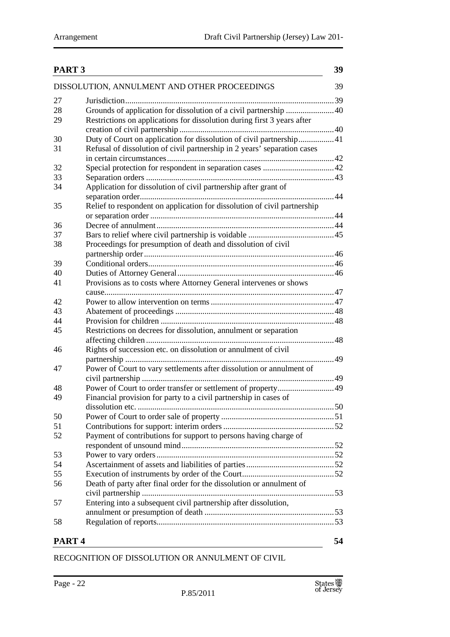| PART <sub>3</sub> |                                                                          | 39 |
|-------------------|--------------------------------------------------------------------------|----|
|                   | DISSOLUTION, ANNULMENT AND OTHER PROCEEDINGS                             | 39 |
| 27                |                                                                          |    |
| 28                | Grounds of application for dissolution of a civil partnership  40        |    |
| 29                | Restrictions on applications for dissolution during first 3 years after  |    |
|                   |                                                                          |    |
| 30                | Duty of Court on application for dissolution of civil partnership 41     |    |
| 31                | Refusal of dissolution of civil partnership in 2 years' separation cases |    |
|                   |                                                                          |    |
| 32                |                                                                          |    |
| 33                |                                                                          |    |
| 34                | Application for dissolution of civil partnership after grant of          |    |
|                   |                                                                          |    |
| 35                | Relief to respondent on application for dissolution of civil partnership |    |
|                   |                                                                          |    |
| 36                |                                                                          |    |
| 37                |                                                                          |    |
| 38                | Proceedings for presumption of death and dissolution of civil            |    |
|                   |                                                                          |    |
|                   |                                                                          |    |
| 39                |                                                                          |    |
| 40                |                                                                          |    |
| 41                | Provisions as to costs where Attorney General intervenes or shows        |    |
|                   |                                                                          |    |
| 42                |                                                                          |    |
| 43                |                                                                          |    |
| 44                |                                                                          |    |
| 45                | Restrictions on decrees for dissolution, annulment or separation         |    |
|                   |                                                                          |    |
| 46                | Rights of succession etc. on dissolution or annulment of civil           |    |
|                   |                                                                          |    |
| 47                | Power of Court to vary settlements after dissolution or annulment of     |    |
|                   |                                                                          |    |
| 48                |                                                                          |    |
| 49                | Financial provision for party to a civil partnership in cases of         |    |
|                   |                                                                          |    |
| 50                |                                                                          |    |
| 51                |                                                                          |    |
| 52                | Payment of contributions for support to persons having charge of         |    |
|                   |                                                                          |    |
| 53                |                                                                          |    |
| 54                |                                                                          |    |
| 55                |                                                                          |    |
| 56                | Death of party after final order for the dissolution or annulment of     |    |
|                   |                                                                          |    |
| 57                | Entering into a subsequent civil partnership after dissolution,          |    |
|                   |                                                                          |    |
| 58                |                                                                          |    |
|                   |                                                                          |    |
| PART <sub>4</sub> |                                                                          | 54 |

RECOGNITION OF DISSOLUTION OR ANNULMENT OF CIVIL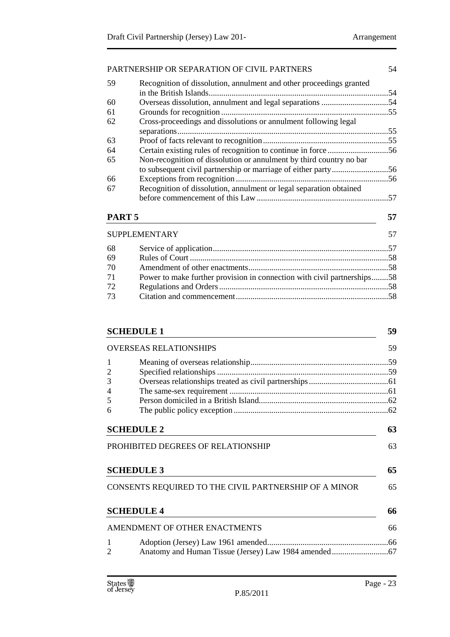#### PARTNERSHIP OR SEPARATION OF CIVIL PARTNERS 54

| 59 | Recognition of dissolution, annulment and other proceedings granted |     |
|----|---------------------------------------------------------------------|-----|
| 60 |                                                                     |     |
| 61 |                                                                     | .55 |
| 62 | Cross-proceedings and dissolutions or annulment following legal     |     |
|    |                                                                     |     |
| 63 |                                                                     |     |
| 64 |                                                                     |     |
| 65 | Non-recognition of dissolution or annulment by third country no bar |     |
|    |                                                                     |     |
| 66 |                                                                     |     |
| 67 | Recognition of dissolution, annulment or legal separation obtained  |     |
|    |                                                                     |     |

#### **PART 5** 57

|    | <b>SUPPLEMENTARY</b>                                                    |  |
|----|-------------------------------------------------------------------------|--|
| 68 |                                                                         |  |
| 69 |                                                                         |  |
| 70 |                                                                         |  |
| 71 | Power to make further provision in connection with civil partnerships58 |  |
| 72 |                                                                         |  |
| 73 |                                                                         |  |
|    |                                                                         |  |

|                               | <b>SCHEDULE 1</b>                                     | 59                               |
|-------------------------------|-------------------------------------------------------|----------------------------------|
| <b>OVERSEAS RELATIONSHIPS</b> |                                                       | 59                               |
| 1                             |                                                       |                                  |
| 2                             |                                                       |                                  |
| 3                             |                                                       |                                  |
| 4                             |                                                       |                                  |
| 5                             |                                                       |                                  |
| 6                             |                                                       |                                  |
|                               |                                                       |                                  |
|                               | <b>SCHEDULE 2</b>                                     |                                  |
|                               | PROHIBITED DEGREES OF RELATIONSHIP                    |                                  |
|                               | <b>SCHEDULE 3</b>                                     |                                  |
|                               | CONSENTS REQUIRED TO THE CIVIL PARTNERSHIP OF A MINOR |                                  |
|                               | <b>SCHEDULE 4</b>                                     |                                  |
|                               | AMENDMENT OF OTHER ENACTMENTS                         | 63<br>63<br>65<br>65<br>66<br>66 |
| 1                             |                                                       |                                  |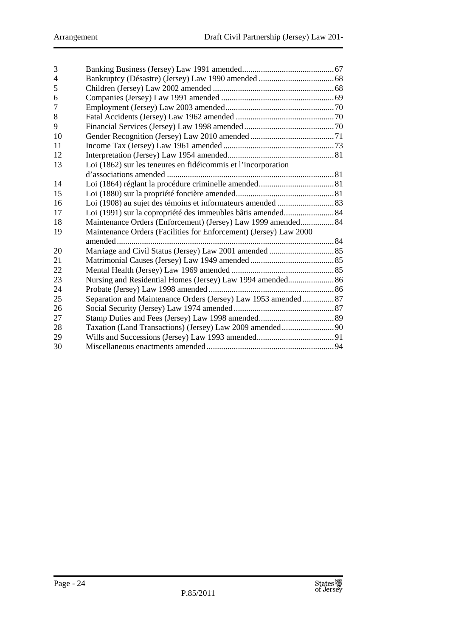| 3  |                                                                   |  |
|----|-------------------------------------------------------------------|--|
| 4  |                                                                   |  |
| 5  |                                                                   |  |
| 6  |                                                                   |  |
| 7  |                                                                   |  |
| 8  |                                                                   |  |
| 9  |                                                                   |  |
| 10 |                                                                   |  |
| 11 |                                                                   |  |
| 12 |                                                                   |  |
| 13 | Loi (1862) sur les teneures en fidéicommis et l'incorporation     |  |
|    |                                                                   |  |
| 14 |                                                                   |  |
| 15 |                                                                   |  |
| 16 |                                                                   |  |
| 17 | Loi (1991) sur la copropriété des immeubles bâtis amended 84      |  |
| 18 | Maintenance Orders (Enforcement) (Jersey) Law 1999 amended 84     |  |
| 19 | Maintenance Orders (Facilities for Enforcement) (Jersey) Law 2000 |  |
|    |                                                                   |  |
| 20 |                                                                   |  |
| 21 |                                                                   |  |
| 22 |                                                                   |  |
| 23 | Nursing and Residential Homes (Jersey) Law 1994 amended 86        |  |
| 24 |                                                                   |  |
| 25 | Separation and Maintenance Orders (Jersey) Law 1953 amended  87   |  |
| 26 |                                                                   |  |
| 27 |                                                                   |  |
| 28 |                                                                   |  |
| 29 |                                                                   |  |
| 30 |                                                                   |  |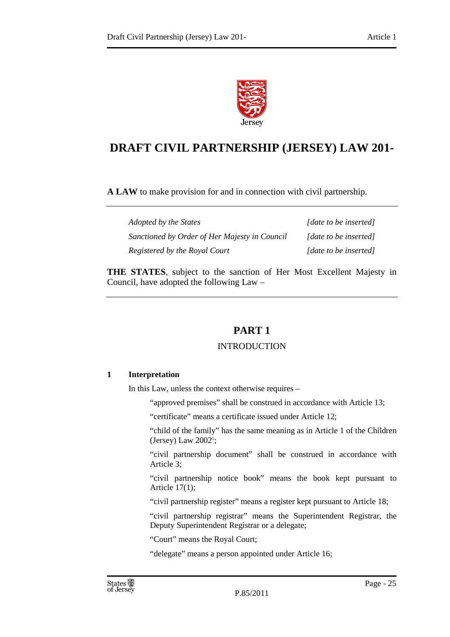

### **DRAFT CIVIL PARTNERSHIP (JERSEY) LAW 201-**

**A LAW** to make provision for and in connection with civil partnership.

| Adopted by the States                         | [date to be inserted] |
|-----------------------------------------------|-----------------------|
| Sanctioned by Order of Her Majesty in Council | [date to be inserted] |
| Registered by the Royal Court                 | [date to be inserted] |

**THE STATES**, subject to the sanction of Her Most Excellent Majesty in Council, have adopted the following Law –

### **PART 1**

#### INTRODUCTION

#### **1 Interpretation**

In this Law, unless the context otherwise requires –

"approved premises" shall be construed in accordance with Article 13;

"certificate" means a certificate issued under Article 12;

"child of the family" has the same meaning as in Article 1 of the Children  $(Jersey)$  Law 2002<sup>1</sup>;

"civil partnership document" shall be construed in accordance with Article 3;

"civil partnership notice book" means the book kept pursuant to Article 17(1);

"civil partnership register" means a register kept pursuant to Article 18;

"civil partnership registrar" means the Superintendent Registrar, the Deputy Superintendent Registrar or a delegate;

"Court" means the Royal Court;

"delegate" means a person appointed under Article 16;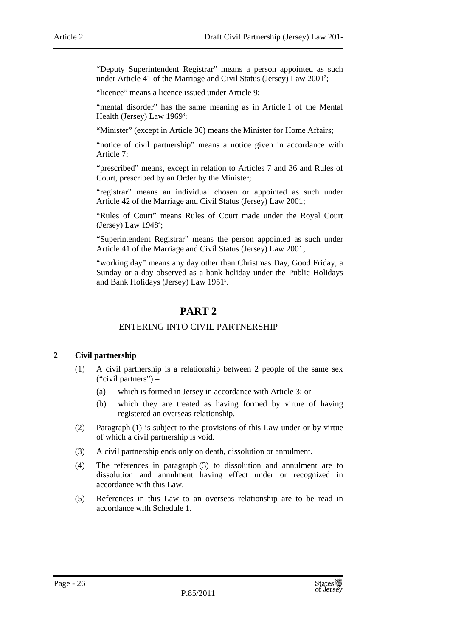"Deputy Superintendent Registrar" means a person appointed as such under Article 41 of the Marriage and Civil Status (Jersey) Law 2001<sup>2</sup>;

"licence" means a licence issued under Article 9;

"mental disorder" has the same meaning as in Article 1 of the Mental Health (Jersey) Law 1969<sup>3</sup>;

"Minister" (except in Article 36) means the Minister for Home Affairs;

"notice of civil partnership" means a notice given in accordance with Article 7;

"prescribed" means, except in relation to Articles 7 and 36 and Rules of Court, prescribed by an Order by the Minister;

"registrar" means an individual chosen or appointed as such under Article 42 of the Marriage and Civil Status (Jersey) Law 2001;

"Rules of Court" means Rules of Court made under the Royal Court  $(Jersey)$  Law 1948<sup>4</sup>;

"Superintendent Registrar" means the person appointed as such under Article 41 of the Marriage and Civil Status (Jersey) Law 2001;

"working day" means any day other than Christmas Day, Good Friday, a Sunday or a day observed as a bank holiday under the Public Holidays and Bank Holidays (Jersey) Law 1951<sup>5</sup> .

#### **PART 2**

#### ENTERING INTO CIVIL PARTNERSHIP

#### **2 Civil partnership**

- (1) A civil partnership is a relationship between 2 people of the same sex ("civil partners") –
	- (a) which is formed in Jersey in accordance with Article 3; or
	- (b) which they are treated as having formed by virtue of having registered an overseas relationship.
- (2) Paragraph (1) is subject to the provisions of this Law under or by virtue of which a civil partnership is void.
- (3) A civil partnership ends only on death, dissolution or annulment.
- (4) The references in paragraph (3) to dissolution and annulment are to dissolution and annulment having effect under or recognized in accordance with this Law.
- (5) References in this Law to an overseas relationship are to be read in accordance with Schedule 1.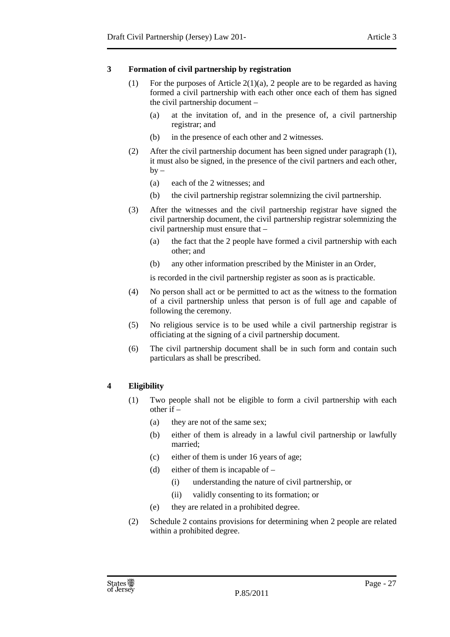#### **3 Formation of civil partnership by registration**

- (1) For the purposes of Article 2(1)(a), 2 people are to be regarded as having formed a civil partnership with each other once each of them has signed the civil partnership document –
	- (a) at the invitation of, and in the presence of, a civil partnership registrar; and
	- (b) in the presence of each other and 2 witnesses.
- (2) After the civil partnership document has been signed under paragraph (1), it must also be signed, in the presence of the civil partners and each other,  $by -$ 
	- (a) each of the 2 witnesses; and
	- (b) the civil partnership registrar solemnizing the civil partnership.
- (3) After the witnesses and the civil partnership registrar have signed the civil partnership document, the civil partnership registrar solemnizing the civil partnership must ensure that –
	- (a) the fact that the 2 people have formed a civil partnership with each other; and
	- (b) any other information prescribed by the Minister in an Order,

is recorded in the civil partnership register as soon as is practicable.

- (4) No person shall act or be permitted to act as the witness to the formation of a civil partnership unless that person is of full age and capable of following the ceremony.
- (5) No religious service is to be used while a civil partnership registrar is officiating at the signing of a civil partnership document.
- (6) The civil partnership document shall be in such form and contain such particulars as shall be prescribed.

#### **4 Eligibility**

- (1) Two people shall not be eligible to form a civil partnership with each other if –
	- (a) they are not of the same sex;
	- (b) either of them is already in a lawful civil partnership or lawfully married;
	- (c) either of them is under 16 years of age;
	- (d) either of them is incapable of
		- (i) understanding the nature of civil partnership, or
		- (ii) validly consenting to its formation; or
	- (e) they are related in a prohibited degree.
- (2) Schedule 2 contains provisions for determining when 2 people are related within a prohibited degree.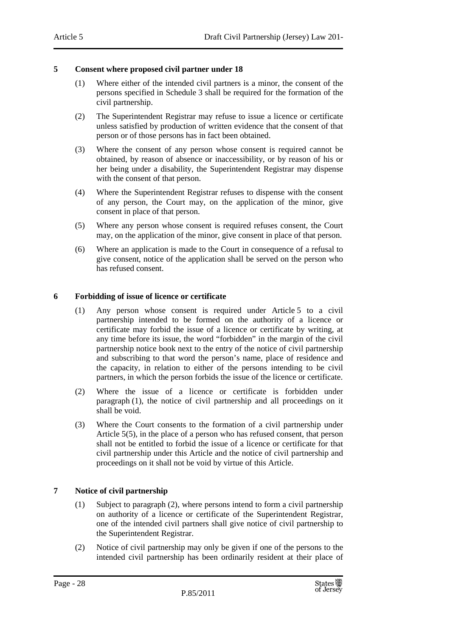#### **5 Consent where proposed civil partner under 18**

- (1) Where either of the intended civil partners is a minor, the consent of the persons specified in Schedule 3 shall be required for the formation of the civil partnership.
- (2) The Superintendent Registrar may refuse to issue a licence or certificate unless satisfied by production of written evidence that the consent of that person or of those persons has in fact been obtained.
- (3) Where the consent of any person whose consent is required cannot be obtained, by reason of absence or inaccessibility, or by reason of his or her being under a disability, the Superintendent Registrar may dispense with the consent of that person.
- (4) Where the Superintendent Registrar refuses to dispense with the consent of any person, the Court may, on the application of the minor, give consent in place of that person.
- (5) Where any person whose consent is required refuses consent, the Court may, on the application of the minor, give consent in place of that person.
- (6) Where an application is made to the Court in consequence of a refusal to give consent, notice of the application shall be served on the person who has refused consent.

#### **6 Forbidding of issue of licence or certificate**

- (1) Any person whose consent is required under Article 5 to a civil partnership intended to be formed on the authority of a licence or certificate may forbid the issue of a licence or certificate by writing, at any time before its issue, the word "forbidden" in the margin of the civil partnership notice book next to the entry of the notice of civil partnership and subscribing to that word the person's name, place of residence and the capacity, in relation to either of the persons intending to be civil partners, in which the person forbids the issue of the licence or certificate.
- (2) Where the issue of a licence or certificate is forbidden under paragraph (1), the notice of civil partnership and all proceedings on it shall be void.
- (3) Where the Court consents to the formation of a civil partnership under Article 5(5), in the place of a person who has refused consent, that person shall not be entitled to forbid the issue of a licence or certificate for that civil partnership under this Article and the notice of civil partnership and proceedings on it shall not be void by virtue of this Article.

#### **7 Notice of civil partnership**

- (1) Subject to paragraph (2), where persons intend to form a civil partnership on authority of a licence or certificate of the Superintendent Registrar, one of the intended civil partners shall give notice of civil partnership to the Superintendent Registrar.
- (2) Notice of civil partnership may only be given if one of the persons to the intended civil partnership has been ordinarily resident at their place of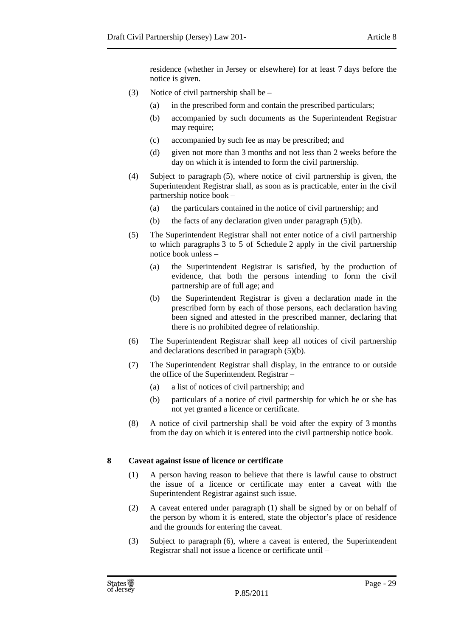residence (whether in Jersey or elsewhere) for at least 7 days before the notice is given.

- (3) Notice of civil partnership shall be
	- (a) in the prescribed form and contain the prescribed particulars;
	- (b) accompanied by such documents as the Superintendent Registrar may require;
	- (c) accompanied by such fee as may be prescribed; and
	- (d) given not more than 3 months and not less than 2 weeks before the day on which it is intended to form the civil partnership.
- (4) Subject to paragraph (5), where notice of civil partnership is given, the Superintendent Registrar shall, as soon as is practicable, enter in the civil partnership notice book –
	- (a) the particulars contained in the notice of civil partnership; and
	- (b) the facts of any declaration given under paragraph  $(5)(b)$ .
- (5) The Superintendent Registrar shall not enter notice of a civil partnership to which paragraphs 3 to 5 of Schedule 2 apply in the civil partnership notice book unless –
	- (a) the Superintendent Registrar is satisfied, by the production of evidence, that both the persons intending to form the civil partnership are of full age; and
	- (b) the Superintendent Registrar is given a declaration made in the prescribed form by each of those persons, each declaration having been signed and attested in the prescribed manner, declaring that there is no prohibited degree of relationship.
- (6) The Superintendent Registrar shall keep all notices of civil partnership and declarations described in paragraph (5)(b).
- (7) The Superintendent Registrar shall display, in the entrance to or outside the office of the Superintendent Registrar –
	- (a) a list of notices of civil partnership; and
	- (b) particulars of a notice of civil partnership for which he or she has not yet granted a licence or certificate.
- (8) A notice of civil partnership shall be void after the expiry of 3 months from the day on which it is entered into the civil partnership notice book.

#### **8 Caveat against issue of licence or certificate**

- (1) A person having reason to believe that there is lawful cause to obstruct the issue of a licence or certificate may enter a caveat with the Superintendent Registrar against such issue.
- (2) A caveat entered under paragraph (1) shall be signed by or on behalf of the person by whom it is entered, state the objector's place of residence and the grounds for entering the caveat.
- (3) Subject to paragraph (6), where a caveat is entered, the Superintendent Registrar shall not issue a licence or certificate until –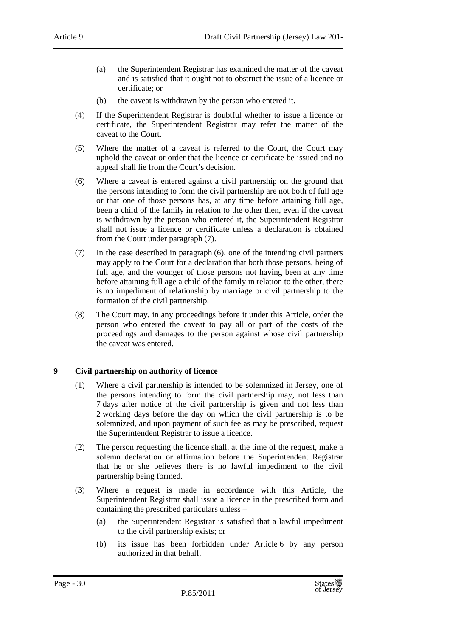- (a) the Superintendent Registrar has examined the matter of the caveat and is satisfied that it ought not to obstruct the issue of a licence or certificate; or
- (b) the caveat is withdrawn by the person who entered it.
- (4) If the Superintendent Registrar is doubtful whether to issue a licence or certificate, the Superintendent Registrar may refer the matter of the caveat to the Court.
- (5) Where the matter of a caveat is referred to the Court, the Court may uphold the caveat or order that the licence or certificate be issued and no appeal shall lie from the Court's decision.
- (6) Where a caveat is entered against a civil partnership on the ground that the persons intending to form the civil partnership are not both of full age or that one of those persons has, at any time before attaining full age, been a child of the family in relation to the other then, even if the caveat is withdrawn by the person who entered it, the Superintendent Registrar shall not issue a licence or certificate unless a declaration is obtained from the Court under paragraph (7).
- (7) In the case described in paragraph (6), one of the intending civil partners may apply to the Court for a declaration that both those persons, being of full age, and the younger of those persons not having been at any time before attaining full age a child of the family in relation to the other, there is no impediment of relationship by marriage or civil partnership to the formation of the civil partnership.
- (8) The Court may, in any proceedings before it under this Article, order the person who entered the caveat to pay all or part of the costs of the proceedings and damages to the person against whose civil partnership the caveat was entered.

#### **9 Civil partnership on authority of licence**

- (1) Where a civil partnership is intended to be solemnized in Jersey, one of the persons intending to form the civil partnership may, not less than 7 days after notice of the civil partnership is given and not less than 2 working days before the day on which the civil partnership is to be solemnized, and upon payment of such fee as may be prescribed, request the Superintendent Registrar to issue a licence.
- (2) The person requesting the licence shall, at the time of the request, make a solemn declaration or affirmation before the Superintendent Registrar that he or she believes there is no lawful impediment to the civil partnership being formed.
- (3) Where a request is made in accordance with this Article, the Superintendent Registrar shall issue a licence in the prescribed form and containing the prescribed particulars unless –
	- (a) the Superintendent Registrar is satisfied that a lawful impediment to the civil partnership exists; or
	- (b) its issue has been forbidden under Article 6 by any person authorized in that behalf.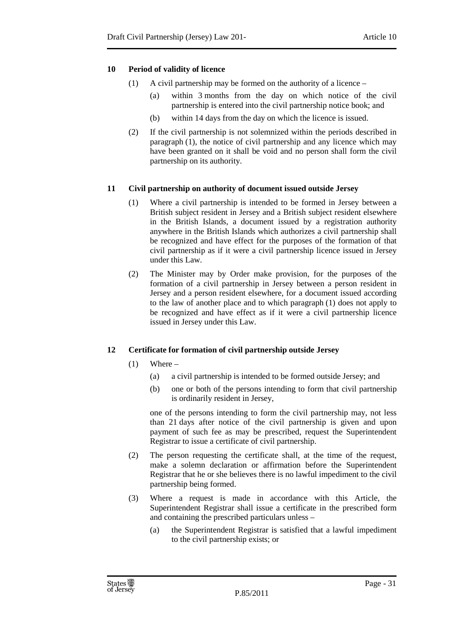#### **10 Period of validity of licence**

- (1) A civil partnership may be formed on the authority of a licence
	- (a) within 3 months from the day on which notice of the civil partnership is entered into the civil partnership notice book; and
	- (b) within 14 days from the day on which the licence is issued.
- (2) If the civil partnership is not solemnized within the periods described in paragraph (1), the notice of civil partnership and any licence which may have been granted on it shall be void and no person shall form the civil partnership on its authority.

#### **11 Civil partnership on authority of document issued outside Jersey**

- (1) Where a civil partnership is intended to be formed in Jersey between a British subject resident in Jersey and a British subject resident elsewhere in the British Islands, a document issued by a registration authority anywhere in the British Islands which authorizes a civil partnership shall be recognized and have effect for the purposes of the formation of that civil partnership as if it were a civil partnership licence issued in Jersey under this Law.
- (2) The Minister may by Order make provision, for the purposes of the formation of a civil partnership in Jersey between a person resident in Jersey and a person resident elsewhere, for a document issued according to the law of another place and to which paragraph (1) does not apply to be recognized and have effect as if it were a civil partnership licence issued in Jersey under this Law.

#### **12 Certificate for formation of civil partnership outside Jersey**

- $(1)$  Where
	- (a) a civil partnership is intended to be formed outside Jersey; and
	- (b) one or both of the persons intending to form that civil partnership is ordinarily resident in Jersey,

one of the persons intending to form the civil partnership may, not less than 21 days after notice of the civil partnership is given and upon payment of such fee as may be prescribed, request the Superintendent Registrar to issue a certificate of civil partnership.

- (2) The person requesting the certificate shall, at the time of the request, make a solemn declaration or affirmation before the Superintendent Registrar that he or she believes there is no lawful impediment to the civil partnership being formed.
- (3) Where a request is made in accordance with this Article, the Superintendent Registrar shall issue a certificate in the prescribed form and containing the prescribed particulars unless –
	- (a) the Superintendent Registrar is satisfied that a lawful impediment to the civil partnership exists; or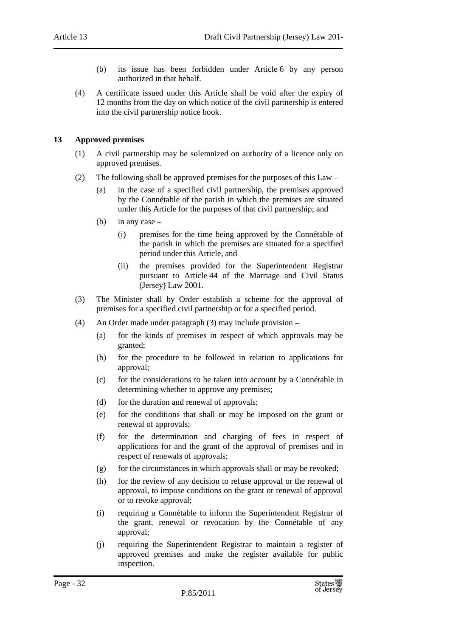- (b) its issue has been forbidden under Article 6 by any person authorized in that behalf.
- (4) A certificate issued under this Article shall be void after the expiry of 12 months from the day on which notice of the civil partnership is entered into the civil partnership notice book.

#### **13 Approved premises**

- (1) A civil partnership may be solemnized on authority of a licence only on approved premises.
- (2) The following shall be approved premises for the purposes of this Law
	- (a) in the case of a specified civil partnership, the premises approved by the Connétable of the parish in which the premises are situated under this Article for the purposes of that civil partnership; and
	- (b) in any case  $-$ 
		- (i) premises for the time being approved by the Connétable of the parish in which the premises are situated for a specified period under this Article, and
		- (ii) the premises provided for the Superintendent Registrar pursuant to Article 44 of the Marriage and Civil Status (Jersey) Law 2001.
- (3) The Minister shall by Order establish a scheme for the approval of premises for a specified civil partnership or for a specified period.
- (4) An Order made under paragraph (3) may include provision
	- (a) for the kinds of premises in respect of which approvals may be granted;
	- (b) for the procedure to be followed in relation to applications for approval;
	- (c) for the considerations to be taken into account by a Connétable in determining whether to approve any premises;
	- (d) for the duration and renewal of approvals;
	- (e) for the conditions that shall or may be imposed on the grant or renewal of approvals;
	- (f) for the determination and charging of fees in respect of applications for and the grant of the approval of premises and in respect of renewals of approvals;
	- $(g)$  for the circumstances in which approvals shall or may be revoked;
	- (h) for the review of any decision to refuse approval or the renewal of approval, to impose conditions on the grant or renewal of approval or to revoke approval;
	- (i) requiring a Connétable to inform the Superintendent Registrar of the grant, renewal or revocation by the Connétable of any approval;
	- (j) requiring the Superintendent Registrar to maintain a register of approved premises and make the register available for public inspection.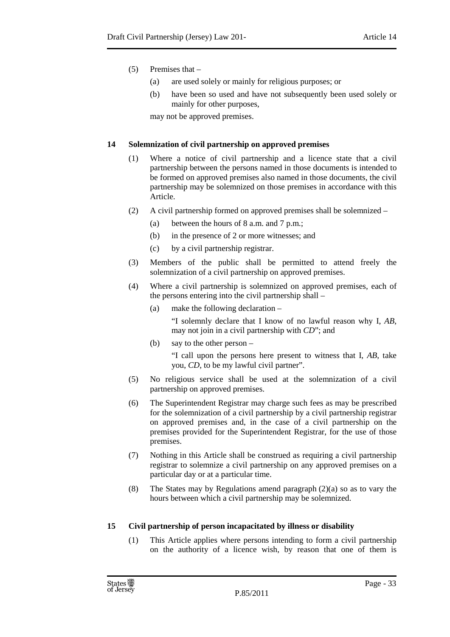- (5) Premises that
	- (a) are used solely or mainly for religious purposes; or
	- (b) have been so used and have not subsequently been used solely or mainly for other purposes,

may not be approved premises.

#### **14 Solemnization of civil partnership on approved premises**

- (1) Where a notice of civil partnership and a licence state that a civil partnership between the persons named in those documents is intended to be formed on approved premises also named in those documents, the civil partnership may be solemnized on those premises in accordance with this Article.
- (2) A civil partnership formed on approved premises shall be solemnized
	- (a) between the hours of 8 a.m. and 7 p.m.;
	- (b) in the presence of 2 or more witnesses; and
	- (c) by a civil partnership registrar.
- (3) Members of the public shall be permitted to attend freely the solemnization of a civil partnership on approved premises.
- (4) Where a civil partnership is solemnized on approved premises, each of the persons entering into the civil partnership shall –
	- (a) make the following declaration –

"I solemnly declare that I know of no lawful reason why I, *AB*, may not join in a civil partnership with *CD*"; and

(b) say to the other person –

"I call upon the persons here present to witness that I, *AB*, take you, *CD*, to be my lawful civil partner".

- (5) No religious service shall be used at the solemnization of a civil partnership on approved premises.
- (6) The Superintendent Registrar may charge such fees as may be prescribed for the solemnization of a civil partnership by a civil partnership registrar on approved premises and, in the case of a civil partnership on the premises provided for the Superintendent Registrar, for the use of those premises.
- (7) Nothing in this Article shall be construed as requiring a civil partnership registrar to solemnize a civil partnership on any approved premises on a particular day or at a particular time.
- (8) The States may by Regulations amend paragraph (2)(a) so as to vary the hours between which a civil partnership may be solemnized.

#### **15 Civil partnership of person incapacitated by illness or disability**

(1) This Article applies where persons intending to form a civil partnership on the authority of a licence wish, by reason that one of them is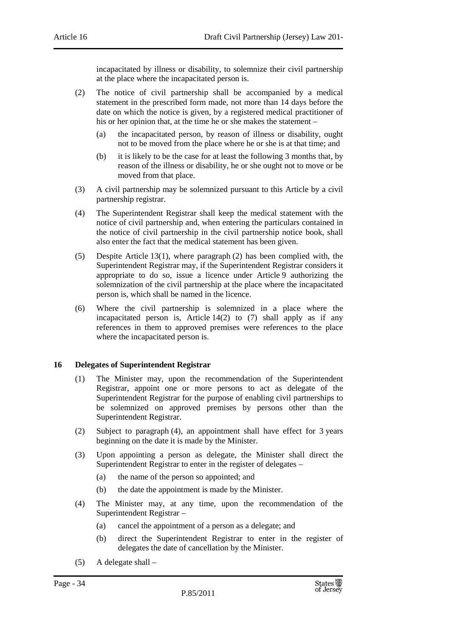incapacitated by illness or disability, to solemnize their civil partnership at the place where the incapacitated person is.

- (2) The notice of civil partnership shall be accompanied by a medical statement in the prescribed form made, not more than 14 days before the date on which the notice is given, by a registered medical practitioner of his or her opinion that, at the time he or she makes the statement –
	- (a) the incapacitated person, by reason of illness or disability, ought not to be moved from the place where he or she is at that time; and
	- (b) it is likely to be the case for at least the following 3 months that, by reason of the illness or disability, he or she ought not to move or be moved from that place.
- (3) A civil partnership may be solemnized pursuant to this Article by a civil partnership registrar.
- (4) The Superintendent Registrar shall keep the medical statement with the notice of civil partnership and, when entering the particulars contained in the notice of civil partnership in the civil partnership notice book, shall also enter the fact that the medical statement has been given.
- (5) Despite Article 13(1), where paragraph (2) has been complied with, the Superintendent Registrar may, if the Superintendent Registrar considers it appropriate to do so, issue a licence under Article 9 authorizing the solemnization of the civil partnership at the place where the incapacitated person is, which shall be named in the licence.
- (6) Where the civil partnership is solemnized in a place where the incapacitated person is, Article  $14(2)$  to (7) shall apply as if any references in them to approved premises were references to the place where the incapacitated person is.

#### **16 Delegates of Superintendent Registrar**

- (1) The Minister may, upon the recommendation of the Superintendent Registrar, appoint one or more persons to act as delegate of the Superintendent Registrar for the purpose of enabling civil partnerships to be solemnized on approved premises by persons other than the Superintendent Registrar.
- (2) Subject to paragraph (4), an appointment shall have effect for 3 years beginning on the date it is made by the Minister.
- (3) Upon appointing a person as delegate, the Minister shall direct the Superintendent Registrar to enter in the register of delegates –
	- (a) the name of the person so appointed; and
	- (b) the date the appointment is made by the Minister.
- (4) The Minister may, at any time, upon the recommendation of the Superintendent Registrar –
	- (a) cancel the appointment of a person as a delegate; and
	- (b) direct the Superintendent Registrar to enter in the register of delegates the date of cancellation by the Minister.
- (5) A delegate shall –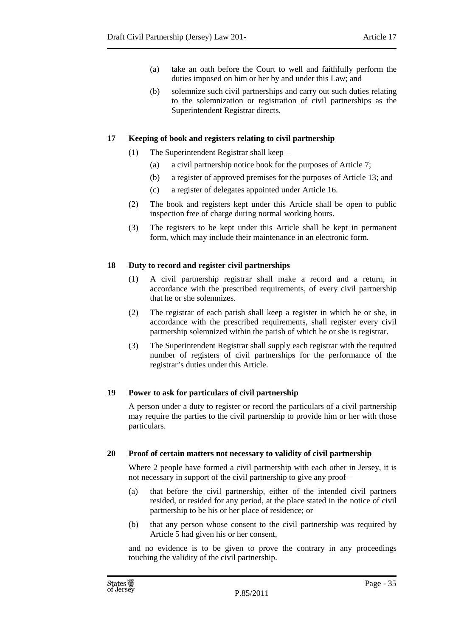- (a) take an oath before the Court to well and faithfully perform the duties imposed on him or her by and under this Law; and
- (b) solemnize such civil partnerships and carry out such duties relating to the solemnization or registration of civil partnerships as the Superintendent Registrar directs.

#### **17 Keeping of book and registers relating to civil partnership**

- (1) The Superintendent Registrar shall keep
	- (a) a civil partnership notice book for the purposes of Article 7;
	- (b) a register of approved premises for the purposes of Article 13; and
	- (c) a register of delegates appointed under Article 16.
- (2) The book and registers kept under this Article shall be open to public inspection free of charge during normal working hours.
- (3) The registers to be kept under this Article shall be kept in permanent form, which may include their maintenance in an electronic form.

#### **18 Duty to record and register civil partnerships**

- (1) A civil partnership registrar shall make a record and a return, in accordance with the prescribed requirements, of every civil partnership that he or she solemnizes.
- (2) The registrar of each parish shall keep a register in which he or she, in accordance with the prescribed requirements, shall register every civil partnership solemnized within the parish of which he or she is registrar.
- (3) The Superintendent Registrar shall supply each registrar with the required number of registers of civil partnerships for the performance of the registrar's duties under this Article.

#### **19 Power to ask for particulars of civil partnership**

A person under a duty to register or record the particulars of a civil partnership may require the parties to the civil partnership to provide him or her with those particulars.

#### **20 Proof of certain matters not necessary to validity of civil partnership**

Where 2 people have formed a civil partnership with each other in Jersey, it is not necessary in support of the civil partnership to give any proof –

- (a) that before the civil partnership, either of the intended civil partners resided, or resided for any period, at the place stated in the notice of civil partnership to be his or her place of residence; or
- (b) that any person whose consent to the civil partnership was required by Article 5 had given his or her consent,

and no evidence is to be given to prove the contrary in any proceedings touching the validity of the civil partnership.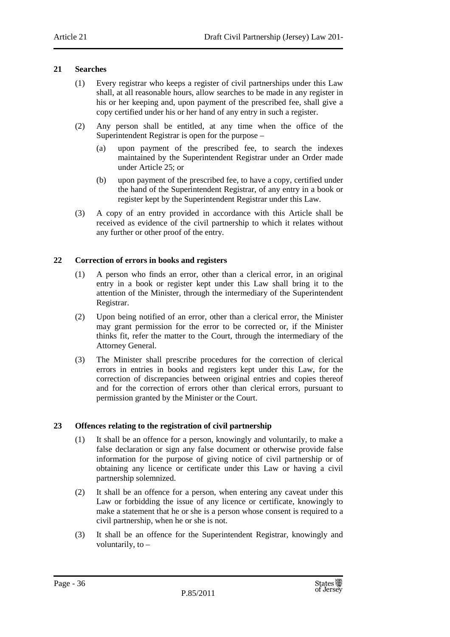#### **21 Searches**

- (1) Every registrar who keeps a register of civil partnerships under this Law shall, at all reasonable hours, allow searches to be made in any register in his or her keeping and, upon payment of the prescribed fee, shall give a copy certified under his or her hand of any entry in such a register.
- (2) Any person shall be entitled, at any time when the office of the Superintendent Registrar is open for the purpose –
	- (a) upon payment of the prescribed fee, to search the indexes maintained by the Superintendent Registrar under an Order made under Article 25; or
	- (b) upon payment of the prescribed fee, to have a copy, certified under the hand of the Superintendent Registrar, of any entry in a book or register kept by the Superintendent Registrar under this Law.
- (3) A copy of an entry provided in accordance with this Article shall be received as evidence of the civil partnership to which it relates without any further or other proof of the entry.

#### **22 Correction of errors in books and registers**

- (1) A person who finds an error, other than a clerical error, in an original entry in a book or register kept under this Law shall bring it to the attention of the Minister, through the intermediary of the Superintendent Registrar.
- (2) Upon being notified of an error, other than a clerical error, the Minister may grant permission for the error to be corrected or, if the Minister thinks fit, refer the matter to the Court, through the intermediary of the Attorney General.
- (3) The Minister shall prescribe procedures for the correction of clerical errors in entries in books and registers kept under this Law, for the correction of discrepancies between original entries and copies thereof and for the correction of errors other than clerical errors, pursuant to permission granted by the Minister or the Court.

#### **23 Offences relating to the registration of civil partnership**

- (1) It shall be an offence for a person, knowingly and voluntarily, to make a false declaration or sign any false document or otherwise provide false information for the purpose of giving notice of civil partnership or of obtaining any licence or certificate under this Law or having a civil partnership solemnized.
- (2) It shall be an offence for a person, when entering any caveat under this Law or forbidding the issue of any licence or certificate, knowingly to make a statement that he or she is a person whose consent is required to a civil partnership, when he or she is not.
- (3) It shall be an offence for the Superintendent Registrar, knowingly and voluntarily, to –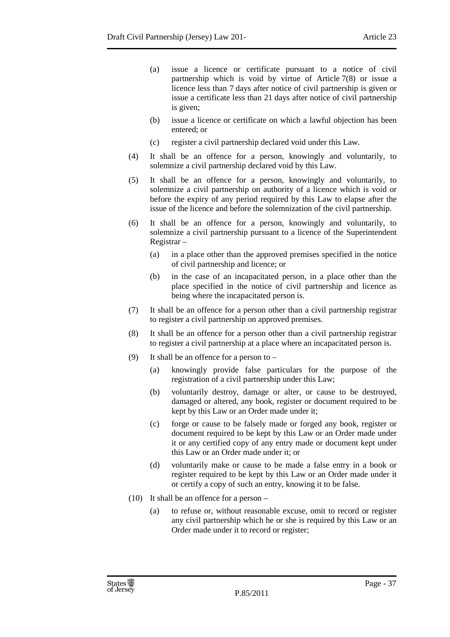- (a) issue a licence or certificate pursuant to a notice of civil partnership which is void by virtue of Article 7(8) or issue a licence less than 7 days after notice of civil partnership is given or issue a certificate less than 21 days after notice of civil partnership is given;
- (b) issue a licence or certificate on which a lawful objection has been entered; or
- (c) register a civil partnership declared void under this Law.
- (4) It shall be an offence for a person, knowingly and voluntarily, to solemnize a civil partnership declared void by this Law.
- (5) It shall be an offence for a person, knowingly and voluntarily, to solemnize a civil partnership on authority of a licence which is void or before the expiry of any period required by this Law to elapse after the issue of the licence and before the solemnization of the civil partnership.
- (6) It shall be an offence for a person, knowingly and voluntarily, to solemnize a civil partnership pursuant to a licence of the Superintendent Registrar –
	- (a) in a place other than the approved premises specified in the notice of civil partnership and licence; or
	- (b) in the case of an incapacitated person, in a place other than the place specified in the notice of civil partnership and licence as being where the incapacitated person is.
- (7) It shall be an offence for a person other than a civil partnership registrar to register a civil partnership on approved premises.
- (8) It shall be an offence for a person other than a civil partnership registrar to register a civil partnership at a place where an incapacitated person is.
- (9) It shall be an offence for a person to
	- (a) knowingly provide false particulars for the purpose of the registration of a civil partnership under this Law;
	- (b) voluntarily destroy, damage or alter, or cause to be destroyed, damaged or altered, any book, register or document required to be kept by this Law or an Order made under it;
	- (c) forge or cause to be falsely made or forged any book, register or document required to be kept by this Law or an Order made under it or any certified copy of any entry made or document kept under this Law or an Order made under it; or
	- (d) voluntarily make or cause to be made a false entry in a book or register required to be kept by this Law or an Order made under it or certify a copy of such an entry, knowing it to be false.
- (10) It shall be an offence for a person
	- (a) to refuse or, without reasonable excuse, omit to record or register any civil partnership which he or she is required by this Law or an Order made under it to record or register;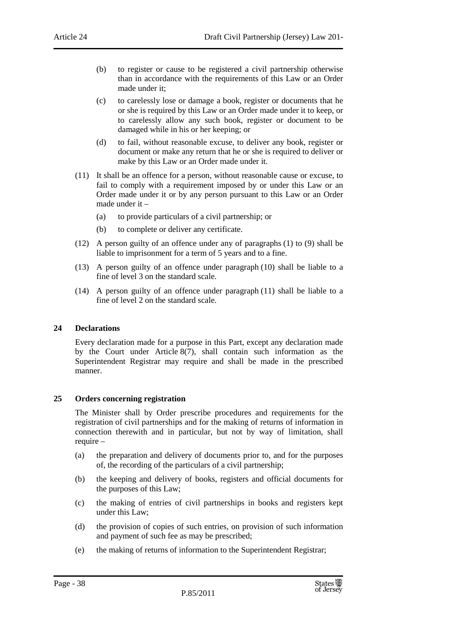- (b) to register or cause to be registered a civil partnership otherwise than in accordance with the requirements of this Law or an Order made under it;
- (c) to carelessly lose or damage a book, register or documents that he or she is required by this Law or an Order made under it to keep, or to carelessly allow any such book, register or document to be damaged while in his or her keeping; or
- (d) to fail, without reasonable excuse, to deliver any book, register or document or make any return that he or she is required to deliver or make by this Law or an Order made under it.
- (11) It shall be an offence for a person, without reasonable cause or excuse, to fail to comply with a requirement imposed by or under this Law or an Order made under it or by any person pursuant to this Law or an Order made under it –
	- (a) to provide particulars of a civil partnership; or
	- (b) to complete or deliver any certificate.
- (12) A person guilty of an offence under any of paragraphs (1) to (9) shall be liable to imprisonment for a term of 5 years and to a fine.
- (13) A person guilty of an offence under paragraph (10) shall be liable to a fine of level 3 on the standard scale.
- (14) A person guilty of an offence under paragraph (11) shall be liable to a fine of level 2 on the standard scale.

#### **24 Declarations**

Every declaration made for a purpose in this Part, except any declaration made by the Court under Article  $8(7)$ , shall contain such information as the Superintendent Registrar may require and shall be made in the prescribed manner.

#### **25 Orders concerning registration**

The Minister shall by Order prescribe procedures and requirements for the registration of civil partnerships and for the making of returns of information in connection therewith and in particular, but not by way of limitation, shall require –

- (a) the preparation and delivery of documents prior to, and for the purposes of, the recording of the particulars of a civil partnership;
- (b) the keeping and delivery of books, registers and official documents for the purposes of this Law;
- (c) the making of entries of civil partnerships in books and registers kept under this Law;
- (d) the provision of copies of such entries, on provision of such information and payment of such fee as may be prescribed;
- (e) the making of returns of information to the Superintendent Registrar;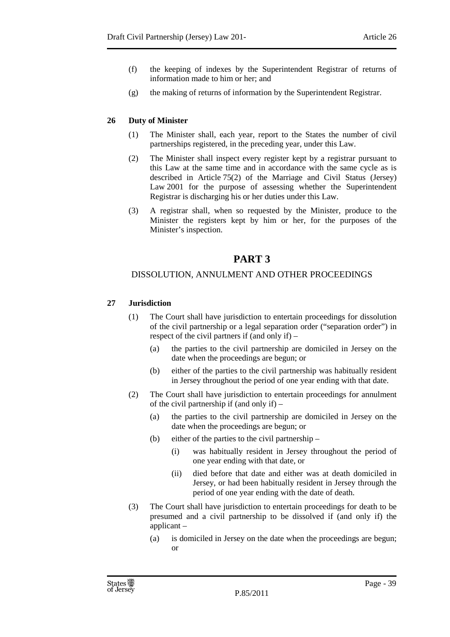- (f) the keeping of indexes by the Superintendent Registrar of returns of information made to him or her; and
- (g) the making of returns of information by the Superintendent Registrar.

# **26 Duty of Minister**

- (1) The Minister shall, each year, report to the States the number of civil partnerships registered, in the preceding year, under this Law.
- (2) The Minister shall inspect every register kept by a registrar pursuant to this Law at the same time and in accordance with the same cycle as is described in Article 75(2) of the Marriage and Civil Status (Jersey) Law 2001 for the purpose of assessing whether the Superintendent Registrar is discharging his or her duties under this Law.
- (3) A registrar shall, when so requested by the Minister, produce to the Minister the registers kept by him or her, for the purposes of the Minister's inspection.

# **PART 3**

# DISSOLUTION, ANNULMENT AND OTHER PROCEEDINGS

# **27 Jurisdiction**

- (1) The Court shall have jurisdiction to entertain proceedings for dissolution of the civil partnership or a legal separation order ("separation order") in respect of the civil partners if (and only if) –
	- (a) the parties to the civil partnership are domiciled in Jersey on the date when the proceedings are begun; or
	- (b) either of the parties to the civil partnership was habitually resident in Jersey throughout the period of one year ending with that date.
- (2) The Court shall have jurisdiction to entertain proceedings for annulment of the civil partnership if (and only if) –
	- (a) the parties to the civil partnership are domiciled in Jersey on the date when the proceedings are begun; or
	- (b) either of the parties to the civil partnership
		- (i) was habitually resident in Jersey throughout the period of one year ending with that date, or
		- (ii) died before that date and either was at death domiciled in Jersey, or had been habitually resident in Jersey through the period of one year ending with the date of death.
- (3) The Court shall have jurisdiction to entertain proceedings for death to be presumed and a civil partnership to be dissolved if (and only if) the applicant –
	- (a) is domiciled in Jersey on the date when the proceedings are begun; or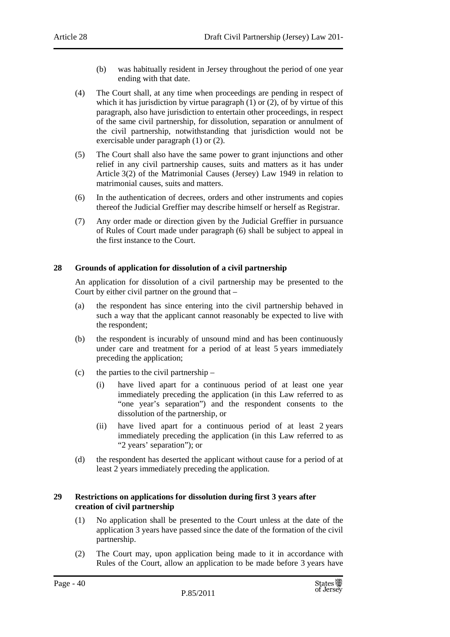- (b) was habitually resident in Jersey throughout the period of one year ending with that date.
- (4) The Court shall, at any time when proceedings are pending in respect of which it has jurisdiction by virtue paragraph (1) or (2), of by virtue of this paragraph, also have jurisdiction to entertain other proceedings, in respect of the same civil partnership, for dissolution, separation or annulment of the civil partnership, notwithstanding that jurisdiction would not be exercisable under paragraph (1) or (2).
- (5) The Court shall also have the same power to grant injunctions and other relief in any civil partnership causes, suits and matters as it has under Article 3(2) of the Matrimonial Causes (Jersey) Law 1949 in relation to matrimonial causes, suits and matters.
- (6) In the authentication of decrees, orders and other instruments and copies thereof the Judicial Greffier may describe himself or herself as Registrar.
- (7) Any order made or direction given by the Judicial Greffier in pursuance of Rules of Court made under paragraph (6) shall be subject to appeal in the first instance to the Court.

## **28 Grounds of application for dissolution of a civil partnership**

An application for dissolution of a civil partnership may be presented to the Court by either civil partner on the ground that –

- (a) the respondent has since entering into the civil partnership behaved in such a way that the applicant cannot reasonably be expected to live with the respondent;
- (b) the respondent is incurably of unsound mind and has been continuously under care and treatment for a period of at least 5 years immediately preceding the application;
- (c) the parties to the civil partnership
	- (i) have lived apart for a continuous period of at least one year immediately preceding the application (in this Law referred to as "one year's separation") and the respondent consents to the dissolution of the partnership, or
	- (ii) have lived apart for a continuous period of at least 2 years immediately preceding the application (in this Law referred to as "2 years' separation"); or
- (d) the respondent has deserted the applicant without cause for a period of at least 2 years immediately preceding the application.

#### **29 Restrictions on applications for dissolution during first 3 years after creation of civil partnership**

- (1) No application shall be presented to the Court unless at the date of the application 3 years have passed since the date of the formation of the civil partnership.
- (2) The Court may, upon application being made to it in accordance with Rules of the Court, allow an application to be made before 3 years have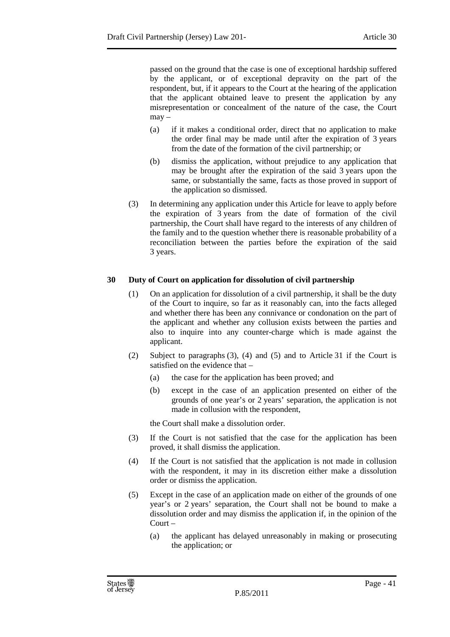passed on the ground that the case is one of exceptional hardship suffered by the applicant, or of exceptional depravity on the part of the respondent, but, if it appears to the Court at the hearing of the application that the applicant obtained leave to present the application by any misrepresentation or concealment of the nature of the case, the Court  $may -$ 

- (a) if it makes a conditional order, direct that no application to make the order final may be made until after the expiration of 3 years from the date of the formation of the civil partnership; or
- (b) dismiss the application, without prejudice to any application that may be brought after the expiration of the said 3 years upon the same, or substantially the same, facts as those proved in support of the application so dismissed.
- (3) In determining any application under this Article for leave to apply before the expiration of 3 years from the date of formation of the civil partnership, the Court shall have regard to the interests of any children of the family and to the question whether there is reasonable probability of a reconciliation between the parties before the expiration of the said 3 years.

## **30 Duty of Court on application for dissolution of civil partnership**

- (1) On an application for dissolution of a civil partnership, it shall be the duty of the Court to inquire, so far as it reasonably can, into the facts alleged and whether there has been any connivance or condonation on the part of the applicant and whether any collusion exists between the parties and also to inquire into any counter-charge which is made against the applicant.
- (2) Subject to paragraphs (3), (4) and (5) and to Article 31 if the Court is satisfied on the evidence that –
	- (a) the case for the application has been proved; and
	- (b) except in the case of an application presented on either of the grounds of one year's or 2 years' separation, the application is not made in collusion with the respondent,

the Court shall make a dissolution order.

- (3) If the Court is not satisfied that the case for the application has been proved, it shall dismiss the application.
- (4) If the Court is not satisfied that the application is not made in collusion with the respondent, it may in its discretion either make a dissolution order or dismiss the application.
- (5) Except in the case of an application made on either of the grounds of one year's or 2 years' separation, the Court shall not be bound to make a dissolution order and may dismiss the application if, in the opinion of the Court –
	- (a) the applicant has delayed unreasonably in making or prosecuting the application; or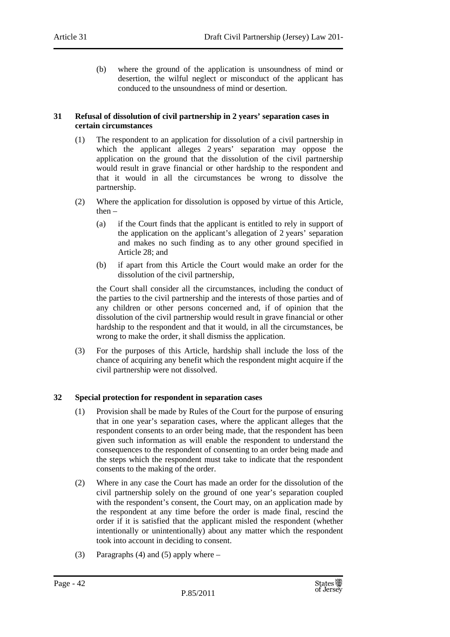(b) where the ground of the application is unsoundness of mind or desertion, the wilful neglect or misconduct of the applicant has conduced to the unsoundness of mind or desertion.

#### **31 Refusal of dissolution of civil partnership in 2 years' separation cases in certain circumstances**

- (1) The respondent to an application for dissolution of a civil partnership in which the applicant alleges 2 years' separation may oppose the application on the ground that the dissolution of the civil partnership would result in grave financial or other hardship to the respondent and that it would in all the circumstances be wrong to dissolve the partnership.
- (2) Where the application for dissolution is opposed by virtue of this Article, then –
	- (a) if the Court finds that the applicant is entitled to rely in support of the application on the applicant's allegation of 2 years' separation and makes no such finding as to any other ground specified in Article 28; and
	- (b) if apart from this Article the Court would make an order for the dissolution of the civil partnership,

the Court shall consider all the circumstances, including the conduct of the parties to the civil partnership and the interests of those parties and of any children or other persons concerned and, if of opinion that the dissolution of the civil partnership would result in grave financial or other hardship to the respondent and that it would, in all the circumstances, be wrong to make the order, it shall dismiss the application.

(3) For the purposes of this Article, hardship shall include the loss of the chance of acquiring any benefit which the respondent might acquire if the civil partnership were not dissolved.

## **32 Special protection for respondent in separation cases**

- (1) Provision shall be made by Rules of the Court for the purpose of ensuring that in one year's separation cases, where the applicant alleges that the respondent consents to an order being made, that the respondent has been given such information as will enable the respondent to understand the consequences to the respondent of consenting to an order being made and the steps which the respondent must take to indicate that the respondent consents to the making of the order.
- (2) Where in any case the Court has made an order for the dissolution of the civil partnership solely on the ground of one year's separation coupled with the respondent's consent, the Court may, on an application made by the respondent at any time before the order is made final, rescind the order if it is satisfied that the applicant misled the respondent (whether intentionally or unintentionally) about any matter which the respondent took into account in deciding to consent.
- (3) Paragraphs (4) and (5) apply where  $-$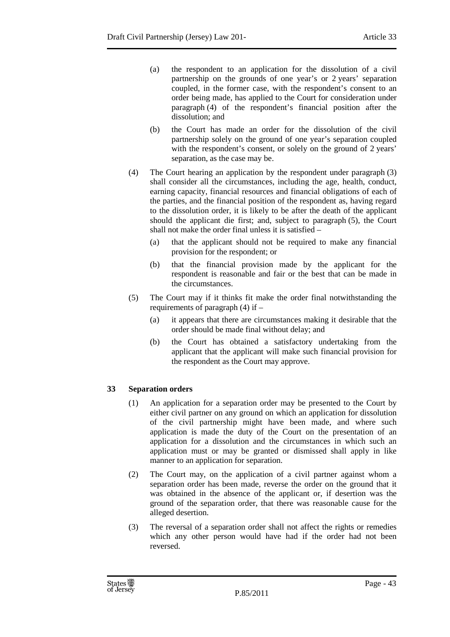- (a) the respondent to an application for the dissolution of a civil partnership on the grounds of one year's or 2 years' separation coupled, in the former case, with the respondent's consent to an order being made, has applied to the Court for consideration under paragraph (4) of the respondent's financial position after the dissolution; and
- (b) the Court has made an order for the dissolution of the civil partnership solely on the ground of one year's separation coupled with the respondent's consent, or solely on the ground of 2 years' separation, as the case may be.
- (4) The Court hearing an application by the respondent under paragraph (3) shall consider all the circumstances, including the age, health, conduct, earning capacity, financial resources and financial obligations of each of the parties, and the financial position of the respondent as, having regard to the dissolution order, it is likely to be after the death of the applicant should the applicant die first; and, subject to paragraph (5), the Court shall not make the order final unless it is satisfied –
	- (a) that the applicant should not be required to make any financial provision for the respondent; or
	- (b) that the financial provision made by the applicant for the respondent is reasonable and fair or the best that can be made in the circumstances.
- (5) The Court may if it thinks fit make the order final notwithstanding the requirements of paragraph (4) if –
	- (a) it appears that there are circumstances making it desirable that the order should be made final without delay; and
	- (b) the Court has obtained a satisfactory undertaking from the applicant that the applicant will make such financial provision for the respondent as the Court may approve.

# **33 Separation orders**

- (1) An application for a separation order may be presented to the Court by either civil partner on any ground on which an application for dissolution of the civil partnership might have been made, and where such application is made the duty of the Court on the presentation of an application for a dissolution and the circumstances in which such an application must or may be granted or dismissed shall apply in like manner to an application for separation.
- (2) The Court may, on the application of a civil partner against whom a separation order has been made, reverse the order on the ground that it was obtained in the absence of the applicant or, if desertion was the ground of the separation order, that there was reasonable cause for the alleged desertion.
- (3) The reversal of a separation order shall not affect the rights or remedies which any other person would have had if the order had not been reversed.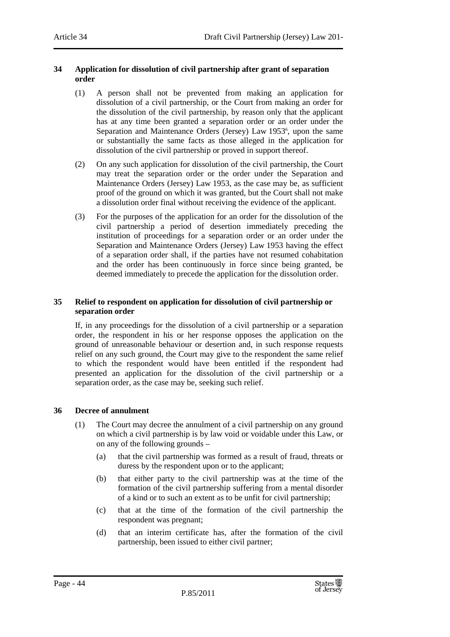#### **34 Application for dissolution of civil partnership after grant of separation order**

- (1) A person shall not be prevented from making an application for dissolution of a civil partnership, or the Court from making an order for the dissolution of the civil partnership, by reason only that the applicant has at any time been granted a separation order or an order under the Separation and Maintenance Orders (Jersey) Law 1953<sup>6</sup>, upon the same or substantially the same facts as those alleged in the application for dissolution of the civil partnership or proved in support thereof.
- (2) On any such application for dissolution of the civil partnership, the Court may treat the separation order or the order under the Separation and Maintenance Orders (Jersey) Law 1953, as the case may be, as sufficient proof of the ground on which it was granted, but the Court shall not make a dissolution order final without receiving the evidence of the applicant.
- (3) For the purposes of the application for an order for the dissolution of the civil partnership a period of desertion immediately preceding the institution of proceedings for a separation order or an order under the Separation and Maintenance Orders (Jersey) Law 1953 having the effect of a separation order shall, if the parties have not resumed cohabitation and the order has been continuously in force since being granted, be deemed immediately to precede the application for the dissolution order.

#### **35 Relief to respondent on application for dissolution of civil partnership or separation order**

If, in any proceedings for the dissolution of a civil partnership or a separation order, the respondent in his or her response opposes the application on the ground of unreasonable behaviour or desertion and, in such response requests relief on any such ground, the Court may give to the respondent the same relief to which the respondent would have been entitled if the respondent had presented an application for the dissolution of the civil partnership or a separation order, as the case may be, seeking such relief.

## **36 Decree of annulment**

- (1) The Court may decree the annulment of a civil partnership on any ground on which a civil partnership is by law void or voidable under this Law, or on any of the following grounds –
	- (a) that the civil partnership was formed as a result of fraud, threats or duress by the respondent upon or to the applicant;
	- (b) that either party to the civil partnership was at the time of the formation of the civil partnership suffering from a mental disorder of a kind or to such an extent as to be unfit for civil partnership;
	- (c) that at the time of the formation of the civil partnership the respondent was pregnant;
	- (d) that an interim certificate has, after the formation of the civil partnership, been issued to either civil partner;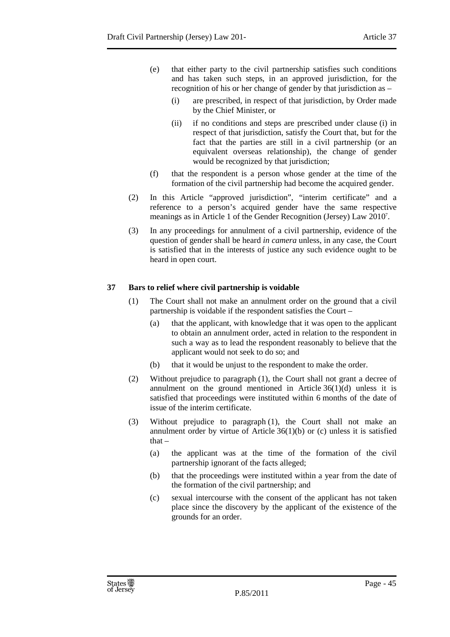- (e) that either party to the civil partnership satisfies such conditions and has taken such steps, in an approved jurisdiction, for the recognition of his or her change of gender by that jurisdiction as –
	- (i) are prescribed, in respect of that jurisdiction, by Order made by the Chief Minister, or
	- (ii) if no conditions and steps are prescribed under clause (i) in respect of that jurisdiction, satisfy the Court that, but for the fact that the parties are still in a civil partnership (or an equivalent overseas relationship), the change of gender would be recognized by that jurisdiction;
- (f) that the respondent is a person whose gender at the time of the formation of the civil partnership had become the acquired gender.
- (2) In this Article "approved jurisdiction", "interim certificate" and a reference to a person's acquired gender have the same respective meanings as in Article 1 of the Gender Recognition (Jersey) Law 2010<sup>7</sup>.
- (3) In any proceedings for annulment of a civil partnership, evidence of the question of gender shall be heard *in camera* unless, in any case, the Court is satisfied that in the interests of justice any such evidence ought to be heard in open court.

## **37 Bars to relief where civil partnership is voidable**

- (1) The Court shall not make an annulment order on the ground that a civil partnership is voidable if the respondent satisfies the Court –
	- (a) that the applicant, with knowledge that it was open to the applicant to obtain an annulment order, acted in relation to the respondent in such a way as to lead the respondent reasonably to believe that the applicant would not seek to do so; and
	- (b) that it would be unjust to the respondent to make the order.
- (2) Without prejudice to paragraph (1), the Court shall not grant a decree of annulment on the ground mentioned in Article 36(1)(d) unless it is satisfied that proceedings were instituted within 6 months of the date of issue of the interim certificate.
- (3) Without prejudice to paragraph (1), the Court shall not make an annulment order by virtue of Article  $36(1)(b)$  or (c) unless it is satisfied that $-$ 
	- (a) the applicant was at the time of the formation of the civil partnership ignorant of the facts alleged;
	- (b) that the proceedings were instituted within a year from the date of the formation of the civil partnership; and
	- (c) sexual intercourse with the consent of the applicant has not taken place since the discovery by the applicant of the existence of the grounds for an order.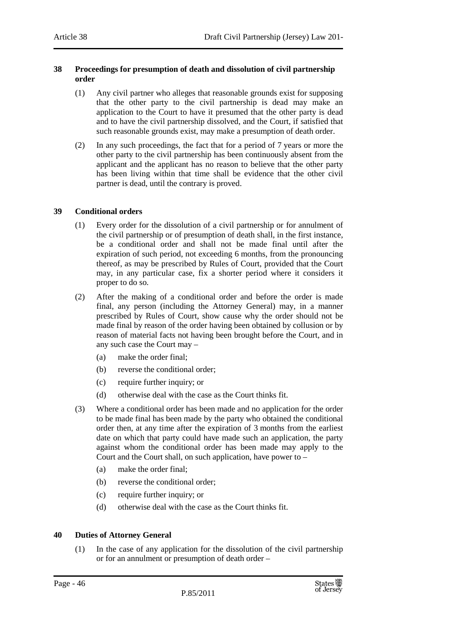#### **38 Proceedings for presumption of death and dissolution of civil partnership order**

- (1) Any civil partner who alleges that reasonable grounds exist for supposing that the other party to the civil partnership is dead may make an application to the Court to have it presumed that the other party is dead and to have the civil partnership dissolved, and the Court, if satisfied that such reasonable grounds exist, may make a presumption of death order.
- (2) In any such proceedings, the fact that for a period of 7 years or more the other party to the civil partnership has been continuously absent from the applicant and the applicant has no reason to believe that the other party has been living within that time shall be evidence that the other civil partner is dead, until the contrary is proved.

# **39 Conditional orders**

- (1) Every order for the dissolution of a civil partnership or for annulment of the civil partnership or of presumption of death shall, in the first instance, be a conditional order and shall not be made final until after the expiration of such period, not exceeding 6 months, from the pronouncing thereof, as may be prescribed by Rules of Court, provided that the Court may, in any particular case, fix a shorter period where it considers it proper to do so.
- (2) After the making of a conditional order and before the order is made final, any person (including the Attorney General) may, in a manner prescribed by Rules of Court, show cause why the order should not be made final by reason of the order having been obtained by collusion or by reason of material facts not having been brought before the Court, and in any such case the Court may –
	- (a) make the order final;
	- (b) reverse the conditional order;
	- (c) require further inquiry; or
	- (d) otherwise deal with the case as the Court thinks fit.
- (3) Where a conditional order has been made and no application for the order to be made final has been made by the party who obtained the conditional order then, at any time after the expiration of 3 months from the earliest date on which that party could have made such an application, the party against whom the conditional order has been made may apply to the Court and the Court shall, on such application, have power to –
	- (a) make the order final;
	- (b) reverse the conditional order;
	- (c) require further inquiry; or
	- (d) otherwise deal with the case as the Court thinks fit.

## **40 Duties of Attorney General**

(1) In the case of any application for the dissolution of the civil partnership or for an annulment or presumption of death order –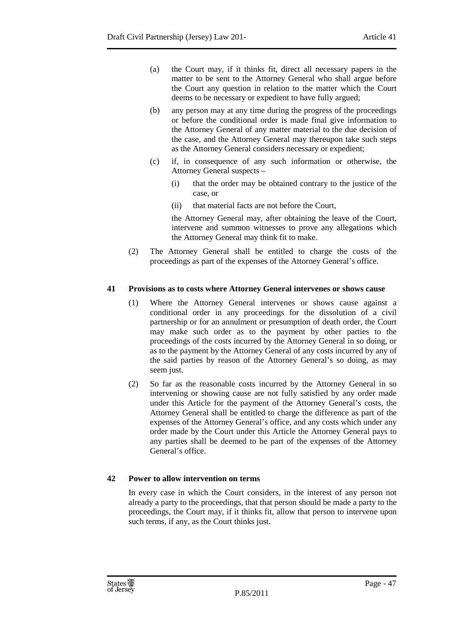- (a) the Court may, if it thinks fit, direct all necessary papers in the matter to be sent to the Attorney General who shall argue before the Court any question in relation to the matter which the Court deems to be necessary or expedient to have fully argued;
- (b) any person may at any time during the progress of the proceedings or before the conditional order is made final give information to the Attorney General of any matter material to the due decision of the case, and the Attorney General may thereupon take such steps as the Attorney General considers necessary or expedient;
- (c) if, in consequence of any such information or otherwise, the Attorney General suspects –
	- (i) that the order may be obtained contrary to the justice of the case, or
	- (ii) that material facts are not before the Court,

the Attorney General may, after obtaining the leave of the Court, intervene and summon witnesses to prove any allegations which the Attorney General may think fit to make.

(2) The Attorney General shall be entitled to charge the costs of the proceedings as part of the expenses of the Attorney General's office.

## **41 Provisions as to costs where Attorney General intervenes or shows cause**

- (1) Where the Attorney General intervenes or shows cause against a conditional order in any proceedings for the dissolution of a civil partnership or for an annulment or presumption of death order, the Court may make such order as to the payment by other parties to the proceedings of the costs incurred by the Attorney General in so doing, or as to the payment by the Attorney General of any costs incurred by any of the said parties by reason of the Attorney General's so doing, as may seem just.
- (2) So far as the reasonable costs incurred by the Attorney General in so intervening or showing cause are not fully satisfied by any order made under this Article for the payment of the Attorney General's costs, the Attorney General shall be entitled to charge the difference as part of the expenses of the Attorney General's office, and any costs which under any order made by the Court under this Article the Attorney General pays to any parties shall be deemed to be part of the expenses of the Attorney General's office.

## **42 Power to allow intervention on terms**

In every case in which the Court considers, in the interest of any person not already a party to the proceedings, that that person should be made a party to the proceedings, the Court may, if it thinks fit, allow that person to intervene upon such terms, if any, as the Court thinks just.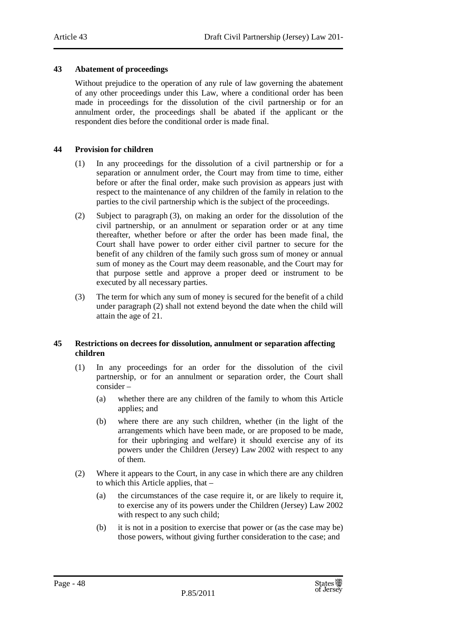## **43 Abatement of proceedings**

Without prejudice to the operation of any rule of law governing the abatement of any other proceedings under this Law, where a conditional order has been made in proceedings for the dissolution of the civil partnership or for an annulment order, the proceedings shall be abated if the applicant or the respondent dies before the conditional order is made final.

#### **44 Provision for children**

- (1) In any proceedings for the dissolution of a civil partnership or for a separation or annulment order, the Court may from time to time, either before or after the final order, make such provision as appears just with respect to the maintenance of any children of the family in relation to the parties to the civil partnership which is the subject of the proceedings.
- (2) Subject to paragraph (3), on making an order for the dissolution of the civil partnership, or an annulment or separation order or at any time thereafter, whether before or after the order has been made final, the Court shall have power to order either civil partner to secure for the benefit of any children of the family such gross sum of money or annual sum of money as the Court may deem reasonable, and the Court may for that purpose settle and approve a proper deed or instrument to be executed by all necessary parties.
- (3) The term for which any sum of money is secured for the benefit of a child under paragraph (2) shall not extend beyond the date when the child will attain the age of 21.

#### **45 Restrictions on decrees for dissolution, annulment or separation affecting children**

- (1) In any proceedings for an order for the dissolution of the civil partnership, or for an annulment or separation order, the Court shall consider –
	- (a) whether there are any children of the family to whom this Article applies; and
	- (b) where there are any such children, whether (in the light of the arrangements which have been made, or are proposed to be made, for their upbringing and welfare) it should exercise any of its powers under the Children (Jersey) Law 2002 with respect to any of them.
- (2) Where it appears to the Court, in any case in which there are any children to which this Article applies, that –
	- (a) the circumstances of the case require it, or are likely to require it, to exercise any of its powers under the Children (Jersey) Law 2002 with respect to any such child:
	- (b) it is not in a position to exercise that power or (as the case may be) those powers, without giving further consideration to the case; and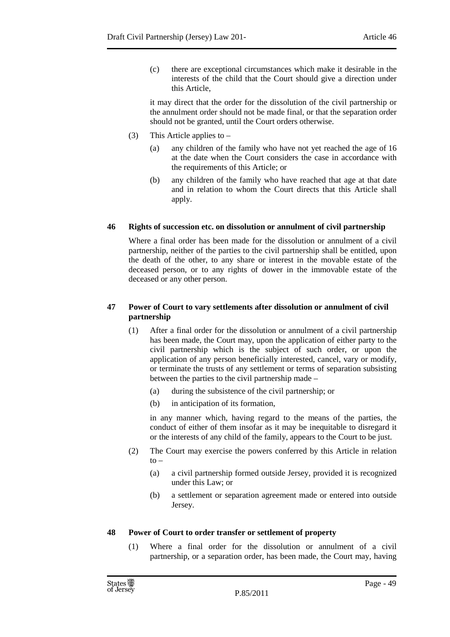(c) there are exceptional circumstances which make it desirable in the interests of the child that the Court should give a direction under this Article,

it may direct that the order for the dissolution of the civil partnership or the annulment order should not be made final, or that the separation order should not be granted, until the Court orders otherwise.

- (3) This Article applies to
	- (a) any children of the family who have not yet reached the age of 16 at the date when the Court considers the case in accordance with the requirements of this Article; or
	- (b) any children of the family who have reached that age at that date and in relation to whom the Court directs that this Article shall apply.

## **46 Rights of succession etc. on dissolution or annulment of civil partnership**

Where a final order has been made for the dissolution or annulment of a civil partnership, neither of the parties to the civil partnership shall be entitled, upon the death of the other, to any share or interest in the movable estate of the deceased person, or to any rights of dower in the immovable estate of the deceased or any other person.

# **47 Power of Court to vary settlements after dissolution or annulment of civil partnership**

- (1) After a final order for the dissolution or annulment of a civil partnership has been made, the Court may, upon the application of either party to the civil partnership which is the subject of such order, or upon the application of any person beneficially interested, cancel, vary or modify, or terminate the trusts of any settlement or terms of separation subsisting between the parties to the civil partnership made –
	- (a) during the subsistence of the civil partnership; or
	- (b) in anticipation of its formation,

in any manner which, having regard to the means of the parties, the conduct of either of them insofar as it may be inequitable to disregard it or the interests of any child of the family, appears to the Court to be just.

- (2) The Court may exercise the powers conferred by this Article in relation  $to -$ 
	- (a) a civil partnership formed outside Jersey, provided it is recognized under this Law; or
	- (b) a settlement or separation agreement made or entered into outside Jersey.

## **48 Power of Court to order transfer or settlement of property**

(1) Where a final order for the dissolution or annulment of a civil partnership, or a separation order, has been made, the Court may, having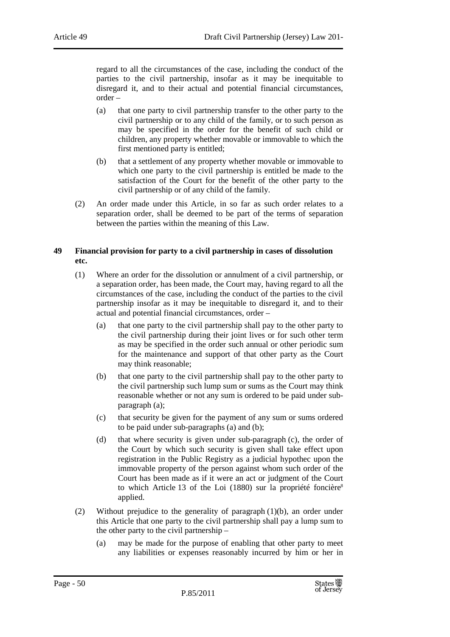regard to all the circumstances of the case, including the conduct of the parties to the civil partnership, insofar as it may be inequitable to disregard it, and to their actual and potential financial circumstances, order –

- (a) that one party to civil partnership transfer to the other party to the civil partnership or to any child of the family, or to such person as may be specified in the order for the benefit of such child or children, any property whether movable or immovable to which the first mentioned party is entitled;
- (b) that a settlement of any property whether movable or immovable to which one party to the civil partnership is entitled be made to the satisfaction of the Court for the benefit of the other party to the civil partnership or of any child of the family.
- (2) An order made under this Article, in so far as such order relates to a separation order, shall be deemed to be part of the terms of separation between the parties within the meaning of this Law.

#### **49 Financial provision for party to a civil partnership in cases of dissolution etc.**

- (1) Where an order for the dissolution or annulment of a civil partnership, or a separation order, has been made, the Court may, having regard to all the circumstances of the case, including the conduct of the parties to the civil partnership insofar as it may be inequitable to disregard it, and to their actual and potential financial circumstances, order –
	- (a) that one party to the civil partnership shall pay to the other party to the civil partnership during their joint lives or for such other term as may be specified in the order such annual or other periodic sum for the maintenance and support of that other party as the Court may think reasonable;
	- (b) that one party to the civil partnership shall pay to the other party to the civil partnership such lump sum or sums as the Court may think reasonable whether or not any sum is ordered to be paid under subparagraph (a);
	- (c) that security be given for the payment of any sum or sums ordered to be paid under sub-paragraphs (a) and (b);
	- (d) that where security is given under sub-paragraph (c), the order of the Court by which such security is given shall take effect upon registration in the Public Registry as a judicial hypothec upon the immovable property of the person against whom such order of the Court has been made as if it were an act or judgment of the Court to which Article 13 of the Loi (1880) sur la propriété foncière<sup>8</sup> applied.
- (2) Without prejudice to the generality of paragraph  $(1)(b)$ , an order under this Article that one party to the civil partnership shall pay a lump sum to the other party to the civil partnership –
	- (a) may be made for the purpose of enabling that other party to meet any liabilities or expenses reasonably incurred by him or her in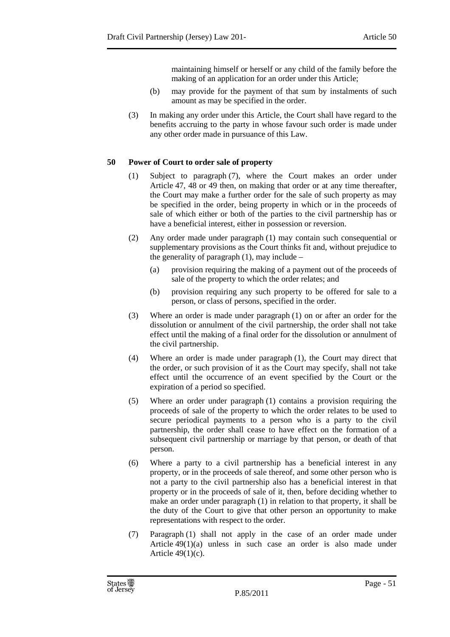maintaining himself or herself or any child of the family before the making of an application for an order under this Article;

- (b) may provide for the payment of that sum by instalments of such amount as may be specified in the order.
- (3) In making any order under this Article, the Court shall have regard to the benefits accruing to the party in whose favour such order is made under any other order made in pursuance of this Law.

# **50 Power of Court to order sale of property**

- (1) Subject to paragraph (7), where the Court makes an order under Article 47, 48 or 49 then, on making that order or at any time thereafter, the Court may make a further order for the sale of such property as may be specified in the order, being property in which or in the proceeds of sale of which either or both of the parties to the civil partnership has or have a beneficial interest, either in possession or reversion.
- (2) Any order made under paragraph (1) may contain such consequential or supplementary provisions as the Court thinks fit and, without prejudice to the generality of paragraph  $(1)$ , may include –
	- (a) provision requiring the making of a payment out of the proceeds of sale of the property to which the order relates; and
	- (b) provision requiring any such property to be offered for sale to a person, or class of persons, specified in the order.
- (3) Where an order is made under paragraph (1) on or after an order for the dissolution or annulment of the civil partnership, the order shall not take effect until the making of a final order for the dissolution or annulment of the civil partnership.
- (4) Where an order is made under paragraph (1), the Court may direct that the order, or such provision of it as the Court may specify, shall not take effect until the occurrence of an event specified by the Court or the expiration of a period so specified.
- (5) Where an order under paragraph (1) contains a provision requiring the proceeds of sale of the property to which the order relates to be used to secure periodical payments to a person who is a party to the civil partnership, the order shall cease to have effect on the formation of a subsequent civil partnership or marriage by that person, or death of that person.
- (6) Where a party to a civil partnership has a beneficial interest in any property, or in the proceeds of sale thereof, and some other person who is not a party to the civil partnership also has a beneficial interest in that property or in the proceeds of sale of it, then, before deciding whether to make an order under paragraph (1) in relation to that property, it shall be the duty of the Court to give that other person an opportunity to make representations with respect to the order.
- (7) Paragraph (1) shall not apply in the case of an order made under Article 49(1)(a) unless in such case an order is also made under Article  $49(1)(c)$ .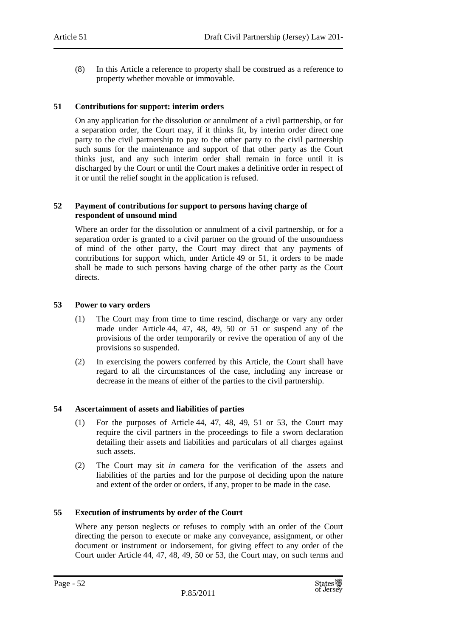(8) In this Article a reference to property shall be construed as a reference to property whether movable or immovable.

#### **51 Contributions for support: interim orders**

On any application for the dissolution or annulment of a civil partnership, or for a separation order, the Court may, if it thinks fit, by interim order direct one party to the civil partnership to pay to the other party to the civil partnership such sums for the maintenance and support of that other party as the Court thinks just, and any such interim order shall remain in force until it is discharged by the Court or until the Court makes a definitive order in respect of it or until the relief sought in the application is refused.

#### **52 Payment of contributions for support to persons having charge of respondent of unsound mind**

Where an order for the dissolution or annulment of a civil partnership, or for a separation order is granted to a civil partner on the ground of the unsoundness of mind of the other party, the Court may direct that any payments of contributions for support which, under Article 49 or 51, it orders to be made shall be made to such persons having charge of the other party as the Court directs.

#### **53 Power to vary orders**

- (1) The Court may from time to time rescind, discharge or vary any order made under Article 44, 47, 48, 49, 50 or 51 or suspend any of the provisions of the order temporarily or revive the operation of any of the provisions so suspended.
- (2) In exercising the powers conferred by this Article, the Court shall have regard to all the circumstances of the case, including any increase or decrease in the means of either of the parties to the civil partnership.

## **54 Ascertainment of assets and liabilities of parties**

- (1) For the purposes of Article 44, 47, 48, 49, 51 or 53, the Court may require the civil partners in the proceedings to file a sworn declaration detailing their assets and liabilities and particulars of all charges against such assets.
- (2) The Court may sit *in camera* for the verification of the assets and liabilities of the parties and for the purpose of deciding upon the nature and extent of the order or orders, if any, proper to be made in the case.

#### **55 Execution of instruments by order of the Court**

Where any person neglects or refuses to comply with an order of the Court directing the person to execute or make any conveyance, assignment, or other document or instrument or indorsement, for giving effect to any order of the Court under Article 44, 47, 48, 49, 50 or 53, the Court may, on such terms and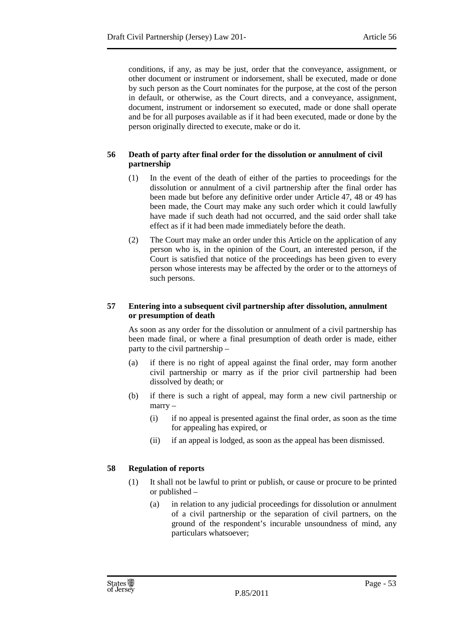conditions, if any, as may be just, order that the conveyance, assignment, or other document or instrument or indorsement, shall be executed, made or done by such person as the Court nominates for the purpose, at the cost of the person in default, or otherwise, as the Court directs, and a conveyance, assignment, document, instrument or indorsement so executed, made or done shall operate and be for all purposes available as if it had been executed, made or done by the person originally directed to execute, make or do it.

# **56 Death of party after final order for the dissolution or annulment of civil partnership**

- (1) In the event of the death of either of the parties to proceedings for the dissolution or annulment of a civil partnership after the final order has been made but before any definitive order under Article 47, 48 or 49 has been made, the Court may make any such order which it could lawfully have made if such death had not occurred, and the said order shall take effect as if it had been made immediately before the death.
- (2) The Court may make an order under this Article on the application of any person who is, in the opinion of the Court, an interested person, if the Court is satisfied that notice of the proceedings has been given to every person whose interests may be affected by the order or to the attorneys of such persons.

## **57 Entering into a subsequent civil partnership after dissolution, annulment or presumption of death**

As soon as any order for the dissolution or annulment of a civil partnership has been made final, or where a final presumption of death order is made, either party to the civil partnership –

- (a) if there is no right of appeal against the final order, may form another civil partnership or marry as if the prior civil partnership had been dissolved by death; or
- (b) if there is such a right of appeal, may form a new civil partnership or marry –
	- (i) if no appeal is presented against the final order, as soon as the time for appealing has expired, or
	- (ii) if an appeal is lodged, as soon as the appeal has been dismissed.

# **58 Regulation of reports**

- (1) It shall not be lawful to print or publish, or cause or procure to be printed or published –
	- (a) in relation to any judicial proceedings for dissolution or annulment of a civil partnership or the separation of civil partners, on the ground of the respondent's incurable unsoundness of mind, any particulars whatsoever;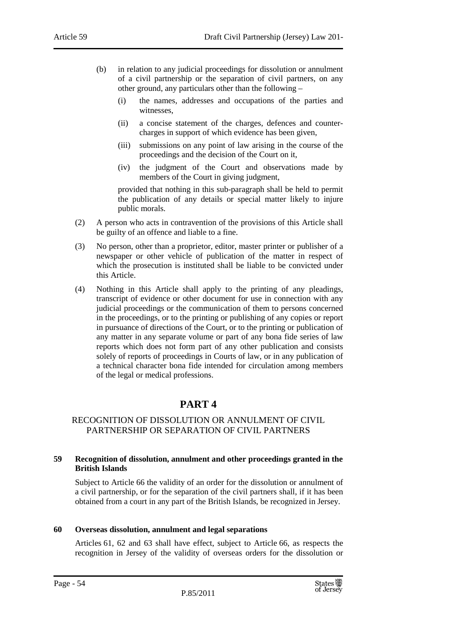- (b) in relation to any judicial proceedings for dissolution or annulment of a civil partnership or the separation of civil partners, on any other ground, any particulars other than the following –
	- (i) the names, addresses and occupations of the parties and witnesses,
	- (ii) a concise statement of the charges, defences and countercharges in support of which evidence has been given,
	- (iii) submissions on any point of law arising in the course of the proceedings and the decision of the Court on it,
	- (iv) the judgment of the Court and observations made by members of the Court in giving judgment,

provided that nothing in this sub-paragraph shall be held to permit the publication of any details or special matter likely to injure public morals.

- (2) A person who acts in contravention of the provisions of this Article shall be guilty of an offence and liable to a fine.
- (3) No person, other than a proprietor, editor, master printer or publisher of a newspaper or other vehicle of publication of the matter in respect of which the prosecution is instituted shall be liable to be convicted under this Article.
- (4) Nothing in this Article shall apply to the printing of any pleadings, transcript of evidence or other document for use in connection with any judicial proceedings or the communication of them to persons concerned in the proceedings, or to the printing or publishing of any copies or report in pursuance of directions of the Court, or to the printing or publication of any matter in any separate volume or part of any bona fide series of law reports which does not form part of any other publication and consists solely of reports of proceedings in Courts of law, or in any publication of a technical character bona fide intended for circulation among members of the legal or medical professions.

# **PART 4**

# RECOGNITION OF DISSOLUTION OR ANNULMENT OF CIVIL PARTNERSHIP OR SEPARATION OF CIVIL PARTNERS

#### **59 Recognition of dissolution, annulment and other proceedings granted in the British Islands**

Subject to Article 66 the validity of an order for the dissolution or annulment of a civil partnership, or for the separation of the civil partners shall, if it has been obtained from a court in any part of the British Islands, be recognized in Jersey.

## **60 Overseas dissolution, annulment and legal separations**

Articles 61, 62 and 63 shall have effect, subject to Article 66, as respects the recognition in Jersey of the validity of overseas orders for the dissolution or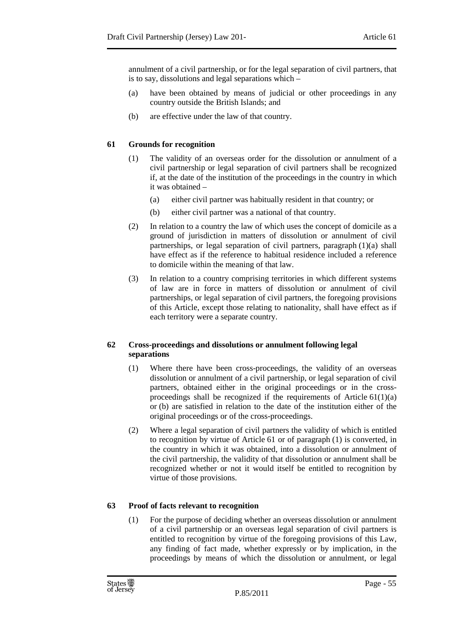annulment of a civil partnership, or for the legal separation of civil partners, that is to say, dissolutions and legal separations which –

- (a) have been obtained by means of judicial or other proceedings in any country outside the British Islands; and
- (b) are effective under the law of that country.

# **61 Grounds for recognition**

- (1) The validity of an overseas order for the dissolution or annulment of a civil partnership or legal separation of civil partners shall be recognized if, at the date of the institution of the proceedings in the country in which it was obtained –
	- (a) either civil partner was habitually resident in that country; or
	- (b) either civil partner was a national of that country.
- (2) In relation to a country the law of which uses the concept of domicile as a ground of jurisdiction in matters of dissolution or annulment of civil partnerships, or legal separation of civil partners, paragraph (1)(a) shall have effect as if the reference to habitual residence included a reference to domicile within the meaning of that law.
- (3) In relation to a country comprising territories in which different systems of law are in force in matters of dissolution or annulment of civil partnerships, or legal separation of civil partners, the foregoing provisions of this Article, except those relating to nationality, shall have effect as if each territory were a separate country.

## **62 Cross-proceedings and dissolutions or annulment following legal separations**

- (1) Where there have been cross-proceedings, the validity of an overseas dissolution or annulment of a civil partnership, or legal separation of civil partners, obtained either in the original proceedings or in the crossproceedings shall be recognized if the requirements of Article  $61(1)(a)$ or (b) are satisfied in relation to the date of the institution either of the original proceedings or of the cross-proceedings.
- (2) Where a legal separation of civil partners the validity of which is entitled to recognition by virtue of Article 61 or of paragraph (1) is converted, in the country in which it was obtained, into a dissolution or annulment of the civil partnership, the validity of that dissolution or annulment shall be recognized whether or not it would itself be entitled to recognition by virtue of those provisions.

# **63 Proof of facts relevant to recognition**

(1) For the purpose of deciding whether an overseas dissolution or annulment of a civil partnership or an overseas legal separation of civil partners is entitled to recognition by virtue of the foregoing provisions of this Law, any finding of fact made, whether expressly or by implication, in the proceedings by means of which the dissolution or annulment, or legal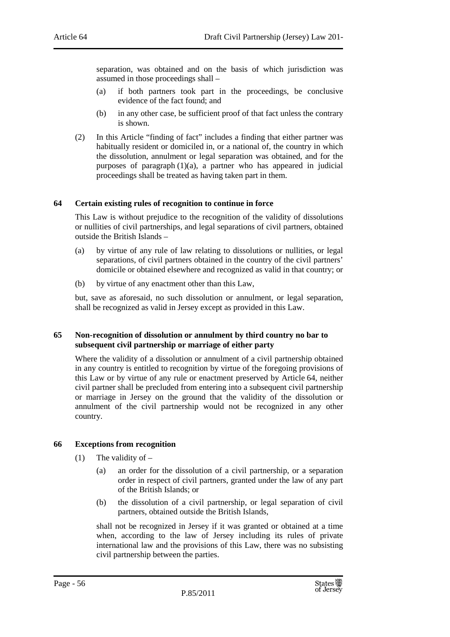separation, was obtained and on the basis of which jurisdiction was assumed in those proceedings shall –

- (a) if both partners took part in the proceedings, be conclusive evidence of the fact found; and
- (b) in any other case, be sufficient proof of that fact unless the contrary is shown.
- (2) In this Article "finding of fact" includes a finding that either partner was habitually resident or domiciled in, or a national of, the country in which the dissolution, annulment or legal separation was obtained, and for the purposes of paragraph  $(1)(a)$ , a partner who has appeared in judicial proceedings shall be treated as having taken part in them.

#### **64 Certain existing rules of recognition to continue in force**

This Law is without prejudice to the recognition of the validity of dissolutions or nullities of civil partnerships, and legal separations of civil partners, obtained outside the British Islands –

- (a) by virtue of any rule of law relating to dissolutions or nullities, or legal separations, of civil partners obtained in the country of the civil partners' domicile or obtained elsewhere and recognized as valid in that country; or
- (b) by virtue of any enactment other than this Law,

but, save as aforesaid, no such dissolution or annulment, or legal separation, shall be recognized as valid in Jersey except as provided in this Law.

#### **65 Non-recognition of dissolution or annulment by third country no bar to subsequent civil partnership or marriage of either party**

Where the validity of a dissolution or annulment of a civil partnership obtained in any country is entitled to recognition by virtue of the foregoing provisions of this Law or by virtue of any rule or enactment preserved by Article 64, neither civil partner shall be precluded from entering into a subsequent civil partnership or marriage in Jersey on the ground that the validity of the dissolution or annulment of the civil partnership would not be recognized in any other country.

## **66 Exceptions from recognition**

- (1) The validity of  $-$ 
	- (a) an order for the dissolution of a civil partnership, or a separation order in respect of civil partners, granted under the law of any part of the British Islands; or
	- (b) the dissolution of a civil partnership, or legal separation of civil partners, obtained outside the British Islands,

shall not be recognized in Jersey if it was granted or obtained at a time when, according to the law of Jersey including its rules of private international law and the provisions of this Law, there was no subsisting civil partnership between the parties.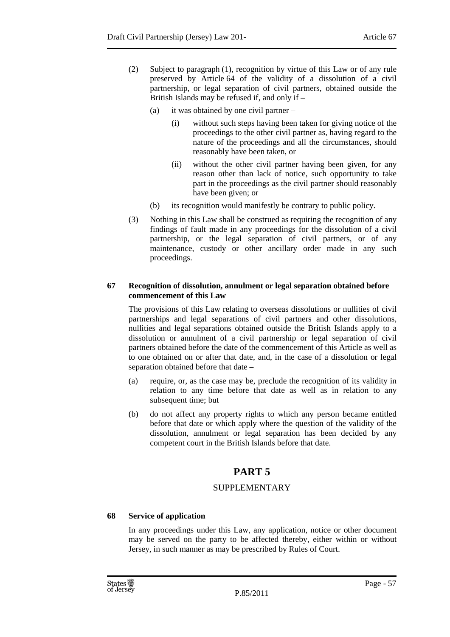- (2) Subject to paragraph (1), recognition by virtue of this Law or of any rule preserved by Article 64 of the validity of a dissolution of a civil partnership, or legal separation of civil partners, obtained outside the British Islands may be refused if, and only if –
	- (a) it was obtained by one civil partner
		- (i) without such steps having been taken for giving notice of the proceedings to the other civil partner as, having regard to the nature of the proceedings and all the circumstances, should reasonably have been taken, or
		- (ii) without the other civil partner having been given, for any reason other than lack of notice, such opportunity to take part in the proceedings as the civil partner should reasonably have been given; or
	- (b) its recognition would manifestly be contrary to public policy.
- (3) Nothing in this Law shall be construed as requiring the recognition of any findings of fault made in any proceedings for the dissolution of a civil partnership, or the legal separation of civil partners, or of any maintenance, custody or other ancillary order made in any such proceedings.

## **67 Recognition of dissolution, annulment or legal separation obtained before commencement of this Law**

The provisions of this Law relating to overseas dissolutions or nullities of civil partnerships and legal separations of civil partners and other dissolutions, nullities and legal separations obtained outside the British Islands apply to a dissolution or annulment of a civil partnership or legal separation of civil partners obtained before the date of the commencement of this Article as well as to one obtained on or after that date, and, in the case of a dissolution or legal separation obtained before that date –

- (a) require, or, as the case may be, preclude the recognition of its validity in relation to any time before that date as well as in relation to any subsequent time; but
- (b) do not affect any property rights to which any person became entitled before that date or which apply where the question of the validity of the dissolution, annulment or legal separation has been decided by any competent court in the British Islands before that date.

# **PART 5**

# SUPPLEMENTARY

# **68 Service of application**

In any proceedings under this Law, any application, notice or other document may be served on the party to be affected thereby, either within or without Jersey, in such manner as may be prescribed by Rules of Court.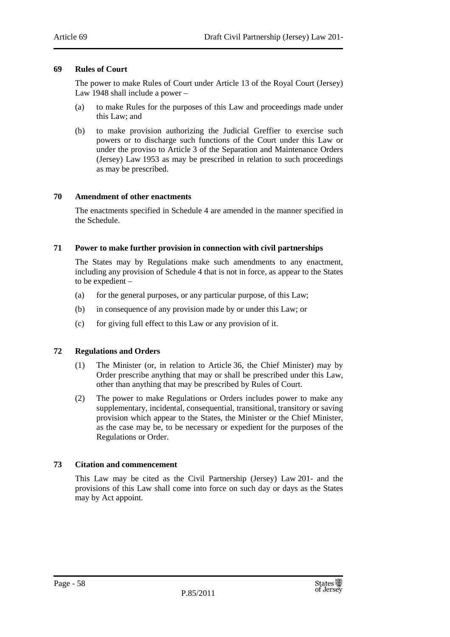#### **69 Rules of Court**

The power to make Rules of Court under Article 13 of the Royal Court (Jersey) Law 1948 shall include a power –

- (a) to make Rules for the purposes of this Law and proceedings made under this Law; and
- (b) to make provision authorizing the Judicial Greffier to exercise such powers or to discharge such functions of the Court under this Law or under the proviso to Article 3 of the Separation and Maintenance Orders (Jersey) Law 1953 as may be prescribed in relation to such proceedings as may be prescribed.

#### **70 Amendment of other enactments**

The enactments specified in Schedule 4 are amended in the manner specified in the Schedule.

#### **71 Power to make further provision in connection with civil partnerships**

The States may by Regulations make such amendments to any enactment, including any provision of Schedule 4 that is not in force, as appear to the States to be expedient –

- (a) for the general purposes, or any particular purpose, of this Law;
- (b) in consequence of any provision made by or under this Law; or
- (c) for giving full effect to this Law or any provision of it.

## **72 Regulations and Orders**

- (1) The Minister (or, in relation to Article 36, the Chief Minister) may by Order prescribe anything that may or shall be prescribed under this Law, other than anything that may be prescribed by Rules of Court.
- (2) The power to make Regulations or Orders includes power to make any supplementary, incidental, consequential, transitional, transitory or saving provision which appear to the States, the Minister or the Chief Minister, as the case may be, to be necessary or expedient for the purposes of the Regulations or Order.

#### **73 Citation and commencement**

This Law may be cited as the Civil Partnership (Jersey) Law 201- and the provisions of this Law shall come into force on such day or days as the States may by Act appoint.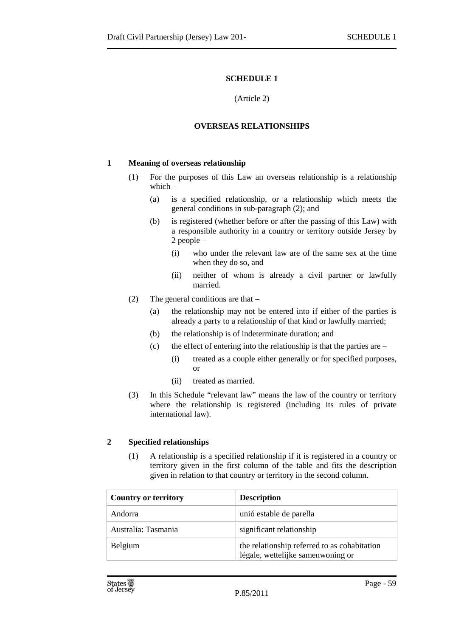#### (Article 2)

## **OVERSEAS RELATIONSHIPS**

## **1 Meaning of overseas relationship**

- (1) For the purposes of this Law an overseas relationship is a relationship which –
	- (a) is a specified relationship, or a relationship which meets the general conditions in sub-paragraph (2); and
	- (b) is registered (whether before or after the passing of this Law) with a responsible authority in a country or territory outside Jersey by 2 people –
		- (i) who under the relevant law are of the same sex at the time when they do so, and
		- (ii) neither of whom is already a civil partner or lawfully married.
- (2) The general conditions are that
	- (a) the relationship may not be entered into if either of the parties is already a party to a relationship of that kind or lawfully married;
	- (b) the relationship is of indeterminate duration; and
	- (c) the effect of entering into the relationship is that the parties are  $-$ 
		- (i) treated as a couple either generally or for specified purposes,  $\alpha$ r
		- (ii) treated as married.
- (3) In this Schedule "relevant law" means the law of the country or territory where the relationship is registered (including its rules of private international law).

## **2 Specified relationships**

(1) A relationship is a specified relationship if it is registered in a country or territory given in the first column of the table and fits the description given in relation to that country or territory in the second column.

| <b>Country or territory</b> | <b>Description</b>                                                                |
|-----------------------------|-----------------------------------------------------------------------------------|
| Andorra                     | unió estable de parella                                                           |
| Australia: Tasmania         | significant relationship                                                          |
| Belgium                     | the relationship referred to as cohabitation<br>légale, wettelijke samenwoning or |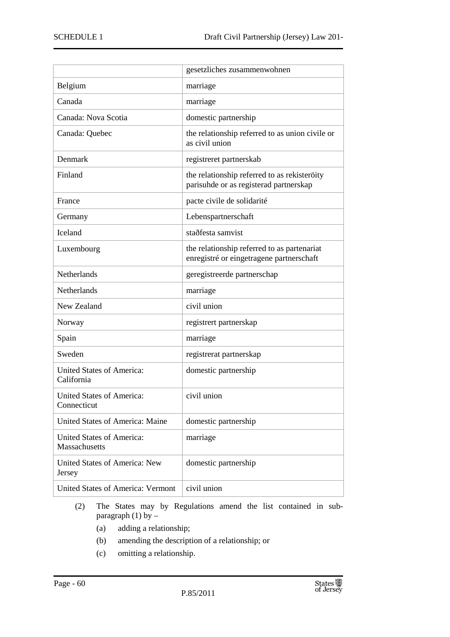|                                                   | gesetzliches zusammenwohnen                                                             |
|---------------------------------------------------|-----------------------------------------------------------------------------------------|
| Belgium                                           | marriage                                                                                |
| Canada                                            | marriage                                                                                |
| Canada: Nova Scotia                               | domestic partnership                                                                    |
| Canada: Quebec                                    | the relationship referred to as union civile or<br>as civil union                       |
| Denmark                                           | registreret partnerskab                                                                 |
| Finland                                           | the relationship referred to as rekisteroity<br>parisuhde or as registerad partnerskap  |
| France                                            | pacte civile de solidarité                                                              |
| Germany                                           | Lebenspartnerschaft                                                                     |
| <b>Iceland</b>                                    | staðfesta samvist                                                                       |
| Luxembourg                                        | the relationship referred to as partenariat<br>enregistré or eingetragene partnerschaft |
| <b>Netherlands</b>                                | geregistreerde partnerschap                                                             |
| <b>Netherlands</b>                                | marriage                                                                                |
| New Zealand                                       | civil union                                                                             |
| Norway                                            | registrert partnerskap                                                                  |
| Spain                                             | marriage                                                                                |
| Sweden                                            | registrerat partnerskap                                                                 |
| <b>United States of America:</b><br>California    | domestic partnership                                                                    |
| <b>United States of America:</b><br>Connecticut   | civil union                                                                             |
| United States of America: Maine                   | domestic partnership                                                                    |
| <b>United States of America:</b><br>Massachusetts | marriage                                                                                |
| United States of America: New<br>Jersey           | domestic partnership                                                                    |
| <b>United States of America: Vermont</b>          | civil union                                                                             |

- (2) The States may by Regulations amend the list contained in subparagraph (1) by  $-$ 
	- (a) adding a relationship;
	- (b) amending the description of a relationship; or
	- (c) omitting a relationship.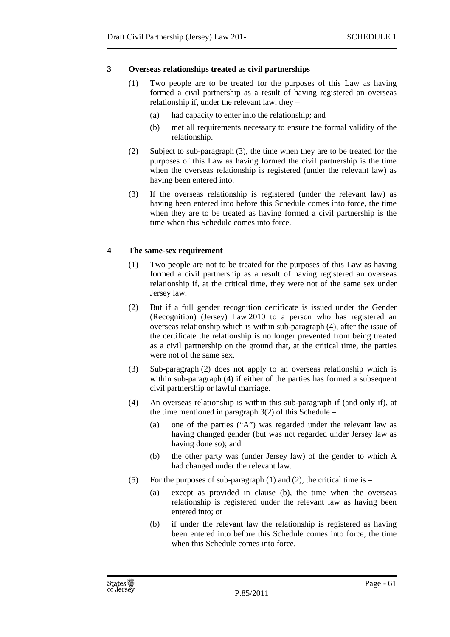# **3 Overseas relationships treated as civil partnerships**

- (1) Two people are to be treated for the purposes of this Law as having formed a civil partnership as a result of having registered an overseas relationship if, under the relevant law, they –
	- (a) had capacity to enter into the relationship; and
	- (b) met all requirements necessary to ensure the formal validity of the relationship.
- (2) Subject to sub-paragraph (3), the time when they are to be treated for the purposes of this Law as having formed the civil partnership is the time when the overseas relationship is registered (under the relevant law) as having been entered into.
- (3) If the overseas relationship is registered (under the relevant law) as having been entered into before this Schedule comes into force, the time when they are to be treated as having formed a civil partnership is the time when this Schedule comes into force.

# **4 The same-sex requirement**

- (1) Two people are not to be treated for the purposes of this Law as having formed a civil partnership as a result of having registered an overseas relationship if, at the critical time, they were not of the same sex under Jersey law.
- (2) But if a full gender recognition certificate is issued under the Gender (Recognition) (Jersey) Law 2010 to a person who has registered an overseas relationship which is within sub-paragraph (4), after the issue of the certificate the relationship is no longer prevented from being treated as a civil partnership on the ground that, at the critical time, the parties were not of the same sex.
- (3) Sub-paragraph (2) does not apply to an overseas relationship which is within sub-paragraph (4) if either of the parties has formed a subsequent civil partnership or lawful marriage.
- (4) An overseas relationship is within this sub-paragraph if (and only if), at the time mentioned in paragraph  $3(2)$  of this Schedule –
	- (a) one of the parties ("A") was regarded under the relevant law as having changed gender (but was not regarded under Jersey law as having done so); and
	- (b) the other party was (under Jersey law) of the gender to which A had changed under the relevant law.
- (5) For the purposes of sub-paragraph (1) and (2), the critical time is  $-$ 
	- (a) except as provided in clause (b), the time when the overseas relationship is registered under the relevant law as having been entered into; or
	- (b) if under the relevant law the relationship is registered as having been entered into before this Schedule comes into force, the time when this Schedule comes into force.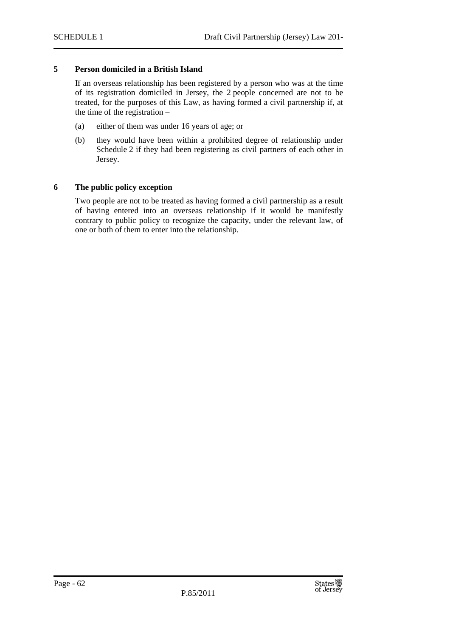#### **5 Person domiciled in a British Island**

If an overseas relationship has been registered by a person who was at the time of its registration domiciled in Jersey, the 2 people concerned are not to be treated, for the purposes of this Law, as having formed a civil partnership if, at the time of the registration –

- (a) either of them was under 16 years of age; or
- (b) they would have been within a prohibited degree of relationship under Schedule 2 if they had been registering as civil partners of each other in Jersey.

#### **6 The public policy exception**

Two people are not to be treated as having formed a civil partnership as a result of having entered into an overseas relationship if it would be manifestly contrary to public policy to recognize the capacity, under the relevant law, of one or both of them to enter into the relationship.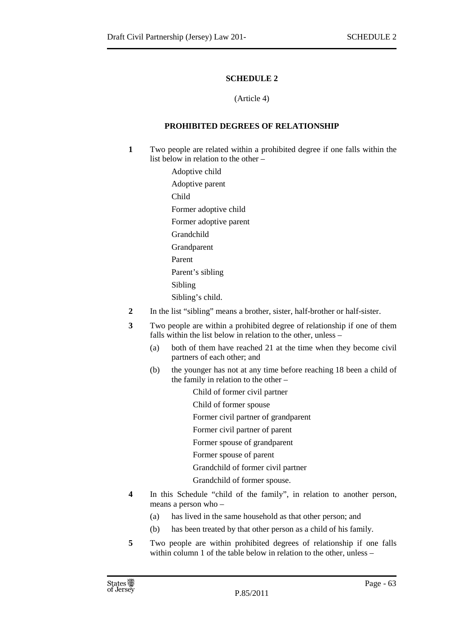#### (Article 4)

# **PROHIBITED DEGREES OF RELATIONSHIP**

- **1** Two people are related within a prohibited degree if one falls within the list below in relation to the other –
	- Adoptive child Adoptive parent Child Former adoptive child Former adoptive parent Grandchild **Grandparent** Parent Parent's sibling Sibling Sibling's child.
- **2** In the list "sibling" means a brother, sister, half-brother or half-sister.
- **3** Two people are within a prohibited degree of relationship if one of them falls within the list below in relation to the other, unless –
	- (a) both of them have reached 21 at the time when they become civil partners of each other; and
	- (b) the younger has not at any time before reaching 18 been a child of the family in relation to the other –
		- Child of former civil partner
		- Child of former spouse
		- Former civil partner of grandparent
		- Former civil partner of parent
		- Former spouse of grandparent
		- Former spouse of parent
		- Grandchild of former civil partner
		- Grandchild of former spouse.
- **4** In this Schedule "child of the family", in relation to another person, means a person who –
	- (a) has lived in the same household as that other person; and
	- (b) has been treated by that other person as a child of his family.
- **5** Two people are within prohibited degrees of relationship if one falls within column 1 of the table below in relation to the other, unless –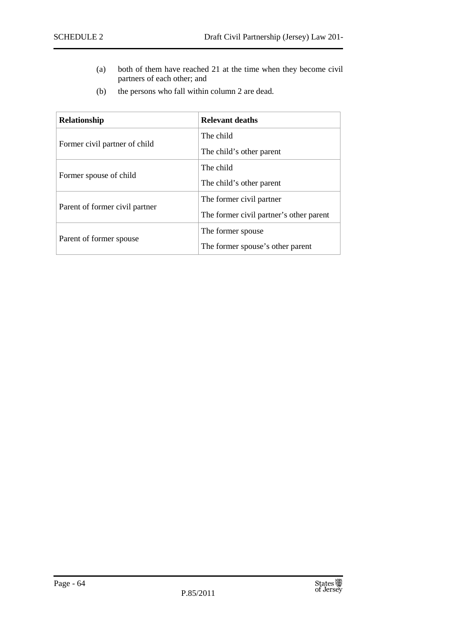- (a) both of them have reached 21 at the time when they become civil partners of each other; and
- (b) the persons who fall within column 2 are dead.

| Relationship                   | <b>Relevant deaths</b>                  |
|--------------------------------|-----------------------------------------|
| Former civil partner of child  | The child                               |
|                                | The child's other parent                |
|                                | The child                               |
| Former spouse of child         | The child's other parent                |
|                                | The former civil partner                |
| Parent of former civil partner | The former civil partner's other parent |
|                                | The former spouse                       |
| Parent of former spouse        | The former spouse's other parent        |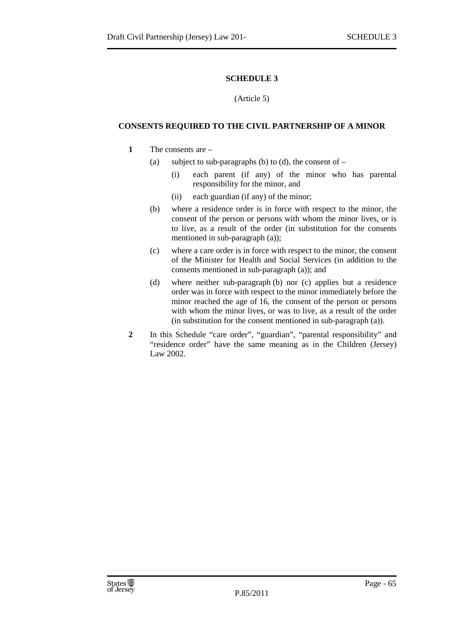#### (Article 5)

#### **CONSENTS REQUIRED TO THE CIVIL PARTNERSHIP OF A MINOR**

#### **1** The consents are –

- (a) subject to sub-paragraphs (b) to (d), the consent of  $-$ 
	- (i) each parent (if any) of the minor who has parental responsibility for the minor, and
	- (ii) each guardian (if any) of the minor;
- (b) where a residence order is in force with respect to the minor, the consent of the person or persons with whom the minor lives, or is to live, as a result of the order (in substitution for the consents mentioned in sub-paragraph (a));
- (c) where a care order is in force with respect to the minor, the consent of the Minister for Health and Social Services (in addition to the consents mentioned in sub-paragraph (a)); and
- (d) where neither sub-paragraph (b) nor (c) applies but a residence order was in force with respect to the minor immediately before the minor reached the age of 16, the consent of the person or persons with whom the minor lives, or was to live, as a result of the order (in substitution for the consent mentioned in sub-paragraph (a)).
- **2** In this Schedule "care order", "guardian", "parental responsibility" and "residence order" have the same meaning as in the Children (Jersey) Law 2002.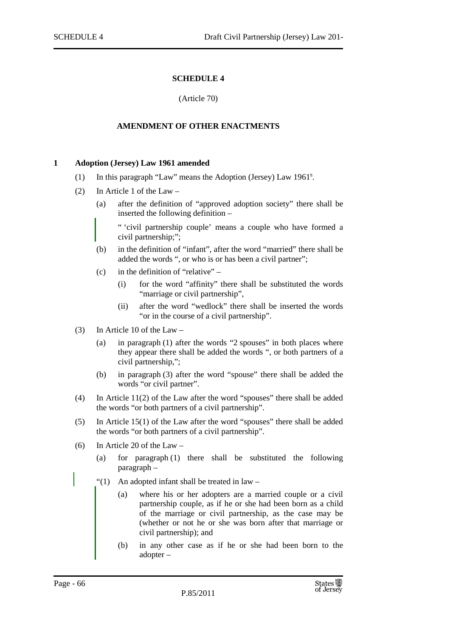(Article 70)

#### **AMENDMENT OF OTHER ENACTMENTS**

#### **1 Adoption (Jersey) Law 1961 amended**

- (1) In this paragraph "Law" means the Adoption (Jersey) Law 1961<sup>9</sup>.
- (2) In Article 1 of the Law
	- (a) after the definition of "approved adoption society" there shall be inserted the following definition –

" 'civil partnership couple' means a couple who have formed a civil partnership;";

- (b) in the definition of "infant", after the word "married" there shall be added the words ", or who is or has been a civil partner";
- $(c)$  in the definition of "relative"
	- (i) for the word "affinity" there shall be substituted the words "marriage or civil partnership",
	- (ii) after the word "wedlock" there shall be inserted the words "or in the course of a civil partnership".
- (3) In Article 10 of the Law
	- (a) in paragraph (1) after the words "2 spouses" in both places where they appear there shall be added the words ", or both partners of a civil partnership,";
	- (b) in paragraph (3) after the word "spouse" there shall be added the words "or civil partner".
- (4) In Article 11(2) of the Law after the word "spouses" there shall be added the words "or both partners of a civil partnership".
- (5) In Article 15(1) of the Law after the word "spouses" there shall be added the words "or both partners of a civil partnership".
- (6) In Article 20 of the Law
	- (a) for paragraph (1) there shall be substituted the following paragraph –
	- " $(1)$  An adopted infant shall be treated in law
		- (a) where his or her adopters are a married couple or a civil partnership couple, as if he or she had been born as a child of the marriage or civil partnership, as the case may be (whether or not he or she was born after that marriage or civil partnership); and
		- (b) in any other case as if he or she had been born to the adopter –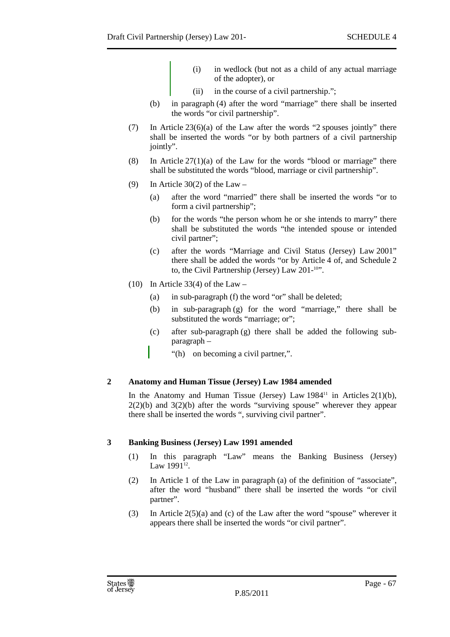- (i) in wedlock (but not as a child of any actual marriage of the adopter), or
- (ii) in the course of a civil partnership.";
- (b) in paragraph (4) after the word "marriage" there shall be inserted the words "or civil partnership".
- (7) In Article 23(6)(a) of the Law after the words "2 spouses jointly" there shall be inserted the words "or by both partners of a civil partnership jointly".
- (8) In Article  $27(1)(a)$  of the Law for the words "blood or marriage" there shall be substituted the words "blood, marriage or civil partnership".
- (9) In Article 30(2) of the Law
	- (a) after the word "married" there shall be inserted the words "or to form a civil partnership";
	- (b) for the words "the person whom he or she intends to marry" there shall be substituted the words "the intended spouse or intended civil partner";
	- (c) after the words "Marriage and Civil Status (Jersey) Law 2001" there shall be added the words "or by Article 4 of, and Schedule 2 to, the Civil Partnership (Jersey) Law 201-<sup>10</sup>".
- (10) In Article 33(4) of the Law
	- (a) in sub-paragraph (f) the word "or" shall be deleted;
	- (b) in sub-paragraph (g) for the word "marriage," there shall be substituted the words "marriage; or";
	- (c) after sub-paragraph (g) there shall be added the following subparagraph –
		- "(h) on becoming a civil partner,".

## **2 Anatomy and Human Tissue (Jersey) Law 1984 amended**

In the Anatomy and Human Tissue (Jersey) Law  $1984<sup>11</sup>$  in Articles  $2(1)(b)$ ,  $2(2)(b)$  and  $3(2)(b)$  after the words "surviving spouse" wherever they appear there shall be inserted the words ", surviving civil partner".

## **3 Banking Business (Jersey) Law 1991 amended**

- (1) In this paragraph "Law" means the Banking Business (Jersey) Law  $1991^{12}$ .
- (2) In Article 1 of the Law in paragraph (a) of the definition of "associate", after the word "husband" there shall be inserted the words "or civil partner".
- (3) In Article  $2(5)(a)$  and (c) of the Law after the word "spouse" wherever it appears there shall be inserted the words "or civil partner".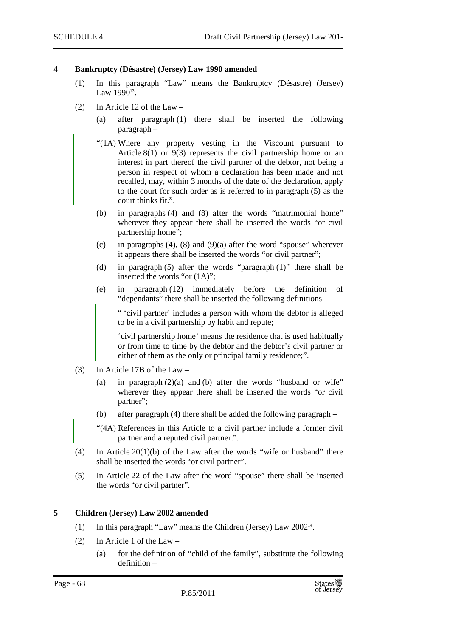#### **4 Bankruptcy (Désastre) (Jersey) Law 1990 amended**

- (1) In this paragraph "Law" means the Bankruptcy (Désastre) (Jersey) Law  $1990^{13}$ .
- (2) In Article 12 of the Law
	- (a) after paragraph (1) there shall be inserted the following paragraph –
	- "(1A) Where any property vesting in the Viscount pursuant to Article 8(1) or 9(3) represents the civil partnership home or an interest in part thereof the civil partner of the debtor, not being a person in respect of whom a declaration has been made and not recalled, may, within 3 months of the date of the declaration, apply to the court for such order as is referred to in paragraph (5) as the court thinks fit.".
	- (b) in paragraphs (4) and (8) after the words "matrimonial home" wherever they appear there shall be inserted the words "or civil" partnership home";
	- (c) in paragraphs (4), (8) and (9)(a) after the word "spouse" wherever it appears there shall be inserted the words "or civil partner";
	- (d) in paragraph (5) after the words "paragraph (1)" there shall be inserted the words "or (1A)";
	- (e) in paragraph (12) immediately before the definition of "dependants" there shall be inserted the following definitions –

" 'civil partner' includes a person with whom the debtor is alleged to be in a civil partnership by habit and repute;

'civil partnership home' means the residence that is used habitually or from time to time by the debtor and the debtor's civil partner or either of them as the only or principal family residence;".

- (3) In Article 17B of the Law
	- (a) in paragraph  $(2)(a)$  and (b) after the words "husband or wife" wherever they appear there shall be inserted the words "or civil partner";
	- (b) after paragraph (4) there shall be added the following paragraph –

"(4A) References in this Article to a civil partner include a former civil partner and a reputed civil partner.".

- (4) In Article 20(1)(b) of the Law after the words "wife or husband" there shall be inserted the words "or civil partner".
- (5) In Article 22 of the Law after the word "spouse" there shall be inserted the words "or civil partner".

#### **5 Children (Jersey) Law 2002 amended**

- (1) In this paragraph "Law" means the Children (Jersey) Law 2002<sup>14</sup> .
- (2) In Article 1 of the Law
	- (a) for the definition of "child of the family", substitute the following definition –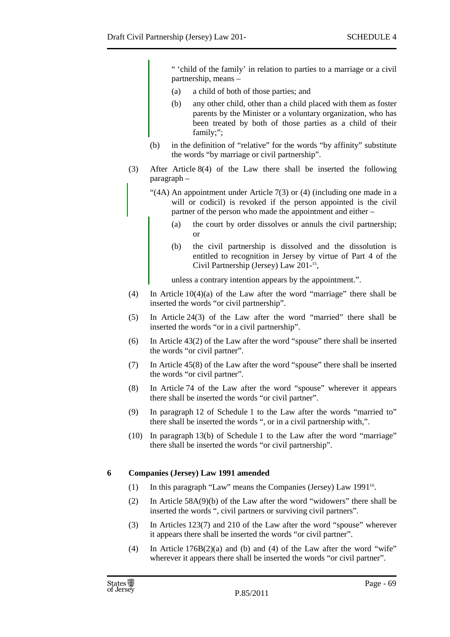" 'child of the family' in relation to parties to a marriage or a civil partnership, means –

- (a) a child of both of those parties; and
- (b) any other child, other than a child placed with them as foster parents by the Minister or a voluntary organization, who has been treated by both of those parties as a child of their family;";
- (b) in the definition of "relative" for the words "by affinity" substitute the words "by marriage or civil partnership".
- (3) After Article 8(4) of the Law there shall be inserted the following paragraph –
	- "(4A) An appointment under Article 7(3) or (4) (including one made in a will or codicil) is revoked if the person appointed is the civil partner of the person who made the appointment and either –
		- (a) the court by order dissolves or annuls the civil partnership; or
		- (b) the civil partnership is dissolved and the dissolution is entitled to recognition in Jersey by virtue of Part 4 of the Civil Partnership (Jersey) Law 201-<sup>15</sup>,

unless a contrary intention appears by the appointment.".

- (4) In Article  $10(4)(a)$  of the Law after the word "marriage" there shall be inserted the words "or civil partnership".
- (5) In Article 24(3) of the Law after the word "married" there shall be inserted the words "or in a civil partnership".
- (6) In Article 43(2) of the Law after the word "spouse" there shall be inserted the words "or civil partner".
- (7) In Article 45(8) of the Law after the word "spouse" there shall be inserted the words "or civil partner".
- (8) In Article 74 of the Law after the word "spouse" wherever it appears there shall be inserted the words "or civil partner".
- (9) In paragraph 12 of Schedule 1 to the Law after the words "married to" there shall be inserted the words ", or in a civil partnership with,".
- (10) In paragraph 13(b) of Schedule 1 to the Law after the word "marriage" there shall be inserted the words "or civil partnership".

## **6 Companies (Jersey) Law 1991 amended**

- (1) In this paragraph "Law" means the Companies (Jersey) Law 1991<sup>16</sup>.
- (2) In Article 58A(9)(b) of the Law after the word "widowers" there shall be inserted the words ", civil partners or surviving civil partners".
- (3) In Articles 123(7) and 210 of the Law after the word "spouse" wherever it appears there shall be inserted the words "or civil partner".
- (4) In Article  $176B(2)(a)$  and (b) and (4) of the Law after the word "wife" wherever it appears there shall be inserted the words "or civil partner".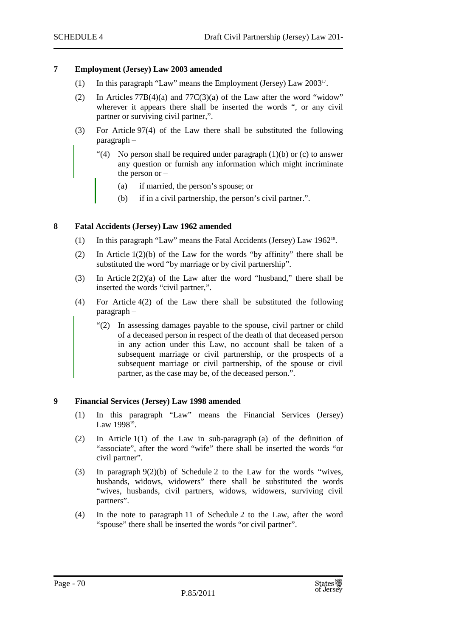#### **7 Employment (Jersey) Law 2003 amended**

- (1) In this paragraph "Law" means the Employment (Jersey) Law 2003<sup>17</sup> .
- (2) In Articles 77B(4)(a) and 77C(3)(a) of the Law after the word "widow" wherever it appears there shall be inserted the words ", or any civil partner or surviving civil partner,".
- (3) For Article 97(4) of the Law there shall be substituted the following paragraph –
	- "(4) No person shall be required under paragraph  $(1)(b)$  or  $(c)$  to answer any question or furnish any information which might incriminate the person or –
		- (a) if married, the person's spouse; or
		- (b) if in a civil partnership, the person's civil partner.".

#### **8 Fatal Accidents (Jersey) Law 1962 amended**

- (1) In this paragraph "Law" means the Fatal Accidents (Jersey) Law 1962<sup>18</sup> .
- (2) In Article 1(2)(b) of the Law for the words "by affinity" there shall be substituted the word "by marriage or by civil partnership".
- (3) In Article 2(2)(a) of the Law after the word "husband," there shall be inserted the words "civil partner,".
- (4) For Article 4(2) of the Law there shall be substituted the following paragraph –
	- "(2) In assessing damages payable to the spouse, civil partner or child of a deceased person in respect of the death of that deceased person in any action under this Law, no account shall be taken of a subsequent marriage or civil partnership, or the prospects of a subsequent marriage or civil partnership, of the spouse or civil partner, as the case may be, of the deceased person.".

#### **9 Financial Services (Jersey) Law 1998 amended**

- (1) In this paragraph "Law" means the Financial Services (Jersey) Law 1998<sup>19</sup>.
- (2) In Article 1(1) of the Law in sub-paragraph (a) of the definition of "associate", after the word "wife" there shall be inserted the words "or civil partner".
- (3) In paragraph 9(2)(b) of Schedule 2 to the Law for the words "wives, husbands, widows, widowers" there shall be substituted the words "wives, husbands, civil partners, widows, widowers, surviving civil partners".
- (4) In the note to paragraph 11 of Schedule 2 to the Law, after the word "spouse" there shall be inserted the words "or civil partner".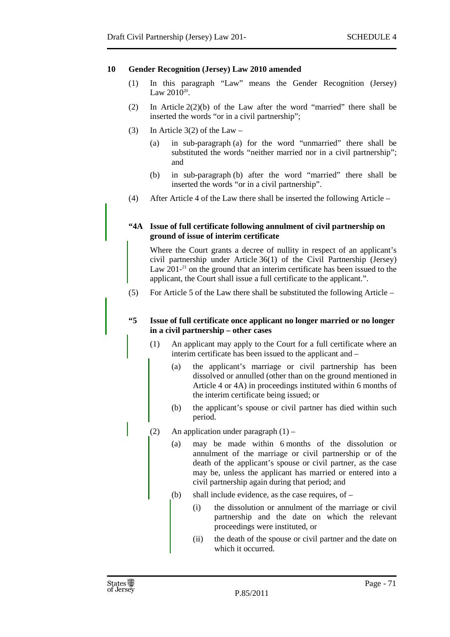#### **10 Gender Recognition (Jersey) Law 2010 amended**

- (1) In this paragraph "Law" means the Gender Recognition (Jersey) Law  $2010^{20}$ .
- (2) In Article 2(2)(b) of the Law after the word "married" there shall be inserted the words "or in a civil partnership";
- (3) In Article  $3(2)$  of the Law
	- (a) in sub-paragraph (a) for the word "unmarried" there shall be substituted the words "neither married nor in a civil partnership"; and
	- (b) in sub-paragraph (b) after the word "married" there shall be inserted the words "or in a civil partnership".
- (4) After Article 4 of the Law there shall be inserted the following Article –

#### **"4A Issue of full certificate following annulment of civil partnership on ground of issue of interim certificate**

Where the Court grants a decree of nullity in respect of an applicant's civil partnership under Article 36(1) of the Civil Partnership (Jersey) Law  $201<sup>-21</sup>$  on the ground that an interim certificate has been issued to the applicant, the Court shall issue a full certificate to the applicant.".

(5) For Article 5 of the Law there shall be substituted the following Article –

#### **"5 Issue of full certificate once applicant no longer married or no longer in a civil partnership – other cases**

- (1) An applicant may apply to the Court for a full certificate where an interim certificate has been issued to the applicant and –
	- (a) the applicant's marriage or civil partnership has been dissolved or annulled (other than on the ground mentioned in Article 4 or 4A) in proceedings instituted within 6 months of the interim certificate being issued; or
	- (b) the applicant's spouse or civil partner has died within such period.
- (2) An application under paragraph  $(1)$ 
	- (a) may be made within 6 months of the dissolution or annulment of the marriage or civil partnership or of the death of the applicant's spouse or civil partner, as the case may be, unless the applicant has married or entered into a civil partnership again during that period; and
	- (b) shall include evidence, as the case requires, of
		- (i) the dissolution or annulment of the marriage or civil partnership and the date on which the relevant proceedings were instituted, or
		- (ii) the death of the spouse or civil partner and the date on which it occurred.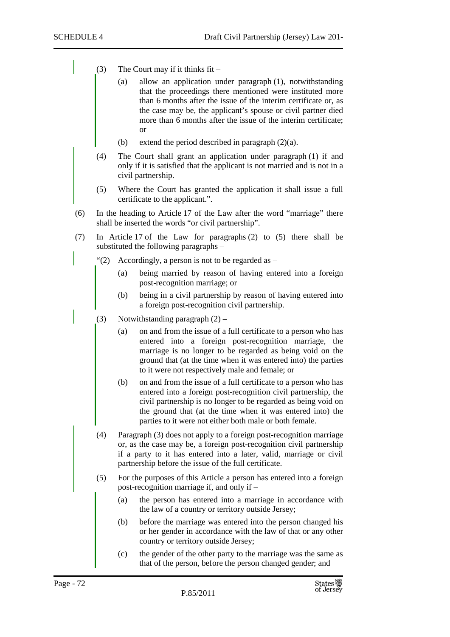- (3) The Court may if it thinks  $fit -$ 
	- (a) allow an application under paragraph (1), notwithstanding that the proceedings there mentioned were instituted more than 6 months after the issue of the interim certificate or, as the case may be, the applicant's spouse or civil partner died more than 6 months after the issue of the interim certificate; or
	- (b) extend the period described in paragraph (2)(a).
- (4) The Court shall grant an application under paragraph (1) if and only if it is satisfied that the applicant is not married and is not in a civil partnership.
- (5) Where the Court has granted the application it shall issue a full certificate to the applicant.".
- (6) In the heading to Article 17 of the Law after the word "marriage" there shall be inserted the words "or civil partnership".
- (7) In Article 17 of the Law for paragraphs (2) to (5) there shall be substituted the following paragraphs –
	- "(2) Accordingly, a person is not to be regarded as  $-$ 
		- (a) being married by reason of having entered into a foreign post-recognition marriage; or
		- (b) being in a civil partnership by reason of having entered into a foreign post-recognition civil partnership.
	- (3) Notwithstanding paragraph  $(2)$ 
		- (a) on and from the issue of a full certificate to a person who has entered into a foreign post-recognition marriage, the marriage is no longer to be regarded as being void on the ground that (at the time when it was entered into) the parties to it were not respectively male and female; or
		- (b) on and from the issue of a full certificate to a person who has entered into a foreign post-recognition civil partnership, the civil partnership is no longer to be regarded as being void on the ground that (at the time when it was entered into) the parties to it were not either both male or both female.
		- (4) Paragraph (3) does not apply to a foreign post-recognition marriage or, as the case may be, a foreign post-recognition civil partnership if a party to it has entered into a later, valid, marriage or civil partnership before the issue of the full certificate.
		- (5) For the purposes of this Article a person has entered into a foreign post-recognition marriage if, and only if –
			- (a) the person has entered into a marriage in accordance with the law of a country or territory outside Jersey;
			- (b) before the marriage was entered into the person changed his or her gender in accordance with the law of that or any other country or territory outside Jersey;
			- (c) the gender of the other party to the marriage was the same as that of the person, before the person changed gender; and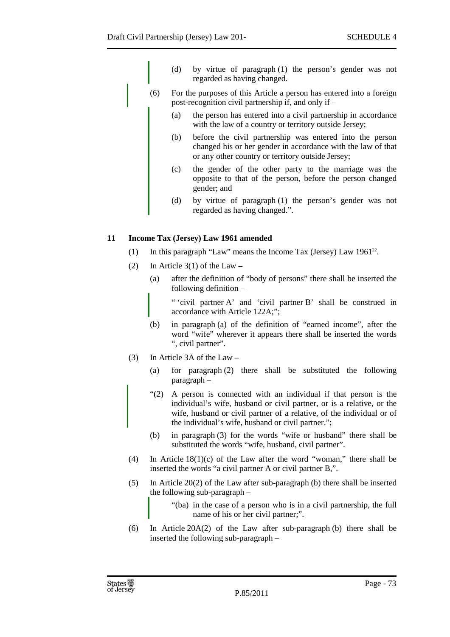- (d) by virtue of paragraph (1) the person's gender was not regarded as having changed.
- (6) For the purposes of this Article a person has entered into a foreign post-recognition civil partnership if, and only if –
	- (a) the person has entered into a civil partnership in accordance with the law of a country or territory outside Jersey;
	- (b) before the civil partnership was entered into the person changed his or her gender in accordance with the law of that or any other country or territory outside Jersey;
	- (c) the gender of the other party to the marriage was the opposite to that of the person, before the person changed gender; and
	- (d) by virtue of paragraph (1) the person's gender was not regarded as having changed.".

# **11 Income Tax (Jersey) Law 1961 amended**

- (1) In this paragraph "Law" means the Income Tax (Jersey) Law  $1961^{22}$ .
- (2) In Article  $3(1)$  of the Law
	- (a) after the definition of "body of persons" there shall be inserted the following definition –

" 'civil partner A' and 'civil partner B' shall be construed in accordance with Article 122A;";

- (b) in paragraph (a) of the definition of "earned income", after the word "wife" wherever it appears there shall be inserted the words ", civil partner".
- (3) In Article 3A of the Law
	- (a) for paragraph (2) there shall be substituted the following paragraph –
	- "(2) A person is connected with an individual if that person is the individual's wife, husband or civil partner, or is a relative, or the wife, husband or civil partner of a relative, of the individual or of the individual's wife, husband or civil partner.";
	- (b) in paragraph (3) for the words "wife or husband" there shall be substituted the words "wife, husband, civil partner".
- (4) In Article 18(1)(c) of the Law after the word "woman," there shall be inserted the words "a civil partner A or civil partner B,".
- (5) In Article 20(2) of the Law after sub-paragraph (b) there shall be inserted the following sub-paragraph –
	- "(ba) in the case of a person who is in a civil partnership, the full name of his or her civil partner;".
- (6) In Article 20A(2) of the Law after sub-paragraph (b) there shall be inserted the following sub-paragraph –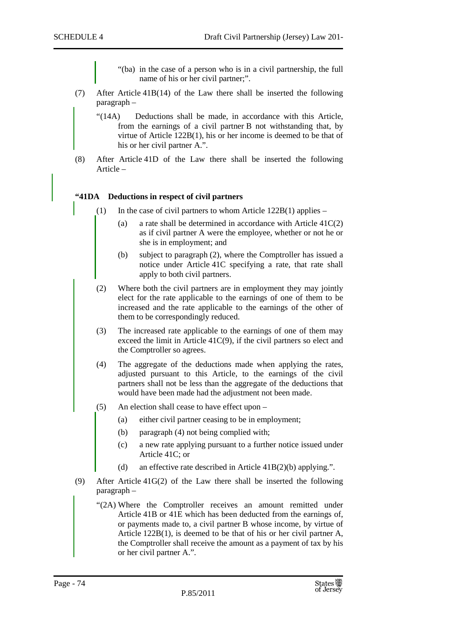"(ba) in the case of a person who is in a civil partnership, the full name of his or her civil partner;".

- (7) After Article 41B(14) of the Law there shall be inserted the following paragraph –
	- "(14A) Deductions shall be made, in accordance with this Article, from the earnings of a civil partner B not withstanding that, by virtue of Article 122B(1), his or her income is deemed to be that of his or her civil partner A.".
- (8) After Article 41D of the Law there shall be inserted the following Article –

## **"41DA Deductions in respect of civil partners**

- (1) In the case of civil partners to whom Article  $122B(1)$  applies
	- (a) a rate shall be determined in accordance with Article  $41C(2)$ as if civil partner A were the employee, whether or not he or she is in employment; and
	- (b) subject to paragraph (2), where the Comptroller has issued a notice under Article 41C specifying a rate, that rate shall apply to both civil partners.
- (2) Where both the civil partners are in employment they may jointly elect for the rate applicable to the earnings of one of them to be increased and the rate applicable to the earnings of the other of them to be correspondingly reduced.
- (3) The increased rate applicable to the earnings of one of them may exceed the limit in Article 41C(9), if the civil partners so elect and the Comptroller so agrees.
- (4) The aggregate of the deductions made when applying the rates, adjusted pursuant to this Article, to the earnings of the civil partners shall not be less than the aggregate of the deductions that would have been made had the adjustment not been made.
- (5) An election shall cease to have effect upon
	- (a) either civil partner ceasing to be in employment;
	- (b) paragraph (4) not being complied with;
	- (c) a new rate applying pursuant to a further notice issued under Article 41C; or
	- (d) an effective rate described in Article 41B(2)(b) applying.".
- (9) After Article 41G(2) of the Law there shall be inserted the following paragraph –
	- "(2A) Where the Comptroller receives an amount remitted under Article 41B or 41E which has been deducted from the earnings of, or payments made to, a civil partner B whose income, by virtue of Article 122B(1), is deemed to be that of his or her civil partner A, the Comptroller shall receive the amount as a payment of tax by his or her civil partner A.".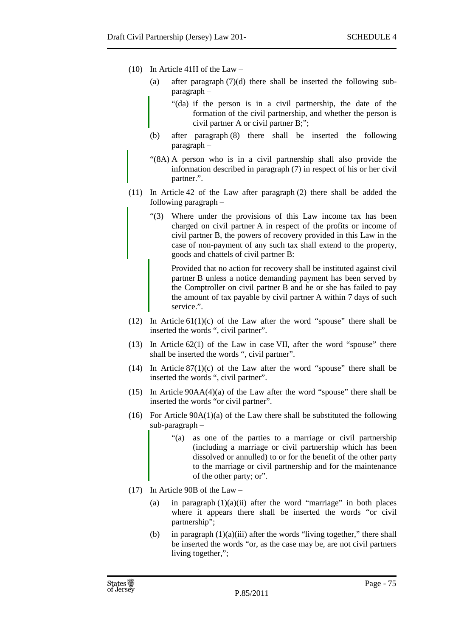- (10) In Article 41H of the Law
	- (a) after paragraph (7)(d) there shall be inserted the following subparagraph –
		- "(da) if the person is in a civil partnership, the date of the formation of the civil partnership, and whether the person is civil partner A or civil partner B;";
	- (b) after paragraph (8) there shall be inserted the following paragraph –
	- "(8A) A person who is in a civil partnership shall also provide the information described in paragraph (7) in respect of his or her civil partner.".
- (11) In Article 42 of the Law after paragraph (2) there shall be added the following paragraph –
	- "(3) Where under the provisions of this Law income tax has been charged on civil partner A in respect of the profits or income of civil partner B, the powers of recovery provided in this Law in the case of non-payment of any such tax shall extend to the property, goods and chattels of civil partner B:

Provided that no action for recovery shall be instituted against civil partner B unless a notice demanding payment has been served by the Comptroller on civil partner B and he or she has failed to pay the amount of tax payable by civil partner A within 7 days of such service.".

- (12) In Article  $61(1)(c)$  of the Law after the word "spouse" there shall be inserted the words ", civil partner".
- (13) In Article 62(1) of the Law in case VII, after the word "spouse" there shall be inserted the words ", civil partner".
- (14) In Article  $87(1)(c)$  of the Law after the word "spouse" there shall be inserted the words ", civil partner".
- (15) In Article 90AA(4)(a) of the Law after the word "spouse" there shall be inserted the words "or civil partner".
- (16) For Article  $90A(1)(a)$  of the Law there shall be substituted the following sub-paragraph –
	- "(a) as one of the parties to a marriage or civil partnership (including a marriage or civil partnership which has been dissolved or annulled) to or for the benefit of the other party to the marriage or civil partnership and for the maintenance of the other party; or".
- (17) In Article 90B of the Law
	- (a) in paragraph  $(1)(a)(ii)$  after the word "marriage" in both places where it appears there shall be inserted the words "or civil partnership";
	- (b) in paragraph  $(1)(a)(iii)$  after the words "living together," there shall be inserted the words "or, as the case may be, are not civil partners living together,";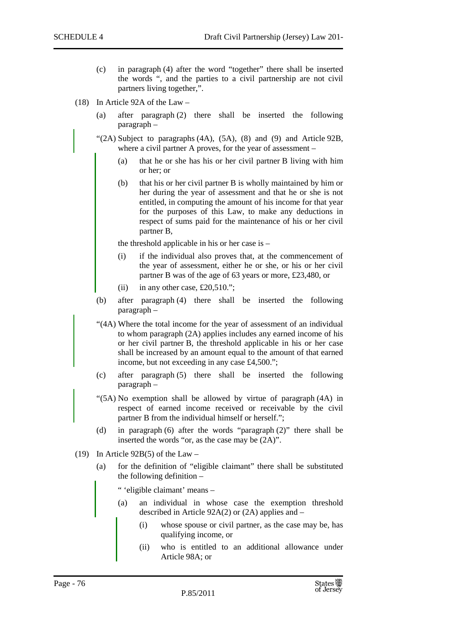- (c) in paragraph (4) after the word "together" there shall be inserted the words ", and the parties to a civil partnership are not civil partners living together,".
- (18) In Article 92A of the Law
	- (a) after paragraph (2) there shall be inserted the following paragraph –
	- " $(2A)$  Subject to paragraphs  $(4A)$ ,  $(5A)$ ,  $(8)$  and  $(9)$  and Article 92B, where a civil partner A proves, for the year of assessment –
		- (a) that he or she has his or her civil partner B living with him or her; or
		- (b) that his or her civil partner B is wholly maintained by him or her during the year of assessment and that he or she is not entitled, in computing the amount of his income for that year for the purposes of this Law, to make any deductions in respect of sums paid for the maintenance of his or her civil partner B,

the threshold applicable in his or her case is –

- (i) if the individual also proves that, at the commencement of the year of assessment, either he or she, or his or her civil partner B was of the age of 63 years or more, £23,480, or
- (ii) in any other case,  $£20,510."$ ;
- (b) after paragraph (4) there shall be inserted the following paragraph –
- "(4A) Where the total income for the year of assessment of an individual to whom paragraph (2A) applies includes any earned income of his or her civil partner B, the threshold applicable in his or her case shall be increased by an amount equal to the amount of that earned income, but not exceeding in any case £4,500.";
- (c) after paragraph (5) there shall be inserted the following paragraph –
- "(5A) No exemption shall be allowed by virtue of paragraph (4A) in respect of earned income received or receivable by the civil partner B from the individual himself or herself.";
- (d) in paragraph (6) after the words "paragraph (2)" there shall be inserted the words "or, as the case may be (2A)".
- (19) In Article 92B(5) of the Law
	- (a) for the definition of "eligible claimant" there shall be substituted the following definition –

" 'eligible claimant' means –

- (a) an individual in whose case the exemption threshold described in Article 92A(2) or (2A) applies and –
	- (i) whose spouse or civil partner, as the case may be, has qualifying income, or
	- (ii) who is entitled to an additional allowance under Article 98A; or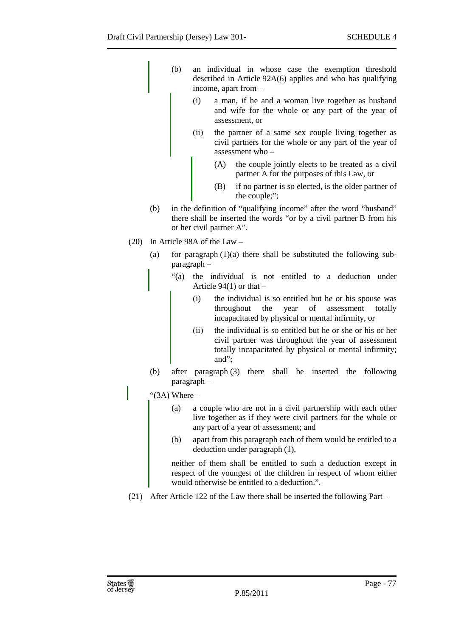- (b) an individual in whose case the exemption threshold described in Article 92A(6) applies and who has qualifying income, apart from –
	- (i) a man, if he and a woman live together as husband and wife for the whole or any part of the year of assessment, or
	- (ii) the partner of a same sex couple living together as civil partners for the whole or any part of the year of assessment who –
		- (A) the couple jointly elects to be treated as a civil partner A for the purposes of this Law, or
		- (B) if no partner is so elected, is the older partner of the couple;";
- (b) in the definition of "qualifying income" after the word "husband" there shall be inserted the words "or by a civil partner B from his or her civil partner A".
- (20) In Article 98A of the Law
	- (a) for paragraph  $(1)(a)$  there shall be substituted the following subparagraph –
		- "(a) the individual is not entitled to a deduction under Article  $94(1)$  or that  $-$ 
			- (i) the individual is so entitled but he or his spouse was throughout the year of assessment totally incapacitated by physical or mental infirmity, or
			- (ii) the individual is so entitled but he or she or his or her civil partner was throughout the year of assessment totally incapacitated by physical or mental infirmity; and";
	- (b) after paragraph (3) there shall be inserted the following paragraph –

" $(3A)$  Where –

- (a) a couple who are not in a civil partnership with each other live together as if they were civil partners for the whole or any part of a year of assessment; and
- (b) apart from this paragraph each of them would be entitled to a deduction under paragraph (1),

neither of them shall be entitled to such a deduction except in respect of the youngest of the children in respect of whom either would otherwise be entitled to a deduction.".

(21) After Article 122 of the Law there shall be inserted the following Part –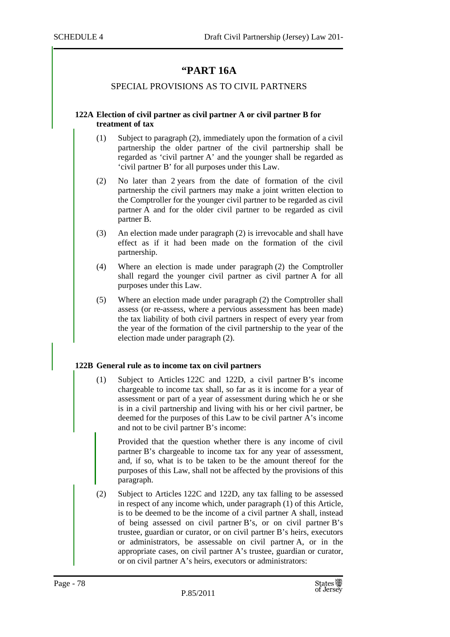# **"PART 16A**

## SPECIAL PROVISIONS AS TO CIVIL PARTNERS

#### **122A Election of civil partner as civil partner A or civil partner B for treatment of tax**

- (1) Subject to paragraph (2), immediately upon the formation of a civil partnership the older partner of the civil partnership shall be regarded as 'civil partner A' and the younger shall be regarded as 'civil partner B' for all purposes under this Law.
- (2) No later than 2 years from the date of formation of the civil partnership the civil partners may make a joint written election to the Comptroller for the younger civil partner to be regarded as civil partner A and for the older civil partner to be regarded as civil partner B.
- (3) An election made under paragraph (2) is irrevocable and shall have effect as if it had been made on the formation of the civil partnership.
- (4) Where an election is made under paragraph (2) the Comptroller shall regard the younger civil partner as civil partner A for all purposes under this Law.
- (5) Where an election made under paragraph (2) the Comptroller shall assess (or re-assess, where a pervious assessment has been made) the tax liability of both civil partners in respect of every year from the year of the formation of the civil partnership to the year of the election made under paragraph (2).

## **122B General rule as to income tax on civil partners**

(1) Subject to Articles 122C and 122D, a civil partner B's income chargeable to income tax shall, so far as it is income for a year of assessment or part of a year of assessment during which he or she is in a civil partnership and living with his or her civil partner, be deemed for the purposes of this Law to be civil partner A's income and not to be civil partner B's income:

Provided that the question whether there is any income of civil partner B's chargeable to income tax for any year of assessment, and, if so, what is to be taken to be the amount thereof for the purposes of this Law, shall not be affected by the provisions of this paragraph.

(2) Subject to Articles 122C and 122D, any tax falling to be assessed in respect of any income which, under paragraph (1) of this Article, is to be deemed to be the income of a civil partner A shall, instead of being assessed on civil partner B's, or on civil partner B's trustee, guardian or curator, or on civil partner B's heirs, executors or administrators, be assessable on civil partner A, or in the appropriate cases, on civil partner A's trustee, guardian or curator, or on civil partner A's heirs, executors or administrators: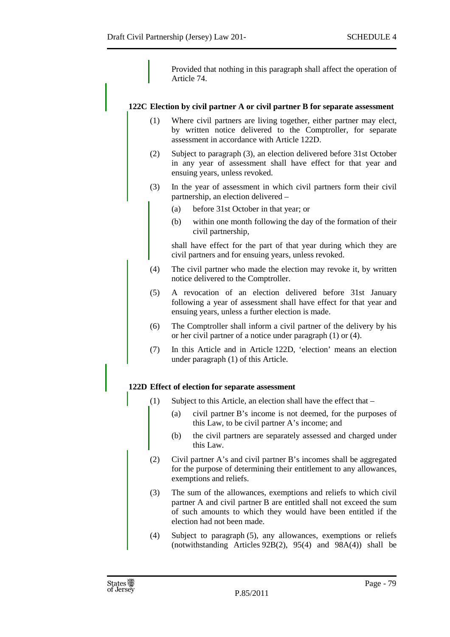Provided that nothing in this paragraph shall affect the operation of Article 74.

## **122C Election by civil partner A or civil partner B for separate assessment**

- (1) Where civil partners are living together, either partner may elect, by written notice delivered to the Comptroller, for separate assessment in accordance with Article 122D.
- (2) Subject to paragraph (3), an election delivered before 31st October in any year of assessment shall have effect for that year and ensuing years, unless revoked.
- (3) In the year of assessment in which civil partners form their civil partnership, an election delivered –
	- (a) before 31st October in that year; or
	- (b) within one month following the day of the formation of their civil partnership,

shall have effect for the part of that year during which they are civil partners and for ensuing years, unless revoked.

- (4) The civil partner who made the election may revoke it, by written notice delivered to the Comptroller.
- (5) A revocation of an election delivered before 31st January following a year of assessment shall have effect for that year and ensuing years, unless a further election is made.
- (6) The Comptroller shall inform a civil partner of the delivery by his or her civil partner of a notice under paragraph (1) or (4).
- (7) In this Article and in Article 122D, 'election' means an election under paragraph (1) of this Article.

# **122D Effect of election for separate assessment**

- (1) Subject to this Article, an election shall have the effect that
	- (a) civil partner B's income is not deemed, for the purposes of this Law, to be civil partner A's income; and
	- (b) the civil partners are separately assessed and charged under this Law.
- (2) Civil partner A's and civil partner B's incomes shall be aggregated for the purpose of determining their entitlement to any allowances, exemptions and reliefs.
- (3) The sum of the allowances, exemptions and reliefs to which civil partner A and civil partner B are entitled shall not exceed the sum of such amounts to which they would have been entitled if the election had not been made.
- (4) Subject to paragraph (5), any allowances, exemptions or reliefs (notwithstanding Articles  $92B(2)$ ,  $95(4)$  and  $98A(4)$ ) shall be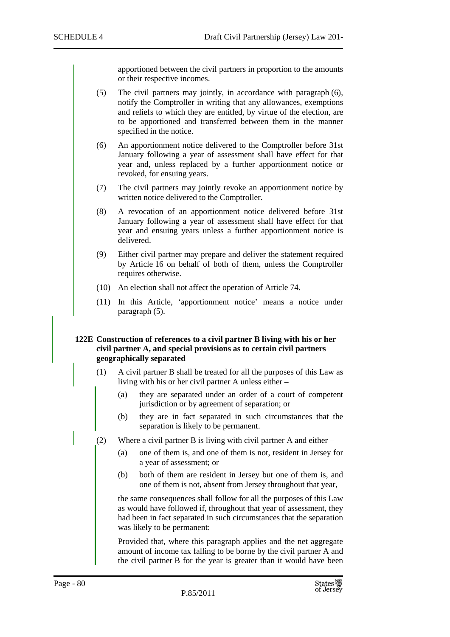apportioned between the civil partners in proportion to the amounts or their respective incomes.

- (5) The civil partners may jointly, in accordance with paragraph (6), notify the Comptroller in writing that any allowances, exemptions and reliefs to which they are entitled, by virtue of the election, are to be apportioned and transferred between them in the manner specified in the notice.
- (6) An apportionment notice delivered to the Comptroller before 31st January following a year of assessment shall have effect for that year and, unless replaced by a further apportionment notice or revoked, for ensuing years.
- (7) The civil partners may jointly revoke an apportionment notice by written notice delivered to the Comptroller.
- (8) A revocation of an apportionment notice delivered before 31st January following a year of assessment shall have effect for that year and ensuing years unless a further apportionment notice is delivered.
- (9) Either civil partner may prepare and deliver the statement required by Article 16 on behalf of both of them, unless the Comptroller requires otherwise.
- (10) An election shall not affect the operation of Article 74.
- (11) In this Article, 'apportionment notice' means a notice under paragraph (5).

## **122E Construction of references to a civil partner B living with his or her civil partner A, and special provisions as to certain civil partners geographically separated**

- (1) A civil partner B shall be treated for all the purposes of this Law as living with his or her civil partner A unless either –
	- (a) they are separated under an order of a court of competent jurisdiction or by agreement of separation; or
	- (b) they are in fact separated in such circumstances that the separation is likely to be permanent.
- (2) Where a civil partner B is living with civil partner A and either
	- (a) one of them is, and one of them is not, resident in Jersey for a year of assessment; or
	- (b) both of them are resident in Jersey but one of them is, and one of them is not, absent from Jersey throughout that year,

the same consequences shall follow for all the purposes of this Law as would have followed if, throughout that year of assessment, they had been in fact separated in such circumstances that the separation was likely to be permanent:

Provided that, where this paragraph applies and the net aggregate amount of income tax falling to be borne by the civil partner A and the civil partner B for the year is greater than it would have been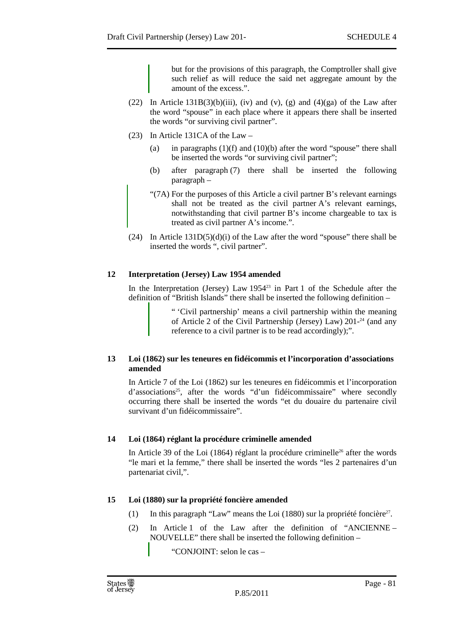but for the provisions of this paragraph, the Comptroller shall give such relief as will reduce the said net aggregate amount by the amount of the excess.".

- (22) In Article  $131B(3)(b)(iii)$ , (iv) and (v), (g) and (4)(ga) of the Law after the word "spouse" in each place where it appears there shall be inserted the words "or surviving civil partner".
- (23) In Article 131CA of the Law
	- (a) in paragraphs  $(1)(f)$  and  $(10)(b)$  after the word "spouse" there shall be inserted the words "or surviving civil partner";
	- (b) after paragraph (7) there shall be inserted the following paragraph –
	- "(7A) For the purposes of this Article a civil partner B's relevant earnings shall not be treated as the civil partner A's relevant earnings, notwithstanding that civil partner B's income chargeable to tax is treated as civil partner A's income.".
- (24) In Article 131D(5)(d)(i) of the Law after the word "spouse" there shall be inserted the words ", civil partner".

# **12 Interpretation (Jersey) Law 1954 amended**

In the Interpretation (Jersey) Law  $1954^{23}$  in Part 1 of the Schedule after the definition of "British Islands" there shall be inserted the following definition –

> " 'Civil partnership' means a civil partnership within the meaning of Article 2 of the Civil Partnership (Jersey) Law)  $201<sup>24</sup>$  (and any reference to a civil partner is to be read accordingly);".

# **13 Loi (1862) sur les teneures en fidéicommis et l'incorporation d'associations amended**

In Article 7 of the Loi (1862) sur les teneures en fidéicommis et l'incorporation d'associations<sup>25</sup>, after the words "d'un fidéicommissaire" where secondly occurring there shall be inserted the words "et du douaire du partenaire civil survivant d'un fidéicommissaire".

# **14 Loi (1864) réglant la procédure criminelle amended**

In Article 39 of the Loi (1864) réglant la procédure criminelle<sup>26</sup> after the words "le mari et la femme," there shall be inserted the words "les 2 partenaires d'un partenariat civil,".

# **15 Loi (1880) sur la propriété foncière amended**

- (1) In this paragraph "Law" means the Loi (1880) sur la propriété foncière<sup>27</sup>.
- (2) In Article 1 of the Law after the definition of "ANCIENNE NOUVELLE" there shall be inserted the following definition –

"CONJOINT: selon le cas –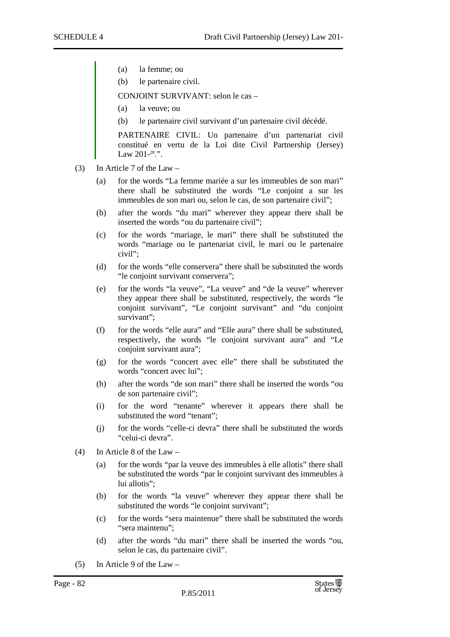- (a) la femme; ou
- (b) le partenaire civil.

CONJOINT SURVIVANT: selon le cas –

- (a) la veuve; ou
- (b) le partenaire civil survivant d'un partenaire civil décédé.

PARTENAIRE CIVIL: Un partenaire d'un partenariat civil constitué en vertu de la Loi dite Civil Partnership (Jersey) Law 201-<sup>28</sup>.".

- (3) In Article 7 of the Law
	- (a) for the words "La femme mariée a sur les immeubles de son mari" there shall be substituted the words "Le conjoint a sur les immeubles de son mari ou, selon le cas, de son partenaire civil";
	- (b) after the words "du mari" wherever they appear there shall be inserted the words "ou du partenaire civil";
	- (c) for the words "mariage, le mari" there shall be substituted the words "mariage ou le partenariat civil, le mari ou le partenaire civil";
	- (d) for the words "elle conservera" there shall be substituted the words "le conjoint survivant conservera";
	- (e) for the words "la veuve", "La veuve" and "de la veuve" wherever they appear there shall be substituted, respectively, the words "le conjoint survivant", "Le conjoint survivant" and "du conjoint survivant";
	- (f) for the words "elle aura" and "Elle aura" there shall be substituted, respectively, the words "le conjoint survivant aura" and "Le conjoint survivant aura";
	- (g) for the words "concert avec elle" there shall be substituted the words "concert avec lui";
	- (h) after the words "de son mari" there shall be inserted the words "ou de son partenaire civil";
	- (i) for the word "tenante" wherever it appears there shall be substituted the word "tenant";
	- (j) for the words "celle-ci devra" there shall be substituted the words "celui-ci devra".
- (4) In Article 8 of the Law
	- (a) for the words "par la veuve des immeubles à elle allotis" there shall be substituted the words "par le conjoint survivant des immeubles à lui allotis";
	- (b) for the words "la veuve" wherever they appear there shall be substituted the words "le conjoint survivant";
	- (c) for the words "sera maintenue" there shall be substituted the words "sera maintenu";
	- (d) after the words "du mari" there shall be inserted the words "ou, selon le cas, du partenaire civil".
- (5) In Article 9 of the Law –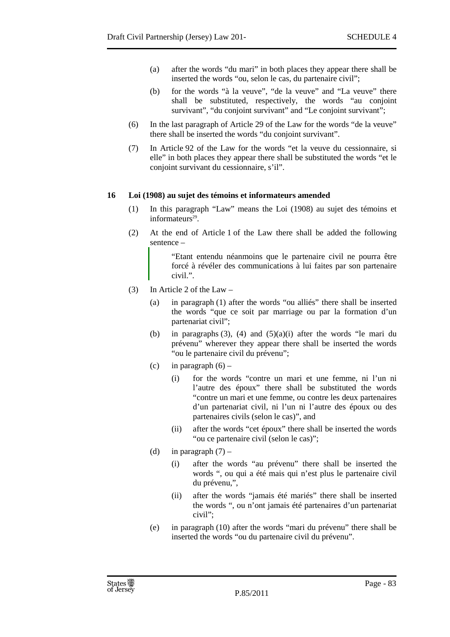- (a) after the words "du mari" in both places they appear there shall be inserted the words "ou, selon le cas, du partenaire civil";
- (b) for the words "à la veuve", "de la veuve" and "La veuve" there shall be substituted, respectively, the words "au conjoint survivant", "du conjoint survivant" and "Le conjoint survivant";
- (6) In the last paragraph of Article 29 of the Law for the words "de la veuve" there shall be inserted the words "du conjoint survivant".
- (7) In Article 92 of the Law for the words "et la veuve du cessionnaire, si elle" in both places they appear there shall be substituted the words "et le conjoint survivant du cessionnaire, s'il".

## **16 Loi (1908) au sujet des témoins et informateurs amended**

- (1) In this paragraph "Law" means the Loi (1908) au sujet des témoins et informateurs<sup>29</sup>.
- (2) At the end of Article 1 of the Law there shall be added the following sentence –

"Etant entendu néanmoins que le partenaire civil ne pourra être forcé à révéler des communications à lui faites par son partenaire civil.".

- (3) In Article 2 of the Law
	- (a) in paragraph (1) after the words "ou alliés" there shall be inserted the words "que ce soit par marriage ou par la formation d'un partenariat civil";
	- (b) in paragraphs  $(3)$ ,  $(4)$  and  $(5)(a)(i)$  after the words "le mari du prévenu" wherever they appear there shall be inserted the words "ou le partenaire civil du prévenu";
	- (c) in paragraph  $(6)$ 
		- (i) for the words "contre un mari et une femme, ni l'un ni l'autre des époux" there shall be substituted the words "contre un mari et une femme, ou contre les deux partenaires d'un partenariat civil, ni l'un ni l'autre des époux ou des partenaires civils (selon le cas)", and
		- (ii) after the words "cet époux" there shall be inserted the words "ou ce partenaire civil (selon le cas)";
	- (d) in paragraph  $(7)$ 
		- (i) after the words "au prévenu" there shall be inserted the words ", ou qui a été mais qui n'est plus le partenaire civil du prévenu,",
		- (ii) after the words "jamais été mariés" there shall be inserted the words ", ou n'ont jamais été partenaires d'un partenariat civil";
	- (e) in paragraph (10) after the words "mari du prévenu" there shall be inserted the words "ou du partenaire civil du prévenu".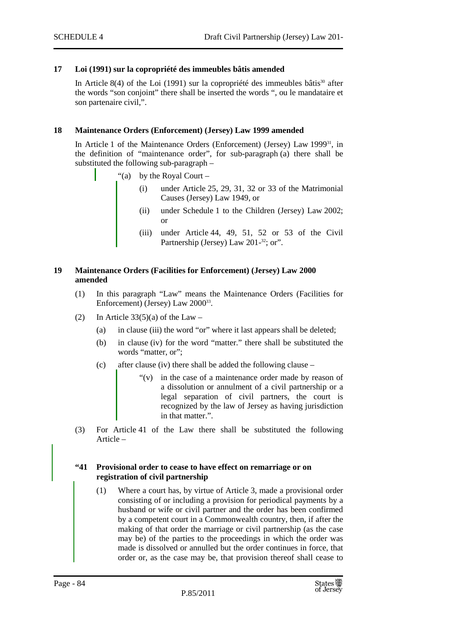## **17 Loi (1991) sur la copropriété des immeubles bâtis amended**

In Article 8(4) of the Loi (1991) sur la copropriété des immeubles bâtis<sup>30</sup> after the words "son conjoint" there shall be inserted the words ", ou le mandataire et son partenaire civil,".

## **18 Maintenance Orders (Enforcement) (Jersey) Law 1999 amended**

In Article 1 of the Maintenance Orders (Enforcement) (Jersey) Law 1999<sup>31</sup>, in the definition of "maintenance order", for sub-paragraph (a) there shall be substituted the following sub-paragraph –

- "(a) by the Royal Court  $$ 
	- under Article  $25$ ,  $29$ ,  $31$ ,  $32$  or  $33$  of the Matrimonial Causes (Jersey) Law 1949, or
	- (ii) under Schedule 1 to the Children (Jersey) Law 2002; or
	- (iii) under Article 44, 49, 51, 52 or 53 of the Civil Partnership (Jersey) Law 201-<sup>32</sup>; or".

## **19 Maintenance Orders (Facilities for Enforcement) (Jersey) Law 2000 amended**

- (1) In this paragraph "Law" means the Maintenance Orders (Facilities for Enforcement) (Jersey) Law 2000<sup>33</sup>.
- (2) In Article  $33(5)(a)$  of the Law
	- (a) in clause (iii) the word "or" where it last appears shall be deleted;
	- (b) in clause (iv) for the word "matter." there shall be substituted the words "matter, or";
	- (c) after clause (iv) there shall be added the following clause
		- $f'(v)$  in the case of a maintenance order made by reason of a dissolution or annulment of a civil partnership or a legal separation of civil partners, the court is recognized by the law of Jersey as having jurisdiction in that matter.".
- (3) For Article 41 of the Law there shall be substituted the following Article –

## **"41 Provisional order to cease to have effect on remarriage or on registration of civil partnership**

(1) Where a court has, by virtue of Article 3, made a provisional order consisting of or including a provision for periodical payments by a husband or wife or civil partner and the order has been confirmed by a competent court in a Commonwealth country, then, if after the making of that order the marriage or civil partnership (as the case may be) of the parties to the proceedings in which the order was made is dissolved or annulled but the order continues in force, that order or, as the case may be, that provision thereof shall cease to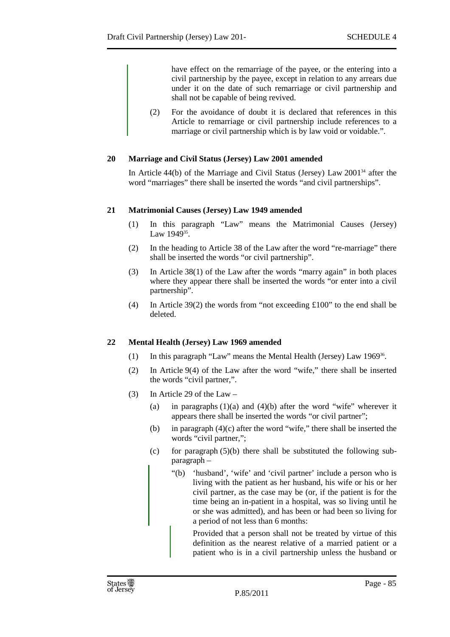have effect on the remarriage of the payee, or the entering into a civil partnership by the payee, except in relation to any arrears due under it on the date of such remarriage or civil partnership and shall not be capable of being revived.

(2) For the avoidance of doubt it is declared that references in this Article to remarriage or civil partnership include references to a marriage or civil partnership which is by law void or voidable.".

## **20 Marriage and Civil Status (Jersey) Law 2001 amended**

In Article 44(b) of the Marriage and Civil Status (Jersey) Law 2001<sup>34</sup> after the word "marriages" there shall be inserted the words "and civil partnerships".

## **21 Matrimonial Causes (Jersey) Law 1949 amended**

- (1) In this paragraph "Law" means the Matrimonial Causes (Jersey) Law 1949<sup>35</sup>.
- (2) In the heading to Article 38 of the Law after the word "re-marriage" there shall be inserted the words "or civil partnership".
- (3) In Article 38(1) of the Law after the words "marry again" in both places where they appear there shall be inserted the words "or enter into a civil partnership".
- (4) In Article 39(2) the words from "not exceeding £100" to the end shall be deleted.

# **22 Mental Health (Jersey) Law 1969 amended**

- (1) In this paragraph "Law" means the Mental Health (Jersey) Law 1969<sup>36</sup>.
- (2) In Article 9(4) of the Law after the word "wife," there shall be inserted the words "civil partner,".
- (3) In Article 29 of the Law
	- (a) in paragraphs  $(1)(a)$  and  $(4)(b)$  after the word "wife" wherever it appears there shall be inserted the words "or civil partner";
	- (b) in paragraph  $(4)(c)$  after the word "wife," there shall be inserted the words "civil partner,";
	- (c) for paragraph  $(5)(b)$  there shall be substituted the following subparagraph –
		- "(b) 'husband', 'wife' and 'civil partner' include a person who is living with the patient as her husband, his wife or his or her civil partner, as the case may be (or, if the patient is for the time being an in-patient in a hospital, was so living until he or she was admitted), and has been or had been so living for a period of not less than 6 months:

Provided that a person shall not be treated by virtue of this definition as the nearest relative of a married patient or a patient who is in a civil partnership unless the husband or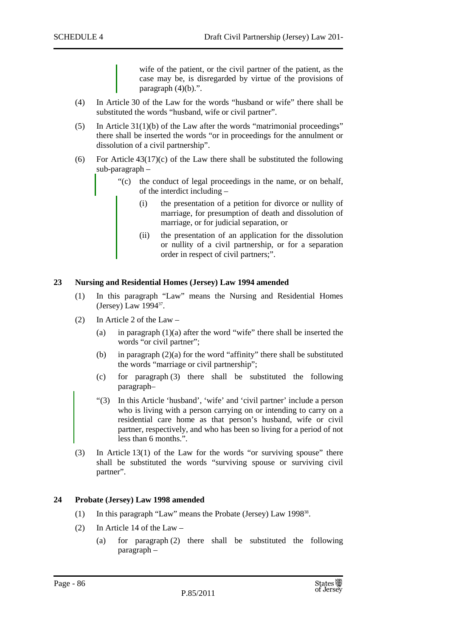wife of the patient, or the civil partner of the patient, as the case may be, is disregarded by virtue of the provisions of paragraph  $(4)(b)$ .".

- (4) In Article 30 of the Law for the words "husband or wife" there shall be substituted the words "husband, wife or civil partner".
- (5) In Article 31(1)(b) of the Law after the words "matrimonial proceedings" there shall be inserted the words "or in proceedings for the annulment or dissolution of a civil partnership".
- (6) For Article  $43(17)(c)$  of the Law there shall be substituted the following sub-paragraph –
	- "(c) the conduct of legal proceedings in the name, or on behalf, of the interdict including –
		- (i) the presentation of a petition for divorce or nullity of marriage, for presumption of death and dissolution of marriage, or for judicial separation, or
		- (ii) the presentation of an application for the dissolution or nullity of a civil partnership, or for a separation order in respect of civil partners;".

#### **23 Nursing and Residential Homes (Jersey) Law 1994 amended**

- (1) In this paragraph "Law" means the Nursing and Residential Homes (Jersey) Law 1994<sup>37</sup>.
- (2) In Article 2 of the Law
	- (a) in paragraph  $(1)(a)$  after the word "wife" there shall be inserted the words "or civil partner";
	- (b) in paragraph  $(2)(a)$  for the word "affinity" there shall be substituted the words "marriage or civil partnership";
	- (c) for paragraph (3) there shall be substituted the following paragraph–
	- "(3) In this Article 'husband', 'wife' and 'civil partner' include a person who is living with a person carrying on or intending to carry on a residential care home as that person's husband, wife or civil partner, respectively, and who has been so living for a period of not less than 6 months.".
- (3) In Article 13(1) of the Law for the words "or surviving spouse" there shall be substituted the words "surviving spouse or surviving civil partner".

## **24 Probate (Jersey) Law 1998 amended**

- (1) In this paragraph "Law" means the Probate (Jersey) Law 1998<sup>38</sup>.
- (2) In Article 14 of the Law
	- (a) for paragraph (2) there shall be substituted the following paragraph –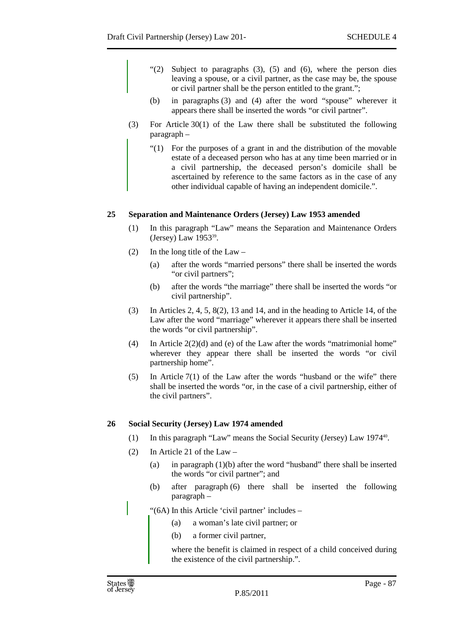- " $(2)$  Subject to paragraphs  $(3)$ ,  $(5)$  and  $(6)$ , where the person dies leaving a spouse, or a civil partner, as the case may be, the spouse or civil partner shall be the person entitled to the grant.";
- (b) in paragraphs (3) and (4) after the word "spouse" wherever it appears there shall be inserted the words "or civil partner".
- (3) For Article 30(1) of the Law there shall be substituted the following paragraph –
	- "(1) For the purposes of a grant in and the distribution of the movable estate of a deceased person who has at any time been married or in a civil partnership, the deceased person's domicile shall be ascertained by reference to the same factors as in the case of any other individual capable of having an independent domicile.".

# **25 Separation and Maintenance Orders (Jersey) Law 1953 amended**

- (1) In this paragraph "Law" means the Separation and Maintenance Orders (Jersey) Law 1953<sup>39</sup>.
- (2) In the long title of the Law
	- (a) after the words "married persons" there shall be inserted the words "or civil partners";
	- (b) after the words "the marriage" there shall be inserted the words "or civil partnership".
- (3) In Articles 2, 4, 5, 8(2), 13 and 14, and in the heading to Article 14, of the Law after the word "marriage" wherever it appears there shall be inserted the words "or civil partnership".
- (4) In Article 2(2)(d) and (e) of the Law after the words "matrimonial home" wherever they appear there shall be inserted the words "or civil partnership home".
- (5) In Article 7(1) of the Law after the words "husband or the wife" there shall be inserted the words "or, in the case of a civil partnership, either of the civil partners".

# **26 Social Security (Jersey) Law 1974 amended**

- (1) In this paragraph "Law" means the Social Security (Jersey) Law 1974<sup>40</sup>.
- (2) In Article 21 of the Law
	- (a) in paragraph (1)(b) after the word "husband" there shall be inserted the words "or civil partner"; and
	- (b) after paragraph (6) there shall be inserted the following paragraph –

"(6A) In this Article 'civil partner' includes –

- (a) a woman's late civil partner; or
- (b) a former civil partner,

where the benefit is claimed in respect of a child conceived during the existence of the civil partnership.".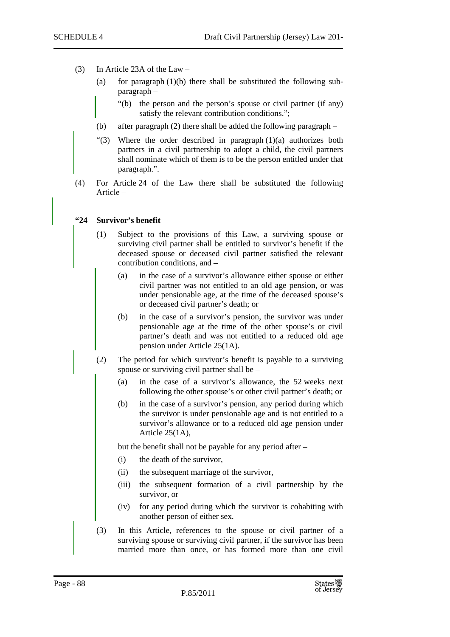- (3) In Article 23A of the Law
	- (a) for paragraph  $(1)(b)$  there shall be substituted the following subparagraph –
		- "(b) the person and the person's spouse or civil partner (if any) satisfy the relevant contribution conditions.";
	- (b) after paragraph (2) there shall be added the following paragraph –
	- "(3) Where the order described in paragraph  $(1)(a)$  authorizes both partners in a civil partnership to adopt a child, the civil partners shall nominate which of them is to be the person entitled under that paragraph.".
- (4) For Article 24 of the Law there shall be substituted the following Article –

# **"24 Survivor's benefit**

- (1) Subject to the provisions of this Law, a surviving spouse or surviving civil partner shall be entitled to survivor's benefit if the deceased spouse or deceased civil partner satisfied the relevant contribution conditions, and –
	- (a) in the case of a survivor's allowance either spouse or either civil partner was not entitled to an old age pension, or was under pensionable age, at the time of the deceased spouse's or deceased civil partner's death; or
	- (b) in the case of a survivor's pension, the survivor was under pensionable age at the time of the other spouse's or civil partner's death and was not entitled to a reduced old age pension under Article 25(1A).
- (2) The period for which survivor's benefit is payable to a surviving spouse or surviving civil partner shall be –
	- (a) in the case of a survivor's allowance, the 52 weeks next following the other spouse's or other civil partner's death; or
	- (b) in the case of a survivor's pension, any period during which the survivor is under pensionable age and is not entitled to a survivor's allowance or to a reduced old age pension under Article 25(1A),

but the benefit shall not be payable for any period after –

- (i) the death of the survivor,
- (ii) the subsequent marriage of the survivor,
- (iii) the subsequent formation of a civil partnership by the survivor, or
- (iv) for any period during which the survivor is cohabiting with another person of either sex.
- (3) In this Article, references to the spouse or civil partner of a surviving spouse or surviving civil partner, if the survivor has been married more than once, or has formed more than one civil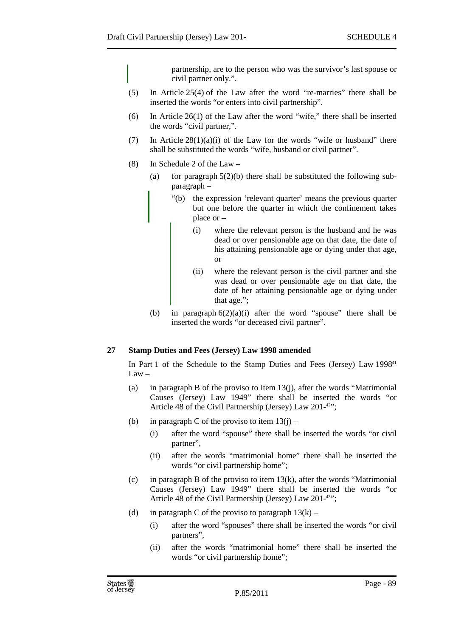partnership, are to the person who was the survivor's last spouse or civil partner only.".

- (5) In Article 25(4) of the Law after the word "re-marries" there shall be inserted the words "or enters into civil partnership".
- (6) In Article 26(1) of the Law after the word "wife," there shall be inserted the words "civil partner,".
- (7) In Article  $28(1)(a)(i)$  of the Law for the words "wife or husband" there shall be substituted the words "wife, husband or civil partner".
- (8) In Schedule 2 of the Law
	- (a) for paragraph  $5(2)(b)$  there shall be substituted the following subparagraph –
		- "(b) the expression 'relevant quarter' means the previous quarter but one before the quarter in which the confinement takes place or –
			- (i) where the relevant person is the husband and he was dead or over pensionable age on that date, the date of his attaining pensionable age or dying under that age, or
			- (ii) where the relevant person is the civil partner and she was dead or over pensionable age on that date, the date of her attaining pensionable age or dying under that age.";
	- (b) in paragraph  $6(2)(a)(i)$  after the word "spouse" there shall be inserted the words "or deceased civil partner".

# **27 Stamp Duties and Fees (Jersey) Law 1998 amended**

In Part 1 of the Schedule to the Stamp Duties and Fees (Jersey) Law 1998<sup>41</sup> Law –

- (a) in paragraph B of the proviso to item 13(j), after the words "Matrimonial Causes (Jersey) Law 1949" there shall be inserted the words "or Article 48 of the Civil Partnership (Jersey) Law  $201<sup>-42</sup>$ ;
- (b) in paragraph C of the proviso to item  $13(i)$ 
	- (i) after the word "spouse" there shall be inserted the words "or civil partner",
	- (ii) after the words "matrimonial home" there shall be inserted the words "or civil partnership home";
- (c) in paragraph B of the proviso to item  $13(k)$ , after the words "Matrimonial" Causes (Jersey) Law 1949" there shall be inserted the words "or Article 48 of the Civil Partnership (Jersey) Law 201-43";
- (d) in paragraph C of the proviso to paragraph  $13(k)$ 
	- (i) after the word "spouses" there shall be inserted the words "or civil partners",
	- (ii) after the words "matrimonial home" there shall be inserted the words "or civil partnership home";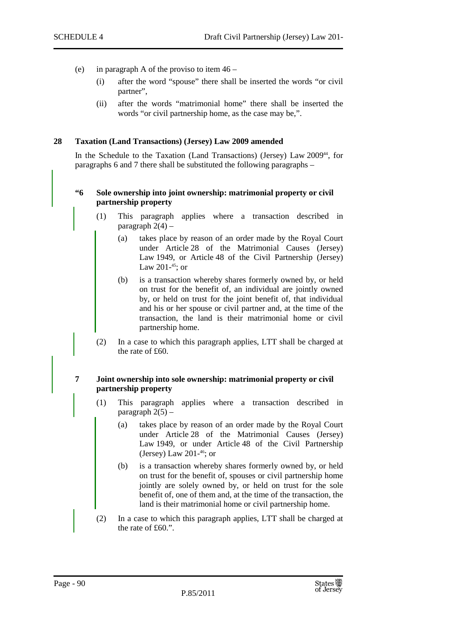- (e) in paragraph A of the proviso to item 46
	- (i) after the word "spouse" there shall be inserted the words "or civil partner",
	- (ii) after the words "matrimonial home" there shall be inserted the words "or civil partnership home, as the case may be,".

### **28 Taxation (Land Transactions) (Jersey) Law 2009 amended**

In the Schedule to the Taxation (Land Transactions) (Jersey) Law 2009<sup>44</sup>, for paragraphs 6 and 7 there shall be substituted the following paragraphs –

## **"6 Sole ownership into joint ownership: matrimonial property or civil partnership property**

- (1) This paragraph applies where a transaction described in paragraph  $2(4)$  –
	- (a) takes place by reason of an order made by the Royal Court under Article 28 of the Matrimonial Causes (Jersey) Law 1949, or Article 48 of the Civil Partnership (Jersey) Law 201-<sup>45</sup>; or
	- (b) is a transaction whereby shares formerly owned by, or held on trust for the benefit of, an individual are jointly owned by, or held on trust for the joint benefit of, that individual and his or her spouse or civil partner and, at the time of the transaction, the land is their matrimonial home or civil partnership home.
- (2) In a case to which this paragraph applies, LTT shall be charged at the rate of £60.

## **7 Joint ownership into sole ownership: matrimonial property or civil partnership property**

- (1) This paragraph applies where a transaction described in paragraph  $2(5)$  –
	- (a) takes place by reason of an order made by the Royal Court under Article 28 of the Matrimonial Causes (Jersey) Law 1949, or under Article 48 of the Civil Partnership (Jersey) Law  $201<sup>-46</sup>$ ; or
	- (b) is a transaction whereby shares formerly owned by, or held on trust for the benefit of, spouses or civil partnership home jointly are solely owned by, or held on trust for the sole benefit of, one of them and, at the time of the transaction, the land is their matrimonial home or civil partnership home.
- (2) In a case to which this paragraph applies, LTT shall be charged at the rate of £60.".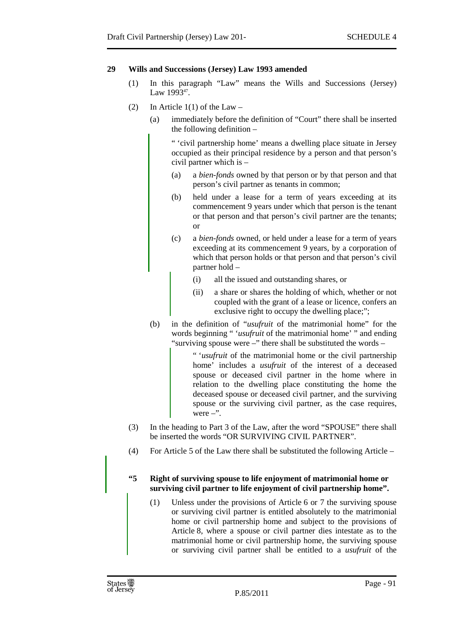## **29 Wills and Successions (Jersey) Law 1993 amended**

- (1) In this paragraph "Law" means the Wills and Successions (Jersey) Law  $1993^{47}$ .
- (2) In Article  $1(1)$  of the Law
	- (a) immediately before the definition of "Court" there shall be inserted the following definition –

" 'civil partnership home' means a dwelling place situate in Jersey occupied as their principal residence by a person and that person's civil partner which is –

- (a) a *bien-fonds* owned by that person or by that person and that person's civil partner as tenants in common;
- (b) held under a lease for a term of years exceeding at its commencement 9 years under which that person is the tenant or that person and that person's civil partner are the tenants; or
- (c) a *bien-fonds* owned, or held under a lease for a term of years exceeding at its commencement 9 years, by a corporation of which that person holds or that person and that person's civil partner hold –
	- (i) all the issued and outstanding shares, or
	- (ii) a share or shares the holding of which, whether or not coupled with the grant of a lease or licence, confers an exclusive right to occupy the dwelling place;";
- (b) in the definition of "*usufruit* of the matrimonial home" for the words beginning " '*usufruit* of the matrimonial home' " and ending "surviving spouse were –" there shall be substituted the words –

" '*usufruit* of the matrimonial home or the civil partnership home' includes a *usufruit* of the interest of a deceased spouse or deceased civil partner in the home where in relation to the dwelling place constituting the home the deceased spouse or deceased civil partner, and the surviving spouse or the surviving civil partner, as the case requires, were  $-$ ".

- (3) In the heading to Part 3 of the Law, after the word "SPOUSE" there shall be inserted the words "OR SURVIVING CIVIL PARTNER".
- (4) For Article 5 of the Law there shall be substituted the following Article –

## **"5 Right of surviving spouse to life enjoyment of matrimonial home or surviving civil partner to life enjoyment of civil partnership home".**

(1) Unless under the provisions of Article 6 or 7 the surviving spouse or surviving civil partner is entitled absolutely to the matrimonial home or civil partnership home and subject to the provisions of Article 8, where a spouse or civil partner dies intestate as to the matrimonial home or civil partnership home, the surviving spouse or surviving civil partner shall be entitled to a *usufruit* of the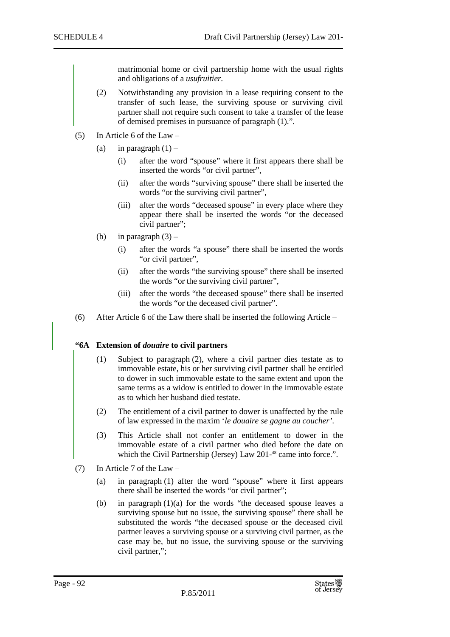matrimonial home or civil partnership home with the usual rights and obligations of a *usufruitier.* 

- (2) Notwithstanding any provision in a lease requiring consent to the transfer of such lease, the surviving spouse or surviving civil partner shall not require such consent to take a transfer of the lease of demised premises in pursuance of paragraph (1).".
- (5) In Article 6 of the Law
	- (a) in paragraph  $(1)$ 
		- (i) after the word "spouse" where it first appears there shall be inserted the words "or civil partner",
		- (ii) after the words "surviving spouse" there shall be inserted the words "or the surviving civil partner",
		- (iii) after the words "deceased spouse" in every place where they appear there shall be inserted the words "or the deceased civil partner";
	- (b) in paragraph  $(3)$ 
		- (i) after the words "a spouse" there shall be inserted the words "or civil partner".
		- (ii) after the words "the surviving spouse" there shall be inserted the words "or the surviving civil partner",
		- (iii) after the words "the deceased spouse" there shall be inserted the words "or the deceased civil partner".
- (6) After Article 6 of the Law there shall be inserted the following Article –

## **"6A Extension of** *douaire* **to civil partners**

- (1) Subject to paragraph (2), where a civil partner dies testate as to immovable estate, his or her surviving civil partner shall be entitled to dower in such immovable estate to the same extent and upon the same terms as a widow is entitled to dower in the immovable estate as to which her husband died testate.
- (2) The entitlement of a civil partner to dower is unaffected by the rule of law expressed in the maxim '*le douaire se gagne au coucher'*.
- (3) This Article shall not confer an entitlement to dower in the immovable estate of a civil partner who died before the date on which the Civil Partnership (Jersey) Law 201-<sup>48</sup> came into force.".
- (7) In Article 7 of the Law
	- (a) in paragraph (1) after the word "spouse" where it first appears there shall be inserted the words "or civil partner";
	- (b) in paragraph (1)(a) for the words "the deceased spouse leaves a surviving spouse but no issue, the surviving spouse" there shall be substituted the words "the deceased spouse or the deceased civil partner leaves a surviving spouse or a surviving civil partner, as the case may be, but no issue, the surviving spouse or the surviving civil partner,";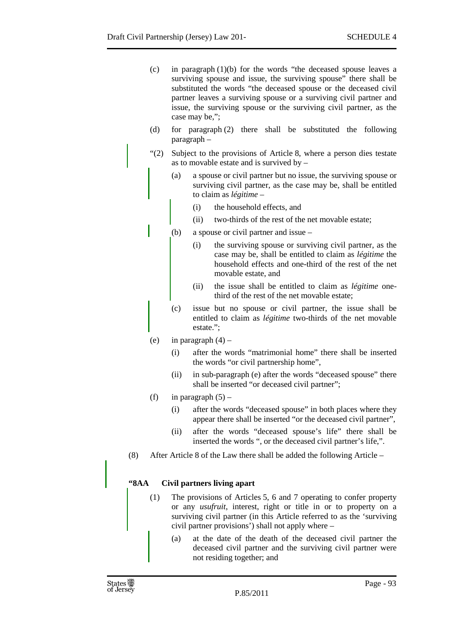- (c) in paragraph (1)(b) for the words "the deceased spouse leaves a surviving spouse and issue, the surviving spouse" there shall be substituted the words "the deceased spouse or the deceased civil partner leaves a surviving spouse or a surviving civil partner and issue, the surviving spouse or the surviving civil partner, as the case may be,";
- (d) for paragraph (2) there shall be substituted the following paragraph –
- "(2) Subject to the provisions of Article 8, where a person dies testate as to movable estate and is survived by  $-$ 
	- (a) a spouse or civil partner but no issue, the surviving spouse or surviving civil partner, as the case may be, shall be entitled to claim as *légitime* –
		- (i) the household effects, and
		- (ii) two-thirds of the rest of the net movable estate;
	- (b) a spouse or civil partner and issue
		- (i) the surviving spouse or surviving civil partner, as the case may be, shall be entitled to claim as *légitime* the household effects and one-third of the rest of the net movable estate, and
		- (ii) the issue shall be entitled to claim as *légitime* onethird of the rest of the net movable estate;
	- (c) issue but no spouse or civil partner, the issue shall be entitled to claim as *légitime* two-thirds of the net movable estate.";
	- (e) in paragraph  $(4)$ 
		- (i) after the words "matrimonial home" there shall be inserted the words "or civil partnership home",
		- (ii) in sub-paragraph (e) after the words "deceased spouse" there shall be inserted "or deceased civil partner";
	- (f) in paragraph  $(5)$ 
		- (i) after the words "deceased spouse" in both places where they appear there shall be inserted "or the deceased civil partner",
		- (ii) after the words "deceased spouse's life" there shall be inserted the words ", or the deceased civil partner's life,".
- (8) After Article 8 of the Law there shall be added the following Article –

# **"8AA Civil partners living apart**

- (1) The provisions of Articles 5, 6 and 7 operating to confer property or any *usufruit*, interest, right or title in or to property on a surviving civil partner (in this Article referred to as the 'surviving civil partner provisions') shall not apply where –
	- (a) at the date of the death of the deceased civil partner the deceased civil partner and the surviving civil partner were not residing together; and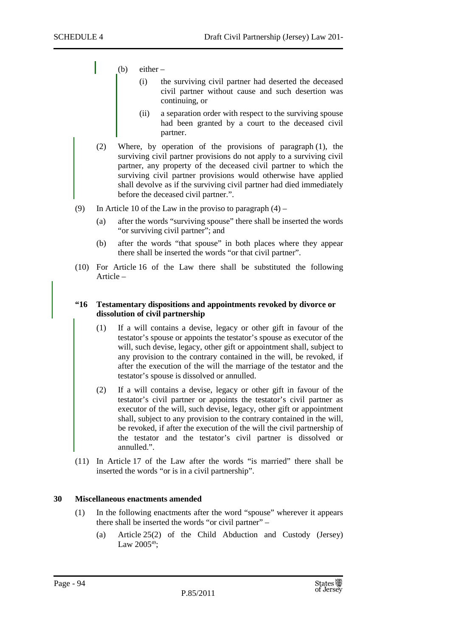- (b) either  $-$ 
	- (i) the surviving civil partner had deserted the deceased civil partner without cause and such desertion was continuing, or
	- (ii) a separation order with respect to the surviving spouse had been granted by a court to the deceased civil partner.
- (2) Where, by operation of the provisions of paragraph (1), the surviving civil partner provisions do not apply to a surviving civil partner, any property of the deceased civil partner to which the surviving civil partner provisions would otherwise have applied shall devolve as if the surviving civil partner had died immediately before the deceased civil partner.".
- (9) In Article 10 of the Law in the proviso to paragraph  $(4)$ 
	- (a) after the words "surviving spouse" there shall be inserted the words "or surviving civil partner"; and
	- (b) after the words "that spouse" in both places where they appear there shall be inserted the words "or that civil partner".
- (10) For Article 16 of the Law there shall be substituted the following Article –

## **"16 Testamentary dispositions and appointments revoked by divorce or dissolution of civil partnership**

- (1) If a will contains a devise, legacy or other gift in favour of the testator's spouse or appoints the testator's spouse as executor of the will, such devise, legacy, other gift or appointment shall, subject to any provision to the contrary contained in the will, be revoked, if after the execution of the will the marriage of the testator and the testator's spouse is dissolved or annulled.
- (2) If a will contains a devise, legacy or other gift in favour of the testator's civil partner or appoints the testator's civil partner as executor of the will, such devise, legacy, other gift or appointment shall, subject to any provision to the contrary contained in the will, be revoked, if after the execution of the will the civil partnership of the testator and the testator's civil partner is dissolved or annulled.".
- (11) In Article 17 of the Law after the words "is married" there shall be inserted the words "or is in a civil partnership".

## **30 Miscellaneous enactments amended**

- (1) In the following enactments after the word "spouse" wherever it appears there shall be inserted the words "or civil partner" –
	- (a) Article 25(2) of the Child Abduction and Custody (Jersey) Law  $2005^{49}$ ;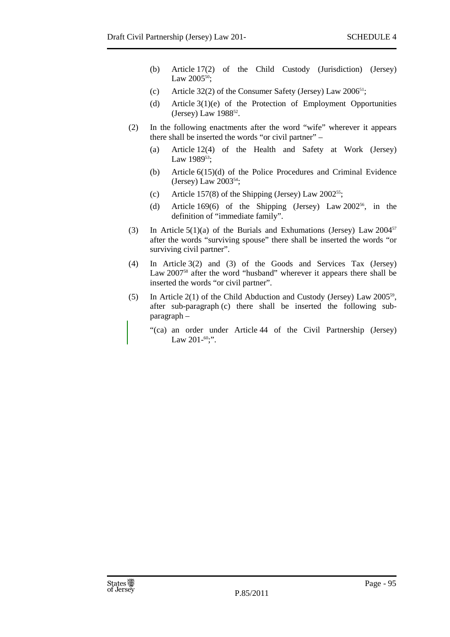- (b) Article 17(2) of the Child Custody (Jurisdiction) (Jersey) Law 2005<sup>50</sup>;
- (c) Article 32(2) of the Consumer Safety (Jersey) Law  $2006^{51}$ ;
- (d) Article 3(1)(e) of the Protection of Employment Opportunities (Jersey) Law 1988<sup>52</sup>.
- (2) In the following enactments after the word "wife" wherever it appears there shall be inserted the words "or civil partner" –
	- (a) Article 12(4) of the Health and Safety at Work (Jersey) Law 1989<sup>53</sup>;
	- (b) Article 6(15)(d) of the Police Procedures and Criminal Evidence (Jersey) Law 2003<sup>54</sup>;
	- (c) Article 157(8) of the Shipping (Jersey) Law  $2002^{55}$ ;
	- (d) Article 169(6) of the Shipping (Jersey) Law 2002 <sup>56</sup>, in the definition of "immediate family".
- (3) In Article  $5(1)(a)$  of the Burials and Exhumations (Jersey) Law 2004<sup>57</sup> after the words "surviving spouse" there shall be inserted the words "or surviving civil partner".
- (4) In Article 3(2) and (3) of the Goods and Services Tax (Jersey) Law 2007<sup>58</sup> after the word "husband" wherever it appears there shall be inserted the words "or civil partner".
- (5) In Article 2(1) of the Child Abduction and Custody (Jersey) Law  $2005^{59}$ , after sub-paragraph (c) there shall be inserted the following subparagraph –
	- "(ca) an order under Article 44 of the Civil Partnership (Jersey) Law 201- $60$ ;".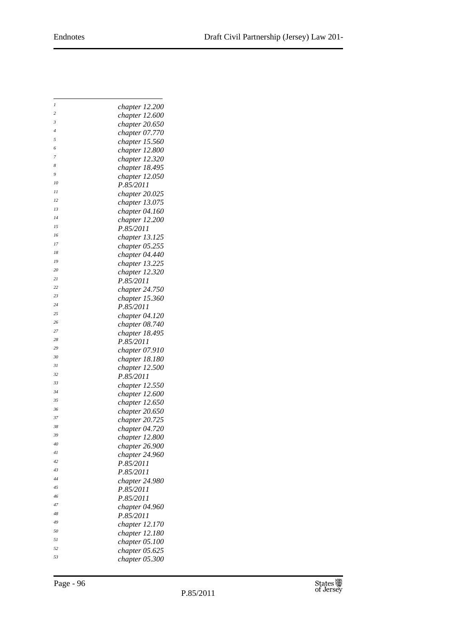| $\boldsymbol{l}$ | chapter 12.200              |
|------------------|-----------------------------|
| 2                | chapter 12.600              |
| 3                | chapter 20.650              |
| 4                | chapter 07.770              |
| 5                | chapter 15.560              |
| 6                | chapter 12.800              |
| 7                | chapter 12.320              |
| 8                | chapter 18.495              |
| 9                | chapter 12.050              |
| 10               | P.85/2011                   |
| 11               | chapter 20.025              |
| 12               | chapter 13.075              |
| 13               | chapter 04.160              |
| 14               | chapter 12.200              |
| 15               | P.85/2011                   |
| 16               | chapter 13.125              |
| 17               | chapter 05.255              |
| 18               |                             |
| 19               | chapter 04.440              |
| 20               | chapter 13.225              |
| 21               | chapter 12.320<br>P.85/2011 |
| 22               |                             |
| 23               | chapter 24.750              |
| 24               | chapter 15.360              |
| 25               | P.85/2011                   |
| 26               | chapter 04.120              |
| 27               | chapter 08.740              |
| 28               | chapter 18.495              |
| 29               | P.85/2011                   |
| 30               | chapter 07.910              |
| 31               | chapter 18.180              |
| 32               | chapter 12.500              |
| 33               | P.85/2011                   |
| 34               | chapter 12.550              |
| 35               | chapter 12.600              |
| 36               | chapter 12.650              |
| 37               | chapter 20.650              |
| 38               | chapter 20.725              |
| 39               | chapter 04.720              |
| 40               | chapter 12.800              |
| 41               | chapter 26.900              |
| 42               | chapter 24.960              |
|                  | P.85/2011                   |
| 43               | P.85/2011                   |
| 44               | chapter 24.980              |
| 45               | P.85/2011                   |
| 46               | P.85/2011                   |
| 47               | chapter 04.960              |
| 48               | P.85/2011                   |
| 49               | chapter 12.170              |
| 50               | chapter 12.180              |
| 51               | chapter 05.100              |
| 52               | chapter 05.625              |
| 53               | chapter 05.300              |
|                  |                             |